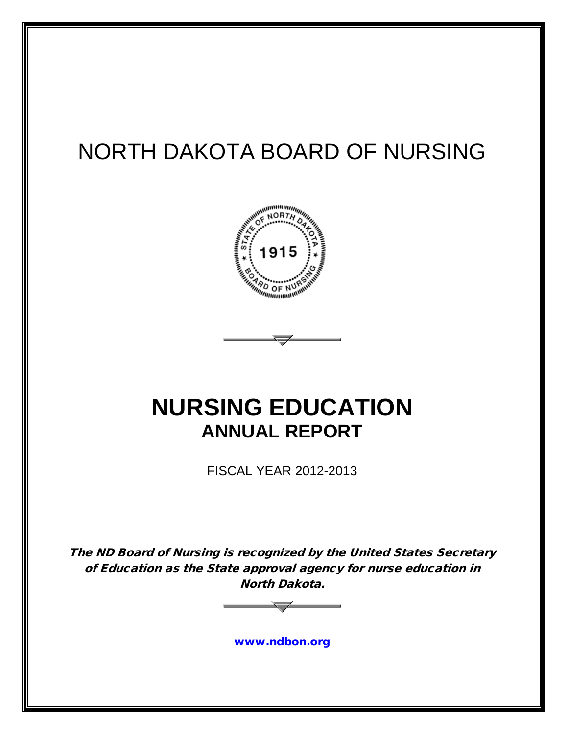# NORTH DAKOTA BOARD OF NURSING



# **NURSING EDUCATION ANNUAL REPORT**

FISCAL YEAR 2012-2013

The ND Board of Nursing is recognized by the United States Secretary of Education as the State approval agency for nurse education in North Dakota.



[www.ndbon.org](http://www.ndbon.org/)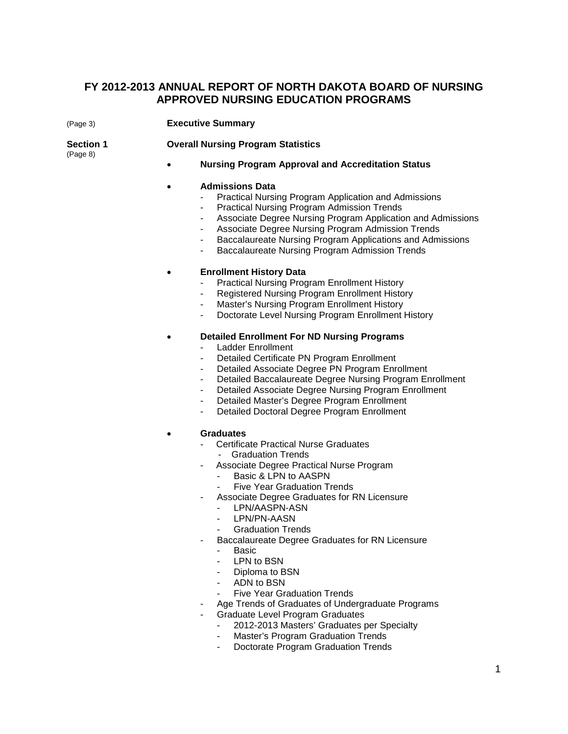### **FY 2012-2013 ANNUAL REPORT OF NORTH DAKOTA BOARD OF NURSING APPROVED NURSING EDUCATION PROGRAMS**

| (Page 3)                     | <b>Executive Summary</b>                                                                                                                                                                                                                                                                                                                                                                                                                                                                                                                                                                                                                                                                                                                    |
|------------------------------|---------------------------------------------------------------------------------------------------------------------------------------------------------------------------------------------------------------------------------------------------------------------------------------------------------------------------------------------------------------------------------------------------------------------------------------------------------------------------------------------------------------------------------------------------------------------------------------------------------------------------------------------------------------------------------------------------------------------------------------------|
| <b>Section 1</b><br>(Page 8) | <b>Overall Nursing Program Statistics</b>                                                                                                                                                                                                                                                                                                                                                                                                                                                                                                                                                                                                                                                                                                   |
|                              | <b>Nursing Program Approval and Accreditation Status</b>                                                                                                                                                                                                                                                                                                                                                                                                                                                                                                                                                                                                                                                                                    |
|                              | <b>Admissions Data</b><br>Practical Nursing Program Application and Admissions<br><b>Practical Nursing Program Admission Trends</b><br>Associate Degree Nursing Program Application and Admissions<br>Associate Degree Nursing Program Admission Trends<br>$\blacksquare$<br>Baccalaureate Nursing Program Applications and Admissions<br>$\sim$<br>Baccalaureate Nursing Program Admission Trends                                                                                                                                                                                                                                                                                                                                          |
|                              | <b>Enrollment History Data</b><br><b>Practical Nursing Program Enrollment History</b><br>Registered Nursing Program Enrollment History<br>Master's Nursing Program Enrollment History<br>Doctorate Level Nursing Program Enrollment History<br>$\blacksquare$                                                                                                                                                                                                                                                                                                                                                                                                                                                                               |
|                              | <b>Detailed Enrollment For ND Nursing Programs</b><br>Ladder Enrollment<br>Detailed Certificate PN Program Enrollment<br>Detailed Associate Degree PN Program Enrollment<br>$\blacksquare$<br>Detailed Baccalaureate Degree Nursing Program Enrollment<br>$\overline{\phantom{a}}$<br>Detailed Associate Degree Nursing Program Enrollment<br>$\blacksquare$<br>Detailed Master's Degree Program Enrollment<br>٠.<br>Detailed Doctoral Degree Program Enrollment                                                                                                                                                                                                                                                                            |
|                              | <b>Graduates</b><br><b>Certificate Practical Nurse Graduates</b><br><b>Graduation Trends</b><br>Associate Degree Practical Nurse Program<br>Basic & LPN to AASPN<br>$\mathbf{r}$<br><b>Five Year Graduation Trends</b><br>Associate Degree Graduates for RN Licensure<br>LPN/AASPN-ASN<br>$\sim$<br>LPN/PN-AASN<br><b>Graduation Trends</b><br>$\sim 100$<br>Baccalaureate Degree Graduates for RN Licensure<br><b>Basic</b><br>LPN to BSN<br>Diploma to BSN<br>ADN to BSN<br><b>Five Year Graduation Trends</b><br>Age Trends of Graduates of Undergraduate Programs<br><b>Graduate Level Program Graduates</b><br>2012-2013 Masters' Graduates per Specialty<br>Master's Program Graduation Trends<br>Doctorate Program Graduation Trends |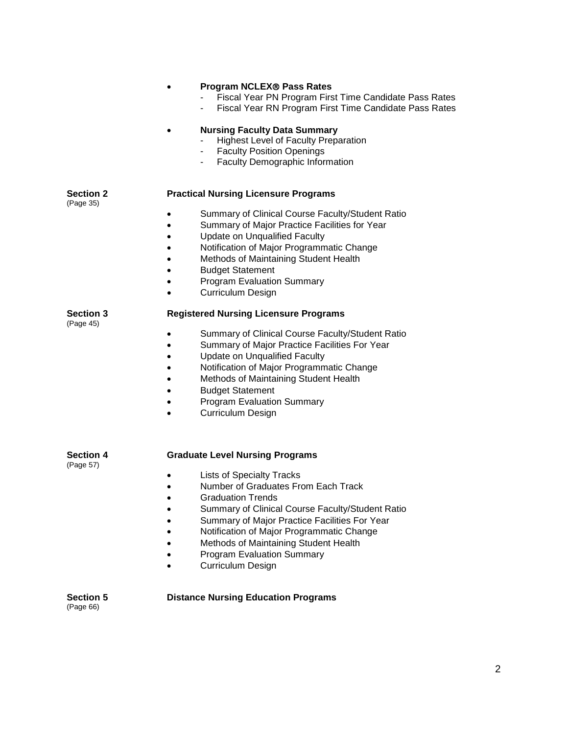|                               | <b>Program NCLEX® Pass Rates</b><br>Fiscal Year PN Program First Time Candidate Pass Rates<br>Fiscal Year RN Program First Time Candidate Pass Rates<br><b>Nursing Faculty Data Summary</b>                                                                                                                                                                           |
|-------------------------------|-----------------------------------------------------------------------------------------------------------------------------------------------------------------------------------------------------------------------------------------------------------------------------------------------------------------------------------------------------------------------|
|                               | <b>Highest Level of Faculty Preparation</b><br><b>Faculty Position Openings</b><br>Faculty Demographic Information                                                                                                                                                                                                                                                    |
| Section 2<br>(Page 35)        | <b>Practical Nursing Licensure Programs</b>                                                                                                                                                                                                                                                                                                                           |
|                               | Summary of Clinical Course Faculty/Student Ratio<br>٠<br>Summary of Major Practice Facilities for Year<br>Update on Unqualified Faculty<br>$\bullet$<br>Notification of Major Programmatic Change<br>Methods of Maintaining Student Health<br><b>Budget Statement</b><br><b>Program Evaluation Summary</b><br><b>Curriculum Design</b>                                |
| <b>Section 3</b><br>(Page 45) | <b>Registered Nursing Licensure Programs</b>                                                                                                                                                                                                                                                                                                                          |
|                               | Summary of Clinical Course Faculty/Student Ratio<br>Summary of Major Practice Facilities For Year<br><b>Update on Unqualified Faculty</b><br>Notification of Major Programmatic Change<br>Methods of Maintaining Student Health<br><b>Budget Statement</b><br><b>Program Evaluation Summary</b><br><b>Curriculum Design</b>                                           |
| Section 4<br>(Page 57)        | <b>Graduate Level Nursing Programs</b>                                                                                                                                                                                                                                                                                                                                |
|                               | <b>Lists of Specialty Tracks</b><br>Number of Graduates From Each Track<br>$\bullet$<br><b>Graduation Trends</b><br>Summary of Clinical Course Faculty/Student Ratio<br>Summary of Major Practice Facilities For Year<br>Notification of Major Programmatic Change<br>Methods of Maintaining Student Health<br><b>Program Evaluation Summary</b><br>Curriculum Design |
| <b>Section 5</b><br>(Page 66) | <b>Distance Nursing Education Programs</b>                                                                                                                                                                                                                                                                                                                            |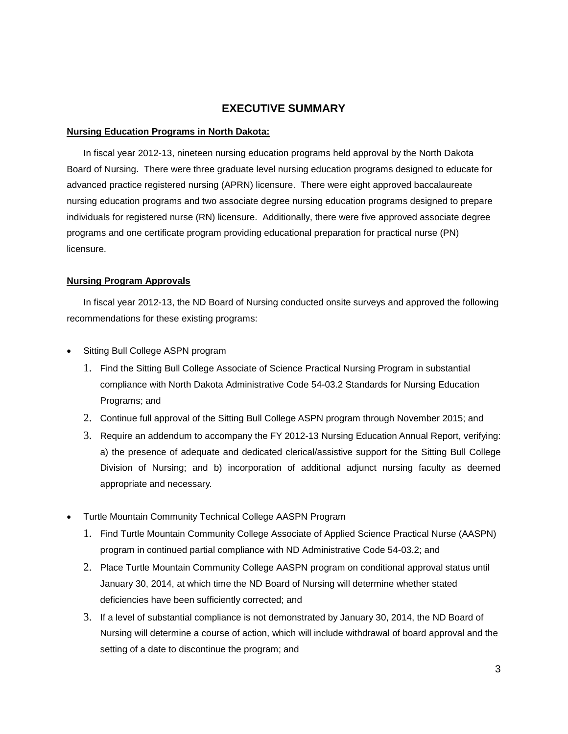### **EXECUTIVE SUMMARY**

#### **Nursing Education Programs in North Dakota:**

In fiscal year 2012-13, nineteen nursing education programs held approval by the North Dakota Board of Nursing. There were three graduate level nursing education programs designed to educate for advanced practice registered nursing (APRN) licensure. There were eight approved baccalaureate nursing education programs and two associate degree nursing education programs designed to prepare individuals for registered nurse (RN) licensure. Additionally, there were five approved associate degree programs and one certificate program providing educational preparation for practical nurse (PN) licensure.

### **Nursing Program Approvals**

In fiscal year 2012-13, the ND Board of Nursing conducted onsite surveys and approved the following recommendations for these existing programs:

- Sitting Bull College ASPN program
	- 1. Find the Sitting Bull College Associate of Science Practical Nursing Program in substantial compliance with North Dakota Administrative Code 54-03.2 Standards for Nursing Education Programs; and
	- 2. Continue full approval of the Sitting Bull College ASPN program through November 2015; and
	- 3. Require an addendum to accompany the FY 2012-13 Nursing Education Annual Report, verifying: a) the presence of adequate and dedicated clerical/assistive support for the Sitting Bull College Division of Nursing; and b) incorporation of additional adjunct nursing faculty as deemed appropriate and necessary.
- Turtle Mountain Community Technical College AASPN Program
	- 1. Find Turtle Mountain Community College Associate of Applied Science Practical Nurse (AASPN) program in continued partial compliance with ND Administrative Code 54-03.2; and
	- 2. Place Turtle Mountain Community College AASPN program on conditional approval status until January 30, 2014, at which time the ND Board of Nursing will determine whether stated deficiencies have been sufficiently corrected; and
	- 3. If a level of substantial compliance is not demonstrated by January 30, 2014, the ND Board of Nursing will determine a course of action, which will include withdrawal of board approval and the setting of a date to discontinue the program; and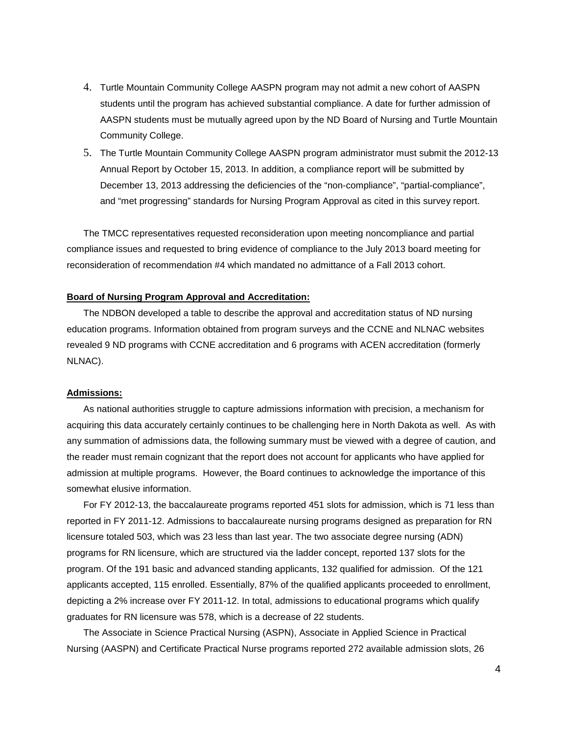- 4. Turtle Mountain Community College AASPN program may not admit a new cohort of AASPN students until the program has achieved substantial compliance. A date for further admission of AASPN students must be mutually agreed upon by the ND Board of Nursing and Turtle Mountain Community College.
- 5. The Turtle Mountain Community College AASPN program administrator must submit the 2012-13 Annual Report by October 15, 2013. In addition, a compliance report will be submitted by December 13, 2013 addressing the deficiencies of the "non-compliance", "partial-compliance", and "met progressing" standards for Nursing Program Approval as cited in this survey report.

The TMCC representatives requested reconsideration upon meeting noncompliance and partial compliance issues and requested to bring evidence of compliance to the July 2013 board meeting for reconsideration of recommendation #4 which mandated no admittance of a Fall 2013 cohort.

#### **Board of Nursing Program Approval and Accreditation:**

The NDBON developed a table to describe the approval and accreditation status of ND nursing education programs. Information obtained from program surveys and the CCNE and NLNAC websites revealed 9 ND programs with CCNE accreditation and 6 programs with ACEN accreditation (formerly NLNAC).

#### **Admissions:**

As national authorities struggle to capture admissions information with precision, a mechanism for acquiring this data accurately certainly continues to be challenging here in North Dakota as well. As with any summation of admissions data, the following summary must be viewed with a degree of caution, and the reader must remain cognizant that the report does not account for applicants who have applied for admission at multiple programs. However, the Board continues to acknowledge the importance of this somewhat elusive information.

For FY 2012-13, the baccalaureate programs reported 451 slots for admission, which is 71 less than reported in FY 2011-12. Admissions to baccalaureate nursing programs designed as preparation for RN licensure totaled 503, which was 23 less than last year. The two associate degree nursing (ADN) programs for RN licensure, which are structured via the ladder concept, reported 137 slots for the program. Of the 191 basic and advanced standing applicants, 132 qualified for admission. Of the 121 applicants accepted, 115 enrolled. Essentially, 87% of the qualified applicants proceeded to enrollment, depicting a 2% increase over FY 2011-12. In total, admissions to educational programs which qualify graduates for RN licensure was 578, which is a decrease of 22 students.

The Associate in Science Practical Nursing (ASPN), Associate in Applied Science in Practical Nursing (AASPN) and Certificate Practical Nurse programs reported 272 available admission slots, 26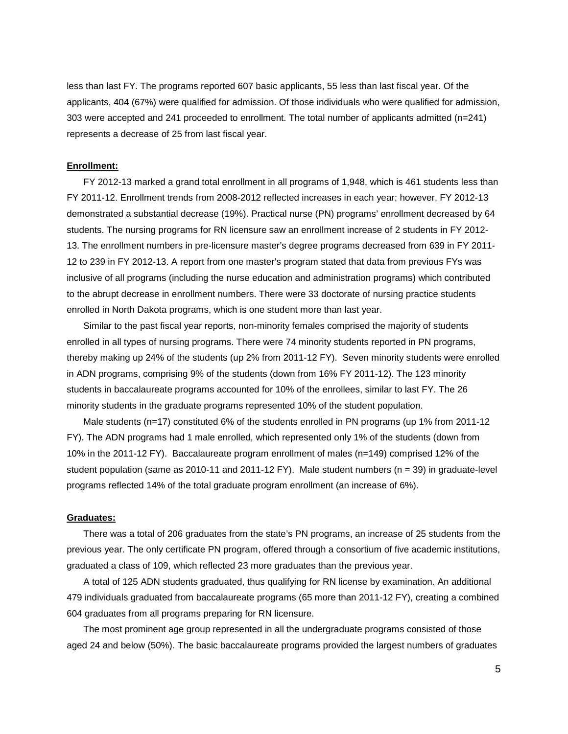less than last FY. The programs reported 607 basic applicants, 55 less than last fiscal year. Of the applicants, 404 (67%) were qualified for admission. Of those individuals who were qualified for admission, 303 were accepted and 241 proceeded to enrollment. The total number of applicants admitted (n=241) represents a decrease of 25 from last fiscal year.

#### **Enrollment:**

FY 2012-13 marked a grand total enrollment in all programs of 1,948, which is 461 students less than FY 2011-12. Enrollment trends from 2008-2012 reflected increases in each year; however, FY 2012-13 demonstrated a substantial decrease (19%). Practical nurse (PN) programs' enrollment decreased by 64 students. The nursing programs for RN licensure saw an enrollment increase of 2 students in FY 2012- 13. The enrollment numbers in pre-licensure master's degree programs decreased from 639 in FY 2011- 12 to 239 in FY 2012-13. A report from one master's program stated that data from previous FYs was inclusive of all programs (including the nurse education and administration programs) which contributed to the abrupt decrease in enrollment numbers. There were 33 doctorate of nursing practice students enrolled in North Dakota programs, which is one student more than last year.

Similar to the past fiscal year reports, non-minority females comprised the majority of students enrolled in all types of nursing programs. There were 74 minority students reported in PN programs, thereby making up 24% of the students (up 2% from 2011-12 FY). Seven minority students were enrolled in ADN programs, comprising 9% of the students (down from 16% FY 2011-12). The 123 minority students in baccalaureate programs accounted for 10% of the enrollees, similar to last FY. The 26 minority students in the graduate programs represented 10% of the student population.

Male students (n=17) constituted 6% of the students enrolled in PN programs (up 1% from 2011-12 FY). The ADN programs had 1 male enrolled, which represented only 1% of the students (down from 10% in the 2011-12 FY). Baccalaureate program enrollment of males (n=149) comprised 12% of the student population (same as 2010-11 and 2011-12 FY). Male student numbers ( $n = 39$ ) in graduate-level programs reflected 14% of the total graduate program enrollment (an increase of 6%).

#### **Graduates:**

There was a total of 206 graduates from the state's PN programs, an increase of 25 students from the previous year. The only certificate PN program, offered through a consortium of five academic institutions, graduated a class of 109, which reflected 23 more graduates than the previous year.

A total of 125 ADN students graduated, thus qualifying for RN license by examination. An additional 479 individuals graduated from baccalaureate programs (65 more than 2011-12 FY), creating a combined 604 graduates from all programs preparing for RN licensure.

The most prominent age group represented in all the undergraduate programs consisted of those aged 24 and below (50%). The basic baccalaureate programs provided the largest numbers of graduates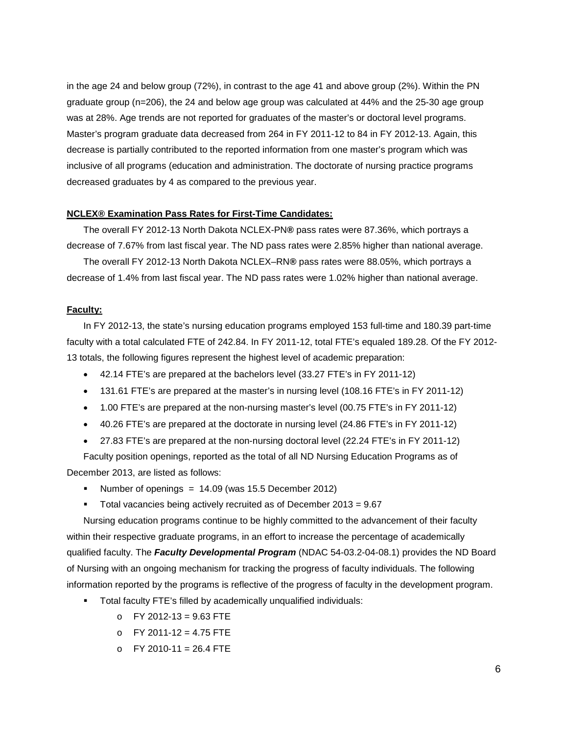in the age 24 and below group (72%), in contrast to the age 41 and above group (2%). Within the PN graduate group (n=206), the 24 and below age group was calculated at 44% and the 25-30 age group was at 28%. Age trends are not reported for graduates of the master's or doctoral level programs. Master's program graduate data decreased from 264 in FY 2011-12 to 84 in FY 2012-13. Again, this decrease is partially contributed to the reported information from one master's program which was inclusive of all programs (education and administration. The doctorate of nursing practice programs decreased graduates by 4 as compared to the previous year.

### **NCLEX® Examination Pass Rates for First-Time Candidates:**

The overall FY 2012-13 North Dakota NCLEX-PN**®** pass rates were 87.36%, which portrays a decrease of 7.67% from last fiscal year. The ND pass rates were 2.85% higher than national average.

The overall FY 2012-13 North Dakota NCLEX–RN**®** pass rates were 88.05%, which portrays a decrease of 1.4% from last fiscal year. The ND pass rates were 1.02% higher than national average.

#### **Faculty:**

In FY 2012-13, the state's nursing education programs employed 153 full-time and 180.39 part-time faculty with a total calculated FTE of 242.84. In FY 2011-12, total FTE's equaled 189.28. Of the FY 2012- 13 totals, the following figures represent the highest level of academic preparation:

- 42.14 FTE's are prepared at the bachelors level (33.27 FTE's in FY 2011-12)
- 131.61 FTE's are prepared at the master's in nursing level (108.16 FTE's in FY 2011-12)
- 1.00 FTE's are prepared at the non-nursing master's level (00.75 FTE's in FY 2011-12)
- 40.26 FTE's are prepared at the doctorate in nursing level (24.86 FTE's in FY 2011-12)
- 27.83 FTE's are prepared at the non-nursing doctoral level (22.24 FTE's in FY 2011-12)

Faculty position openings, reported as the total of all ND Nursing Education Programs as of December 2013, are listed as follows:

- Number of openings =  $14.09$  (was 15.5 December 2012)
- Total vacancies being actively recruited as of December 2013 = 9.67

Nursing education programs continue to be highly committed to the advancement of their faculty within their respective graduate programs, in an effort to increase the percentage of academically qualified faculty. The *Faculty Developmental Program* (NDAC 54-03.2-04-08.1) provides the ND Board of Nursing with an ongoing mechanism for tracking the progress of faculty individuals. The following information reported by the programs is reflective of the progress of faculty in the development program.

- Total faculty FTE's filled by academically unqualified individuals:
	- o FY 2012-13 = 9.63 FTE
	- o FY 2011-12 = 4.75 FTE
	- $O$  FY 2010-11 = 26.4 FTE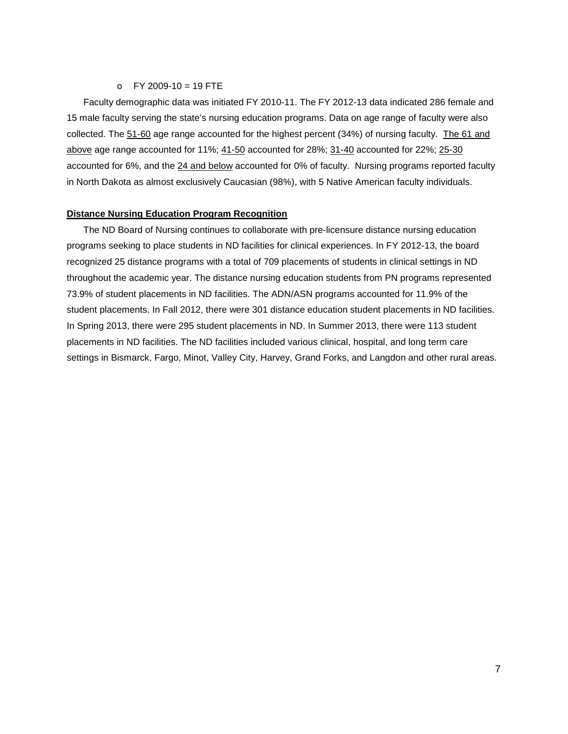#### $O$  FY 2009-10 = 19 FTE

Faculty demographic data was initiated FY 2010-11. The FY 2012-13 data indicated 286 female and 15 male faculty serving the state's nursing education programs. Data on age range of faculty were also collected. The 51-60 age range accounted for the highest percent (34%) of nursing faculty. The 61 and above age range accounted for 11%; 41-50 accounted for 28%; 31-40 accounted for 22%; 25-30 accounted for 6%, and the 24 and below accounted for 0% of faculty. Nursing programs reported faculty in North Dakota as almost exclusively Caucasian (98%), with 5 Native American faculty individuals.

### **Distance Nursing Education Program Recognition**

The ND Board of Nursing continues to collaborate with pre-licensure distance nursing education programs seeking to place students in ND facilities for clinical experiences. In FY 2012-13, the board recognized 25 distance programs with a total of 709 placements of students in clinical settings in ND throughout the academic year. The distance nursing education students from PN programs represented 73.9% of student placements in ND facilities. The ADN/ASN programs accounted for 11.9% of the student placements. In Fall 2012, there were 301 distance education student placements in ND facilities. In Spring 2013, there were 295 student placements in ND. In Summer 2013, there were 113 student placements in ND facilities. The ND facilities included various clinical, hospital, and long term care settings in Bismarck, Fargo, Minot, Valley City, Harvey, Grand Forks, and Langdon and other rural areas.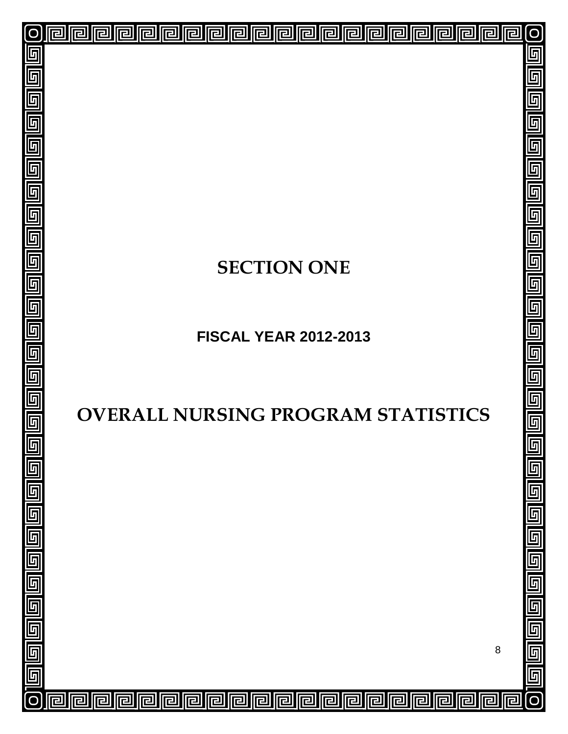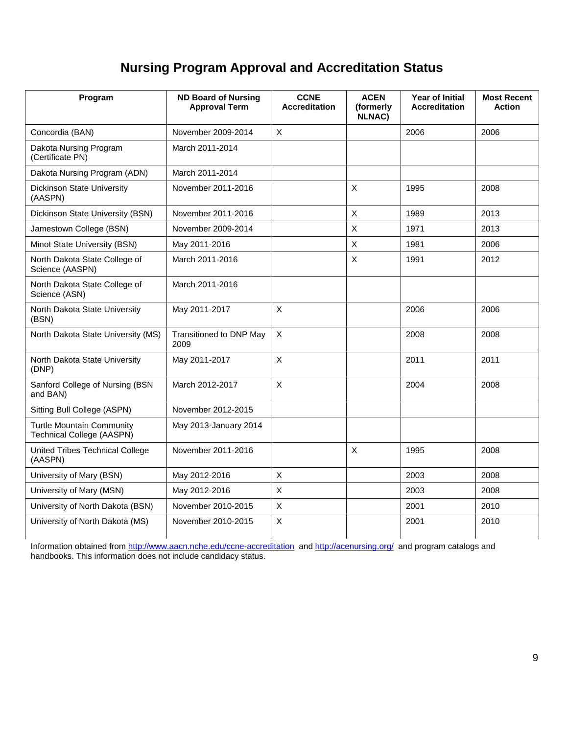## **Nursing Program Approval and Accreditation Status**

| Program                                                       | <b>ND Board of Nursing</b><br><b>Approval Term</b> | <b>CCNE</b><br><b>Accreditation</b> | <b>ACEN</b><br>(formerly<br><b>NLNAC)</b> | <b>Year of Initial</b><br><b>Accreditation</b> | <b>Most Recent</b><br><b>Action</b> |
|---------------------------------------------------------------|----------------------------------------------------|-------------------------------------|-------------------------------------------|------------------------------------------------|-------------------------------------|
| Concordia (BAN)                                               | November 2009-2014                                 | X                                   |                                           | 2006                                           | 2006                                |
| Dakota Nursing Program<br>(Certificate PN)                    | March 2011-2014                                    |                                     |                                           |                                                |                                     |
| Dakota Nursing Program (ADN)                                  | March 2011-2014                                    |                                     |                                           |                                                |                                     |
| <b>Dickinson State University</b><br>(AASPN)                  | November 2011-2016                                 |                                     | $\mathsf{X}$                              | 1995                                           | 2008                                |
| Dickinson State University (BSN)                              | November 2011-2016                                 |                                     | $\times$                                  | 1989                                           | 2013                                |
| Jamestown College (BSN)                                       | November 2009-2014                                 |                                     | $\mathsf{X}$                              | 1971                                           | 2013                                |
| Minot State University (BSN)                                  | May 2011-2016                                      |                                     | $\times$                                  | 1981                                           | 2006                                |
| North Dakota State College of<br>Science (AASPN)              | March 2011-2016                                    |                                     | X                                         | 1991                                           | 2012                                |
| North Dakota State College of<br>Science (ASN)                | March 2011-2016                                    |                                     |                                           |                                                |                                     |
| North Dakota State University<br>(BSN)                        | May 2011-2017                                      | X                                   |                                           | 2006                                           | 2006                                |
| North Dakota State University (MS)                            | Transitioned to DNP May<br>2009                    | X                                   |                                           | 2008                                           | 2008                                |
| North Dakota State University<br>(DNP)                        | May 2011-2017                                      | X                                   |                                           | 2011                                           | 2011                                |
| Sanford College of Nursing (BSN<br>and BAN)                   | March 2012-2017                                    | X                                   |                                           | 2004                                           | 2008                                |
| Sitting Bull College (ASPN)                                   | November 2012-2015                                 |                                     |                                           |                                                |                                     |
| <b>Turtle Mountain Community</b><br>Technical College (AASPN) | May 2013-January 2014                              |                                     |                                           |                                                |                                     |
| <b>United Tribes Technical College</b><br>(AASPN)             | November 2011-2016                                 |                                     | $\mathsf{X}$                              | 1995                                           | 2008                                |
| University of Mary (BSN)                                      | May 2012-2016                                      | X                                   |                                           | 2003                                           | 2008                                |
| University of Mary (MSN)                                      | May 2012-2016                                      | X                                   |                                           | 2003                                           | 2008                                |
| University of North Dakota (BSN)                              | November 2010-2015                                 | X                                   |                                           | 2001                                           | 2010                                |
| University of North Dakota (MS)                               | November 2010-2015                                 | $\pmb{\times}$                      |                                           | 2001                                           | 2010                                |

Information obtained from<http://www.aacn.nche.edu/ccne-accreditation> and<http://acenursing.org/> and program catalogs and handbooks. This information does not include candidacy status.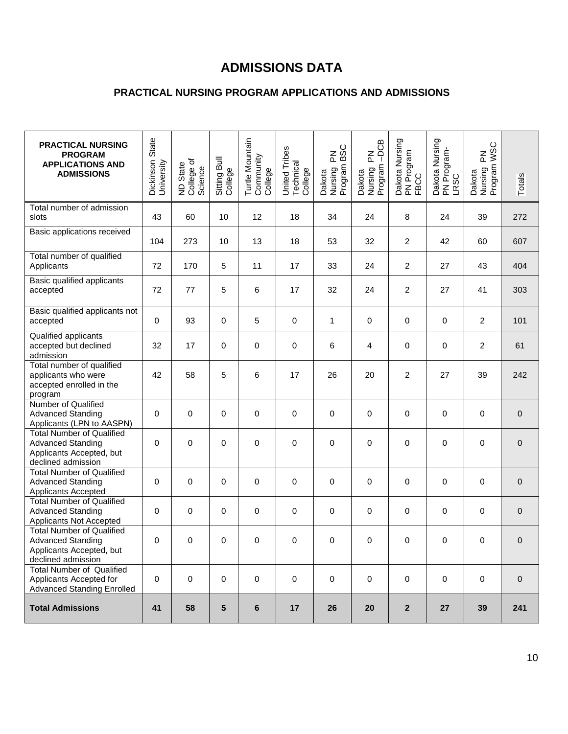## **ADMISSIONS DATA**

### **PRACTICAL NURSING PROGRAM APPLICATIONS AND ADMISSIONS**

| <b>PRACTICAL NURSING</b><br><b>PROGRAM</b><br><b>APPLICATIONS AND</b><br><b>ADMISSIONS</b>                     | Dickinson State<br>University | ND State<br>College of<br>Science | Sitting Bull<br>College | Turtle Mountain<br>Community<br>College | United Tribes<br>Technical<br>College | <b>BSC</b><br>좀<br>Dakota<br>Nursing F<br>Program I | $-DCB$<br>$\mathop{\Xi}\limits_{\mathbb{L}}$<br>Dakota<br>Nursing F<br>Program - | Dakota Nursing<br>PN Program<br>FBCC | Dakota Nursing<br>PN Program-<br>LRSC | Dakota<br>Nursing PN<br>Program WSC | Totals      |
|----------------------------------------------------------------------------------------------------------------|-------------------------------|-----------------------------------|-------------------------|-----------------------------------------|---------------------------------------|-----------------------------------------------------|----------------------------------------------------------------------------------|--------------------------------------|---------------------------------------|-------------------------------------|-------------|
| Total number of admission<br>slots                                                                             | 43                            | 60                                | 10                      | 12                                      | 18                                    | 34                                                  | 24                                                                               | 8                                    | 24                                    | 39                                  | 272         |
| Basic applications received                                                                                    | 104                           | 273                               | 10                      | 13                                      | 18                                    | 53                                                  | 32                                                                               | $\overline{c}$                       | 42                                    | 60                                  | 607         |
| Total number of qualified<br>Applicants                                                                        | 72                            | 170                               | 5                       | 11                                      | 17                                    | 33                                                  | 24                                                                               | $\overline{c}$                       | 27                                    | 43                                  | 404         |
| Basic qualified applicants<br>accepted                                                                         | 72                            | 77                                | 5                       | 6                                       | 17                                    | 32                                                  | 24                                                                               | $\overline{2}$                       | 27                                    | 41                                  | 303         |
| Basic qualified applicants not<br>accepted                                                                     | 0                             | 93                                | 0                       | 5                                       | 0                                     | 1                                                   | 0                                                                                | $\mathbf 0$                          | 0                                     | $\overline{c}$                      | 101         |
| Qualified applicants<br>accepted but declined<br>admission                                                     | 32                            | 17                                | 0                       | $\mathbf 0$                             | 0                                     | 6                                                   | 4                                                                                | 0                                    | 0                                     | $\overline{c}$                      | 61          |
| Total number of qualified<br>applicants who were<br>accepted enrolled in the<br>program                        | 42                            | 58                                | 5                       | 6                                       | 17                                    | 26                                                  | 20                                                                               | $\overline{c}$                       | 27                                    | 39                                  | 242         |
| Number of Qualified<br><b>Advanced Standing</b><br>Applicants (LPN to AASPN)                                   | 0                             | 0                                 | 0                       | $\pmb{0}$                               | 0                                     | 0                                                   | 0                                                                                | 0                                    | 0                                     | 0                                   | 0           |
| <b>Total Number of Qualified</b><br><b>Advanced Standing</b><br>Applicants Accepted, but<br>declined admission | 0                             | $\mathbf 0$                       | 0                       | $\mathbf 0$                             | 0                                     | 0                                                   | 0                                                                                | $\mathbf 0$                          | $\mathbf 0$                           | 0                                   | $\mathbf 0$ |
| <b>Total Number of Qualified</b><br><b>Advanced Standing</b><br>Applicants Accepted                            | 0                             | 0                                 | 0                       | $\pmb{0}$                               | 0                                     | 0                                                   | 0                                                                                | 0                                    | 0                                     | 0                                   | 0           |
| <b>Total Number of Qualified</b><br><b>Advanced Standing</b><br>Applicants Not Accepted                        | 0                             | $\mathbf 0$                       | 0                       | $\pmb{0}$                               | 0                                     | 0                                                   | 0                                                                                | 0                                    | $\mathbf 0$                           | 0                                   | $\mathbf 0$ |
| <b>Total Number of Qualified</b><br><b>Advanced Standing</b><br>Applicants Accepted, but<br>declined admission | 0                             | 0                                 | 0                       | 0                                       | 0                                     | 0                                                   | 0                                                                                | 0                                    | 0                                     | 0                                   | 0           |
| <b>Total Number of Qualified</b><br>Applicants Accepted for<br><b>Advanced Standing Enrolled</b>               | 0                             | $\pmb{0}$                         | $\pmb{0}$               | $\mathbf 0$                             | 0                                     | $\mathbf 0$                                         | $\pmb{0}$                                                                        | $\pmb{0}$                            | $\mathsf{O}\xspace$                   | $\mathbf 0$                         | $\mathbf 0$ |
| <b>Total Admissions</b>                                                                                        | 41                            | 58                                | 5                       | 6                                       | 17                                    | 26                                                  | 20                                                                               | $\mathbf{2}$                         | 27                                    | 39                                  | 241         |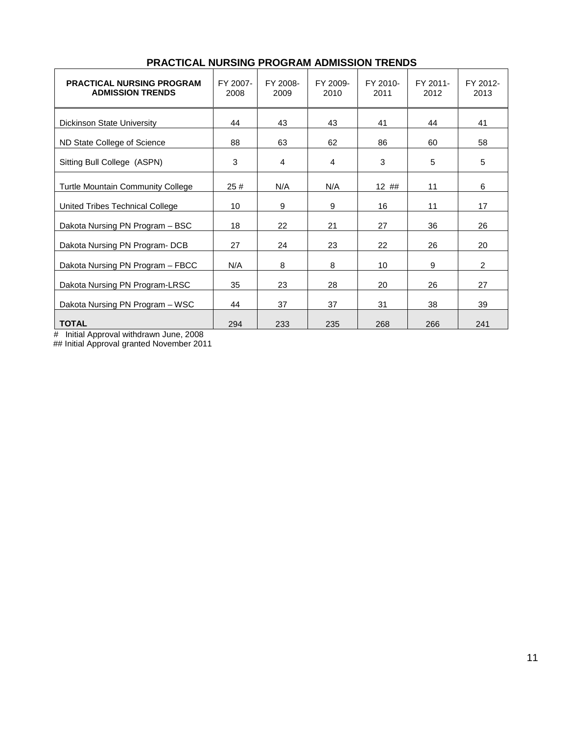| <b>PRACTICAL NURSING PROGRAM</b><br><b>ADMISSION TRENDS</b> | FY 2007-<br>2008 | FY 2008-<br>2009 | FY 2009-<br>2010 | FY 2010-<br>2011 | FY 2011-<br>2012 | FY 2012-<br>2013 |
|-------------------------------------------------------------|------------------|------------------|------------------|------------------|------------------|------------------|
| Dickinson State University                                  | 44               | 43               | 43               | 41               | 44               | 41               |
| ND State College of Science                                 | 88               | 63               | 62               | 86               | 60               | 58               |
| Sitting Bull College (ASPN)                                 | 3                | 4                | 4                | 3                | 5                | 5                |
| <b>Turtle Mountain Community College</b>                    | 25#              | N/A              | N/A              | 12##             | 11               | 6                |
| United Tribes Technical College                             | 10               | 9                | 9                | 16               | 11               | 17               |
| Dakota Nursing PN Program - BSC                             | 18               | 22               | 21               | 27               | 36               | 26               |
| Dakota Nursing PN Program- DCB                              | 27               | 24               | 23               | 22               | 26               | 20               |
| Dakota Nursing PN Program - FBCC                            | N/A              | 8                | 8                | 10               | 9                | $\overline{2}$   |
| Dakota Nursing PN Program-LRSC                              | 35               | 23               | 28               | 20               | 26               | 27               |
| Dakota Nursing PN Program - WSC                             | 44               | 37               | 37               | 31               | 38               | 39               |
| <b>TOTAL</b>                                                | 294              | 233              | 235              | 268              | 266              | 241              |

### **PRACTICAL NURSING PROGRAM ADMISSION TRENDS**

# Initial Approval withdrawn June, 2008

## Initial Approval granted November 2011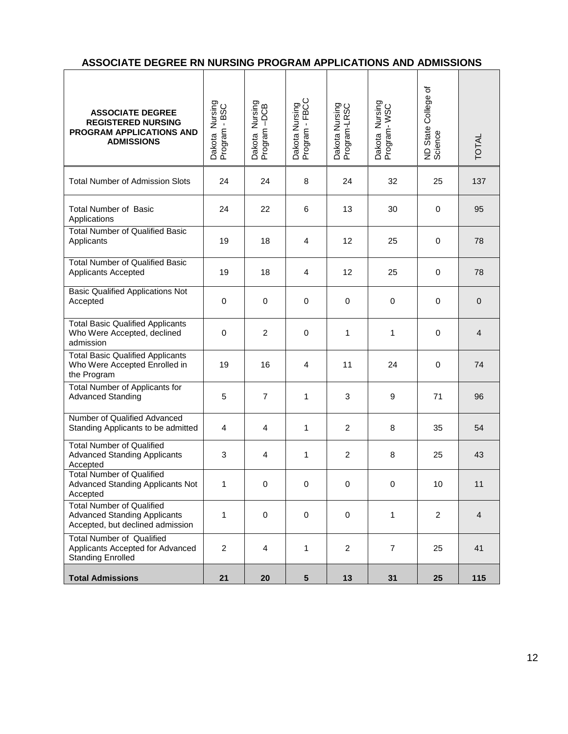### **ASSOCIATE DEGREE RN NURSING PROGRAM APPLICATIONS AND ADMISSIONS**

| <b>ASSOCIATE DEGREE</b><br><b>REGISTERED NURSING</b><br>PROGRAM APPLICATIONS AND<br><b>ADMISSIONS</b>       | Dakota Nursing<br>Program - BSC | Dakota Nursing<br>Program –DCB | Dakota Nursing<br>Program - FBCC | Dakota Nursing<br>Program-LRSC | Dakota Nursing<br>Program-WSC | đ<br>ND State College<br>Science | <b>TOTAL</b>   |
|-------------------------------------------------------------------------------------------------------------|---------------------------------|--------------------------------|----------------------------------|--------------------------------|-------------------------------|----------------------------------|----------------|
| <b>Total Number of Admission Slots</b>                                                                      | 24                              | 24                             | 8                                | 24                             | 32                            | 25                               | 137            |
| <b>Total Number of Basic</b><br>Applications                                                                | 24                              | 22                             | 6                                | 13                             | 30                            | 0                                | 95             |
| <b>Total Number of Qualified Basic</b><br>Applicants                                                        | 19                              | 18                             | 4                                | 12                             | 25                            | 0                                | 78             |
| <b>Total Number of Qualified Basic</b><br>Applicants Accepted                                               | 19                              | 18                             | $\overline{4}$                   | 12                             | 25                            | $\mathbf 0$                      | 78             |
| <b>Basic Qualified Applications Not</b><br>Accepted                                                         | $\mathbf 0$                     | 0                              | $\mathbf 0$                      | 0                              | 0                             | 0                                | $\pmb{0}$      |
| <b>Total Basic Qualified Applicants</b><br>Who Were Accepted, declined<br>admission                         | $\mathbf 0$                     | $\overline{c}$                 | 0                                | 1                              | 1                             | 0                                | $\overline{4}$ |
| <b>Total Basic Qualified Applicants</b><br>Who Were Accepted Enrolled in<br>the Program                     | 19                              | 16                             | 4                                | 11                             | 24                            | 0                                | 74             |
| Total Number of Applicants for<br><b>Advanced Standing</b>                                                  | 5                               | $\overline{7}$                 | 1                                | 3                              | 9                             | 71                               | 96             |
| Number of Qualified Advanced<br>Standing Applicants to be admitted                                          | 4                               | 4                              | 1                                | $\overline{c}$                 | 8                             | 35                               | 54             |
| <b>Total Number of Qualified</b><br><b>Advanced Standing Applicants</b><br>Accepted                         | 3                               | 4                              | 1                                | 2                              | 8                             | 25                               | 43             |
| <b>Total Number of Qualified</b><br><b>Advanced Standing Applicants Not</b><br>Accepted                     | 1                               | 0                              | 0                                | 0                              | 0                             | 10                               | 11             |
| <b>Total Number of Qualified</b><br><b>Advanced Standing Applicants</b><br>Accepted, but declined admission | 1                               | $\mathbf 0$                    | $\mathbf 0$                      | 0                              | 1                             | $\overline{2}$                   | $\overline{4}$ |
| <b>Total Number of Qualified</b><br>Applicants Accepted for Advanced<br><b>Standing Enrolled</b>            | $\overline{2}$                  | 4                              | $\mathbf{1}$                     | $\overline{2}$                 | $\overline{7}$                | 25                               | 41             |
| <b>Total Admissions</b>                                                                                     | 21                              | 20                             | $5\phantom{.0}$                  | 13                             | 31                            | 25                               | 115            |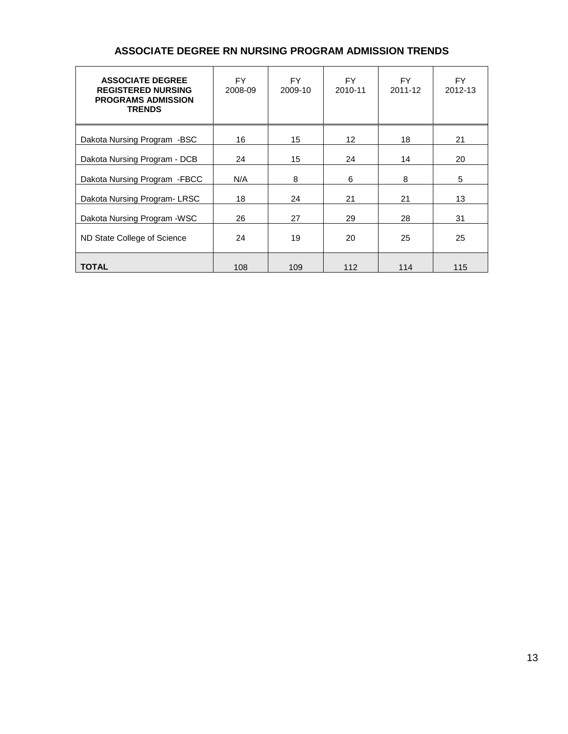| <b>ASSOCIATE DEGREE</b><br><b>REGISTERED NURSING</b><br><b>PROGRAMS ADMISSION</b><br><b>TRENDS</b> | <b>FY</b><br>2008-09 | FY.<br>2009-10 | FY.<br>2010-11    | FY.<br>2011-12 | <b>FY</b><br>2012-13 |
|----------------------------------------------------------------------------------------------------|----------------------|----------------|-------------------|----------------|----------------------|
| Dakota Nursing Program -BSC                                                                        | 16                   | 15             | $12 \overline{ }$ | 18             | 21                   |
| Dakota Nursing Program - DCB                                                                       | 24                   | 15             | 24                | 14             | 20                   |
| Dakota Nursing Program - FBCC                                                                      | N/A                  | 8              | 6                 | 8              | 5                    |
| Dakota Nursing Program-LRSC                                                                        | 18                   | 24             | 21                | 21             | 13                   |
| Dakota Nursing Program - WSC                                                                       | 26                   | 27             | 29                | 28             | 31                   |
| ND State College of Science                                                                        | 24                   | 19             | 20                | 25             | 25                   |
| <b>TOTAL</b>                                                                                       | 108                  | 109            | 112               | 114            | 115                  |

### **ASSOCIATE DEGREE RN NURSING PROGRAM ADMISSION TRENDS**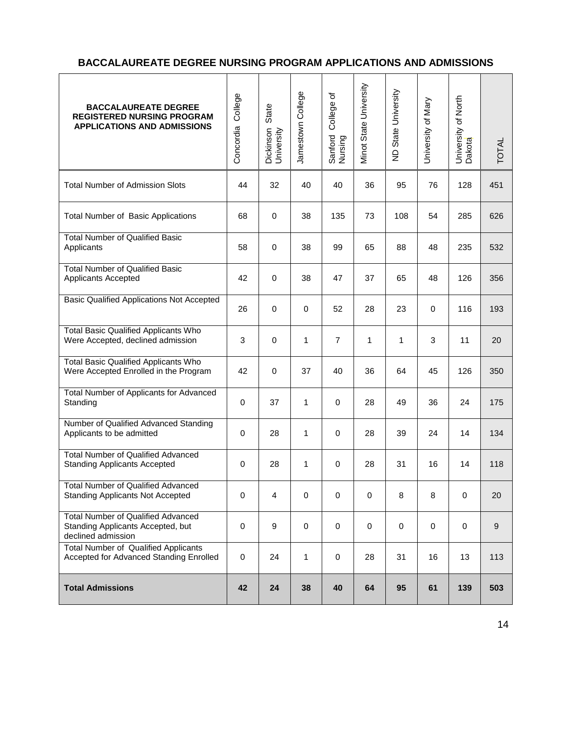### **BACCALAUREATE DEGREE NURSING PROGRAM APPLICATIONS AND ADMISSIONS**

| <b>BACCALAUREATE DEGREE</b><br><b>REGISTERED NURSING PROGRAM</b><br><b>APPLICATIONS AND ADMISSIONS</b> | College<br>Concordia | State<br>Dickinson<br>University | Jamestown College | College of<br>Sanford<br>Nursing | Minot State University | ND State University | University of Mary | University of North<br>Dakota | <b>TOTAL</b> |
|--------------------------------------------------------------------------------------------------------|----------------------|----------------------------------|-------------------|----------------------------------|------------------------|---------------------|--------------------|-------------------------------|--------------|
| <b>Total Number of Admission Slots</b>                                                                 | 44                   | 32                               | 40                | 40                               | 36                     | 95                  | 76                 | 128                           | 451          |
| <b>Total Number of Basic Applications</b>                                                              | 68                   | $\mathbf 0$                      | 38                | 135                              | 73                     | 108                 | 54                 | 285                           | 626          |
| <b>Total Number of Qualified Basic</b><br>Applicants                                                   | 58                   | $\mathbf 0$                      | 38                | 99                               | 65                     | 88                  | 48                 | 235                           | 532          |
| <b>Total Number of Qualified Basic</b><br>Applicants Accepted                                          | 42                   | $\mathbf 0$                      | 38                | 47                               | 37                     | 65                  | 48                 | 126                           | 356          |
| <b>Basic Qualified Applications Not Accepted</b>                                                       | 26                   | $\mathbf 0$                      | $\mathbf 0$       | 52                               | 28                     | 23                  | 0                  | 116                           | 193          |
| <b>Total Basic Qualified Applicants Who</b><br>Were Accepted, declined admission                       | 3                    | $\mathbf 0$                      | 1                 | $\overline{7}$                   | 1                      | 1                   | $\mathbf{3}$       | 11                            | 20           |
| <b>Total Basic Qualified Applicants Who</b><br>Were Accepted Enrolled in the Program                   | 42                   | $\mathbf 0$                      | 37                | 40                               | 36                     | 64                  | 45                 | 126                           | 350          |
| Total Number of Applicants for Advanced<br>Standing                                                    | $\mathbf 0$          | 37                               | 1                 | $\mathbf 0$                      | 28                     | 49                  | 36                 | 24                            | 175          |
| Number of Qualified Advanced Standing<br>Applicants to be admitted                                     | $\mathbf 0$          | 28                               | 1                 | 0                                | 28                     | 39                  | 24                 | 14                            | 134          |
| <b>Total Number of Qualified Advanced</b><br><b>Standing Applicants Accepted</b>                       | $\mathbf 0$          | 28                               | $\mathbf{1}$      | $\mathbf 0$                      | 28                     | 31                  | 16                 | 14                            | 118          |
| <b>Total Number of Qualified Advanced</b><br><b>Standing Applicants Not Accepted</b>                   | $\mathbf 0$          | $\overline{4}$                   | 0                 | 0                                | $\mathbf 0$            | 8                   | 8                  | 0                             | 20           |
| <b>Total Number of Qualified Advanced</b><br>Standing Applicants Accepted, but<br>declined admission   | 0                    | 9                                | $\mathbf 0$       | $\mathbf 0$                      | 0                      | $\mathbf 0$         | $\mathbf 0$        | $\mathbf 0$                   | $9\,$        |
| <b>Total Number of Qualified Applicants</b><br>Accepted for Advanced Standing Enrolled                 | 0                    | 24                               | 1                 | 0                                | 28                     | 31                  | 16                 | 13                            | 113          |
| <b>Total Admissions</b>                                                                                | 42                   | 24                               | 38                | 40                               | 64                     | 95                  | 61                 | 139                           | 503          |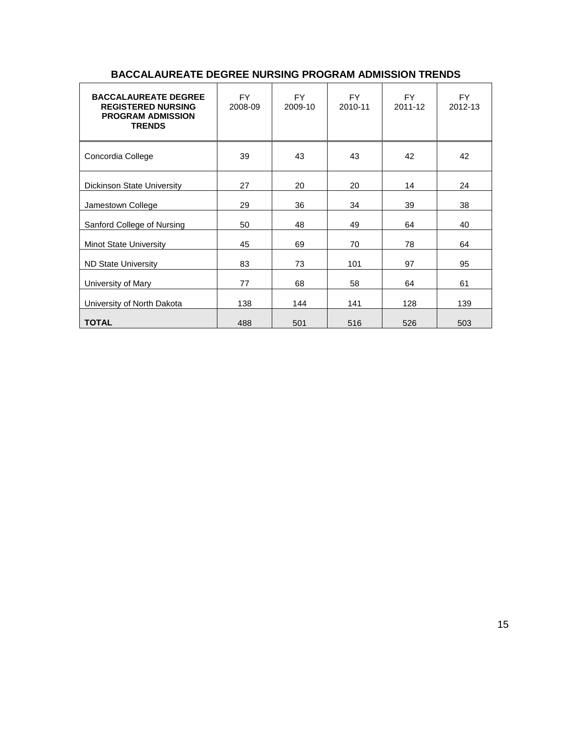| <b>BACCALAUREATE DEGREE</b><br><b>REGISTERED NURSING</b><br><b>PROGRAM ADMISSION</b><br><b>TRENDS</b> | <b>FY</b><br>2008-09 | <b>FY</b><br>2009-10 | <b>FY</b><br>2010-11 | <b>FY</b><br>2011-12 | FY.<br>2012-13 |
|-------------------------------------------------------------------------------------------------------|----------------------|----------------------|----------------------|----------------------|----------------|
| Concordia College                                                                                     | 39                   | 43                   | 43                   | 42                   | 42             |
| Dickinson State University                                                                            | 27                   | 20                   | 20                   | 14                   | 24             |
| Jamestown College                                                                                     | 29                   | 36                   | 34                   | 39                   | 38             |
| Sanford College of Nursing                                                                            | 50                   | 48                   | 49                   | 64                   | 40             |
| <b>Minot State University</b>                                                                         | 45                   | 69                   | 70                   | 78                   | 64             |
| <b>ND State University</b>                                                                            | 83                   | 73                   | 101                  | 97                   | 95             |
| University of Mary                                                                                    | 77                   | 68                   | 58                   | 64                   | 61             |
| University of North Dakota                                                                            | 138                  | 144                  | 141                  | 128                  | 139            |
| <b>TOTAL</b>                                                                                          | 488                  | 501                  | 516                  | 526                  | 503            |

### **BACCALAUREATE DEGREE NURSING PROGRAM ADMISSION TRENDS**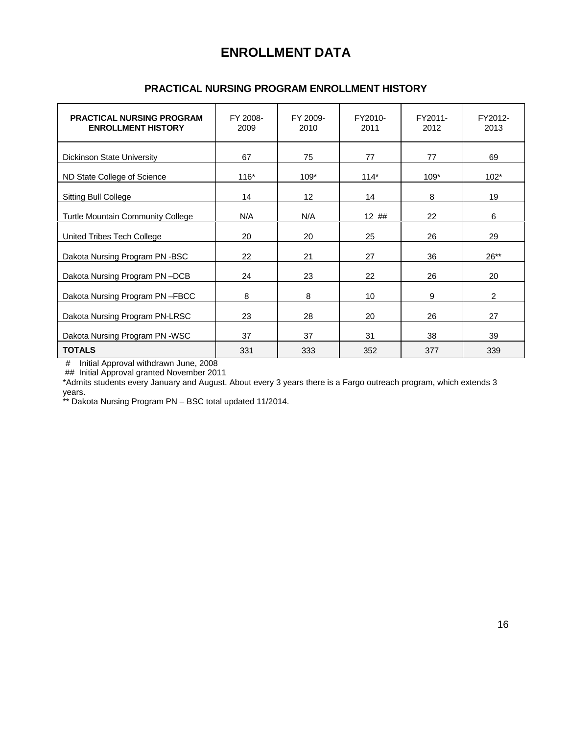## **ENROLLMENT DATA**

| <b>PRACTICAL NURSING PROGRAM</b><br><b>ENROLLMENT HISTORY</b> | FY 2008-<br>2009 | FY 2009-<br>2010 | FY2010-<br>2011 | FY2011-<br>2012 | FY2012-<br>2013 |
|---------------------------------------------------------------|------------------|------------------|-----------------|-----------------|-----------------|
| Dickinson State University                                    | 67               | 75               | 77              | 77              | 69              |
| ND State College of Science                                   | $116*$           | $109*$           | $114*$          | 109*            | $102*$          |
| <b>Sitting Bull College</b>                                   | 14               | 12 <sup>°</sup>  | 14              | 8               | 19              |
| Turtle Mountain Community College                             | N/A              | N/A              | 12##            | 22              | 6               |
| United Tribes Tech College                                    | 20               | 20               | 25              | 26              | 29              |
| Dakota Nursing Program PN-BSC                                 | 22               | 21               | 27              | 36              | $26**$          |
| Dakota Nursing Program PN-DCB                                 | 24               | 23               | 22              | 26              | 20              |
| Dakota Nursing Program PN-FBCC                                | 8                | 8                | 10              | 9               | $\overline{2}$  |
| Dakota Nursing Program PN-LRSC                                | 23               | 28               | 20              | 26              | 27              |
| Dakota Nursing Program PN -WSC                                | 37               | 37               | 31              | 38              | 39              |
| <b>TOTALS</b>                                                 | 331              | 333              | 352             | 377             | 339             |

### **PRACTICAL NURSING PROGRAM ENROLLMENT HISTORY**

# Initial Approval withdrawn June, 2008

## Initial Approval granted November 2011

\*Admits students every January and August. About every 3 years there is a Fargo outreach program, which extends 3 years.

\*\* Dakota Nursing Program PN – BSC total updated 11/2014.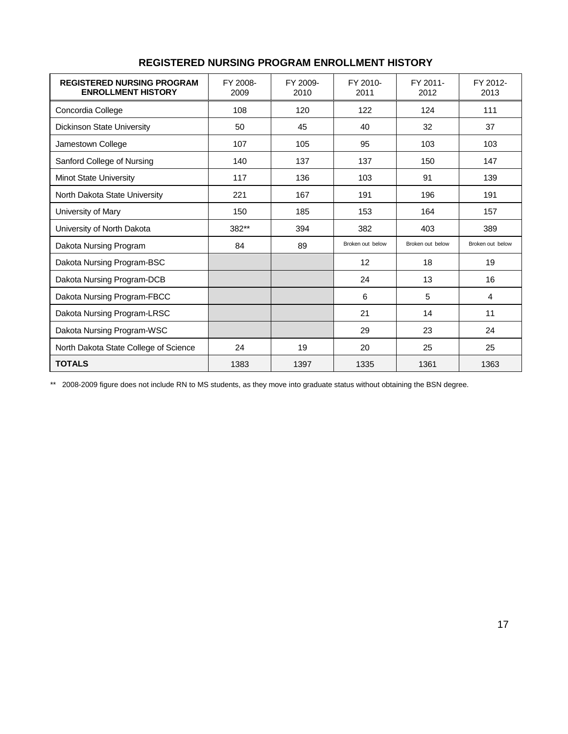| <b>REGISTERED NURSING PROGRAM</b><br><b>ENROLLMENT HISTORY</b> | FY 2008-<br>2009 | FY 2009-<br>2010 | FY 2010-<br>2011 | FY 2011-<br>2012 | FY 2012-<br>2013 |
|----------------------------------------------------------------|------------------|------------------|------------------|------------------|------------------|
| Concordia College                                              | 108              | 120              | 122              | 124              | 111              |
| Dickinson State University                                     | 50               | 45               | 40               | 32               | 37               |
| Jamestown College                                              | 107              | 105              | 95               | 103              | 103              |
| Sanford College of Nursing                                     | 140              | 137              | 137              | 150              | 147              |
| <b>Minot State University</b>                                  | 117              | 136              | 103              | 91               | 139              |
| North Dakota State University                                  | 221              | 167              | 191              | 196              | 191              |
| University of Mary                                             | 150              | 185              | 153              | 164              | 157              |
| University of North Dakota                                     | 382**            | 394              | 382              | 403              | 389              |
| Dakota Nursing Program                                         | 84               | 89               | Broken out below | Broken out below | Broken out below |
| Dakota Nursing Program-BSC                                     |                  |                  | 12               | 18               | 19               |
| Dakota Nursing Program-DCB                                     |                  |                  | 24               | 13               | 16               |
| Dakota Nursing Program-FBCC                                    |                  |                  | 6                | 5                | 4                |
| Dakota Nursing Program-LRSC                                    |                  |                  | 21               | 14               | 11               |
| Dakota Nursing Program-WSC                                     |                  |                  | 29               | 23               | 24               |
| North Dakota State College of Science                          | 24               | 19               | 20               | 25               | 25               |
| <b>TOTALS</b>                                                  | 1383             | 1397             | 1335             | 1361             | 1363             |

### **REGISTERED NURSING PROGRAM ENROLLMENT HISTORY**

\*\* 2008-2009 figure does not include RN to MS students, as they move into graduate status without obtaining the BSN degree.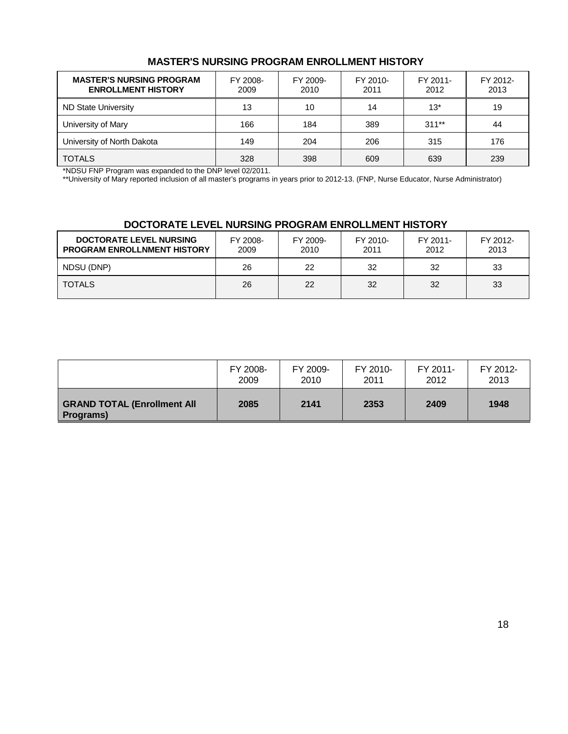### **MASTER'S NURSING PROGRAM ENROLLMENT HISTORY**

| <b>MASTER'S NURSING PROGRAM</b><br><b>ENROLLMENT HISTORY</b> | FY 2008-<br>2009 | FY 2009-<br>2010 | FY 2010-<br>2011 | FY 2011-<br>2012 | FY 2012-<br>2013 |
|--------------------------------------------------------------|------------------|------------------|------------------|------------------|------------------|
| ND State University                                          | 13               | 10               | 14               | $13*$            | 19               |
| University of Mary                                           | 166              | 184              | 389              | $311**$          | 44               |
| University of North Dakota                                   | 149              | 204              | 206              | 315              | 176              |
| <b>TOTALS</b>                                                | 328              | 398              | 609              | 639              | 239              |

\*NDSU FNP Program was expanded to the DNP level 02/2011.

\*\*University of Mary reported inclusion of all master's programs in years prior to 2012-13. (FNP, Nurse Educator, Nurse Administrator)

### **DOCTORATE LEVEL NURSING PROGRAM ENROLLMENT HISTORY**

| <b>DOCTORATE LEVEL NURSING</b><br><b>PROGRAM ENROLLNMENT HISTORY</b> | FY 2008-<br>2009 | FY 2009-<br>2010 | FY 2010-<br>2011 | FY 2011-<br>2012 | FY 2012-<br>2013 |
|----------------------------------------------------------------------|------------------|------------------|------------------|------------------|------------------|
| NDSU (DNP)                                                           | 26               | 22               | 32               | 32               | 33               |
| <b>TOTALS</b>                                                        | 26               | 22               | 32               | 32               | 33               |

|                                                 | FY 2008- | FY 2009- | FY 2010- | FY 2011- | FY 2012- |
|-------------------------------------------------|----------|----------|----------|----------|----------|
|                                                 | 2009     | 2010     | 2011     | 2012     | 2013     |
| <b>GRAND TOTAL (Enrollment All</b><br>Programs) | 2085     | 2141     | 2353     | 2409     | 1948     |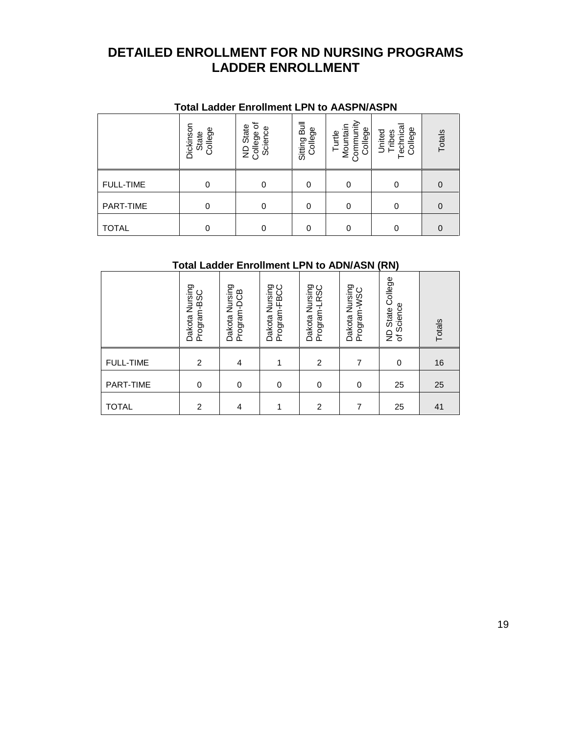## **DETAILED ENROLLMENT FOR ND NURSING PROGRAMS LADDER ENROLLMENT**

|                  | Total Ladder Enrollment LPN to AASPN/ASPN |                                                 |                         |                                            |                                        |          |
|------------------|-------------------------------------------|-------------------------------------------------|-------------------------|--------------------------------------------|----------------------------------------|----------|
|                  | Dickinsor<br>College<br>State             | 'ত<br>State<br>Science<br>College<br>$\epsilon$ | Sitting Bull<br>College | Turtle<br>Mountain<br>Community<br>College | echnica<br>College<br>United<br>Tribes | Totals   |
| <b>FULL-TIME</b> | $\Omega$                                  | 0                                               | 0                       |                                            | 0                                      | 0        |
| PART-TIME        | $\Omega$                                  | 0                                               | 0                       | $\Omega$                                   | 0                                      | 0        |
| <b>TOTAL</b>     | O                                         | 0                                               | O                       |                                            | 0                                      | $\Omega$ |

### **Total Ladder Enrollment LPN to AASPN/ASPN**

## **Total Ladder Enrollment LPN to ADN/ASN (RN)**

|                  | Dakota Nursing<br>Program-BSC | Nursing<br>Program-DCB<br>Dakota | Dakota Nursing<br>— FRCC<br>Program-FBC | Dakota Nursing<br>Program-LRSC | Dakota Nursing<br>Program-WSC | College<br>of Science<br>State<br>$\overline{z}$ | Totals |
|------------------|-------------------------------|----------------------------------|-----------------------------------------|--------------------------------|-------------------------------|--------------------------------------------------|--------|
| <b>FULL-TIME</b> | 2                             | 4                                | 1                                       | 2                              | 7                             | 0                                                | 16     |
| PART-TIME        | 0                             | $\Omega$                         | $\mathbf 0$                             | 0                              | 0                             | 25                                               | 25     |
| <b>TOTAL</b>     | 2                             | 4                                | 1                                       | 2                              | 7                             | 25                                               | 41     |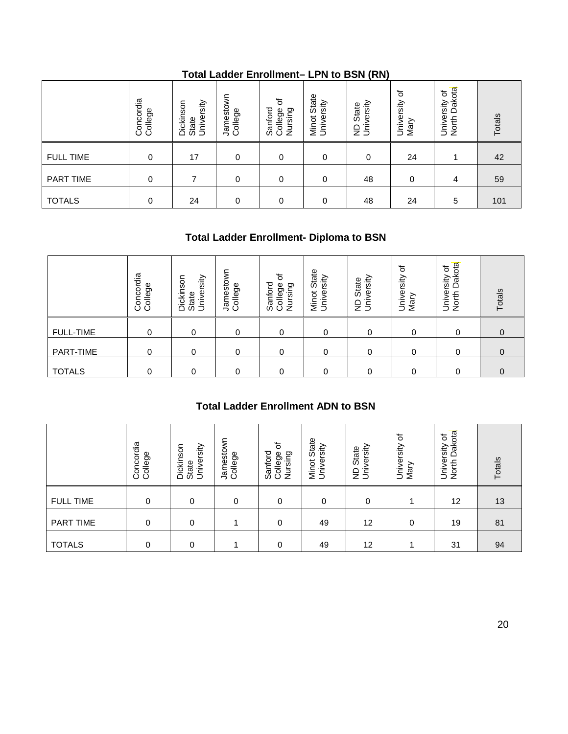|                  | Concordia<br>College | Dickinson<br>University<br>State | Jamestown<br>College | 'ত<br>Sanford<br>Nursing<br>College | State<br>Minot Stat<br>University | iversity<br>State<br>ξś | ৳<br>University<br>Mary | Dakota<br>৳<br>University<br>North | Totals |
|------------------|----------------------|----------------------------------|----------------------|-------------------------------------|-----------------------------------|-------------------------|-------------------------|------------------------------------|--------|
| <b>FULL TIME</b> | $\Omega$             | 17                               | 0                    | 0                                   | 0                                 | $\Omega$                | 24                      |                                    | 42     |
| PART TIME        | 0                    |                                  | 0                    | 0                                   | 0                                 | 48                      | 0                       | 4                                  | 59     |
| <b>TOTALS</b>    | 0                    | 24                               | 0                    | 0                                   | 0                                 | 48                      | 24                      | 5                                  | 101    |

### **Total Ladder Enrollment– LPN to BSN (RN)**

### **Total Ladder Enrollment- Diploma to BSN**

|                  | Concordia<br>College | University<br>nson<br>Dickir<br>State | Jamestown<br>College | ৳<br>Sanford<br>College<br>Nursing | State<br>rsity<br>Minot<br>Univel | versity<br>State<br>Ŝ<br>$\frac{1}{2}$ | ৳<br>University<br>Mary | Dakota<br>đ<br>University<br>North | Totals |
|------------------|----------------------|---------------------------------------|----------------------|------------------------------------|-----------------------------------|----------------------------------------|-------------------------|------------------------------------|--------|
| <b>FULL-TIME</b> | 0                    | 0                                     | 0                    | 0                                  | 0                                 | 0                                      | 0                       | 0                                  | 0      |
| PART-TIME        | 0                    | 0                                     | 0                    | $\Omega$                           | 0                                 | 0                                      | 0                       | 0                                  | 0      |
| <b>TOTALS</b>    | 0                    | 0                                     | 0                    | $\Omega$                           | 0                                 | 0                                      | 0                       | 0                                  | 0      |

### **Total Ladder Enrollment ADN to BSN**

|                  | Concordia<br>College | Dickinson<br>University<br>State | Jamestown<br>College | College of<br>Sanford<br>Nursing | Minot State<br>University                 | ND State<br>University | University or<br>Mary | University or<br>North Dakot  | Totals         |
|------------------|----------------------|----------------------------------|----------------------|----------------------------------|-------------------------------------------|------------------------|-----------------------|-------------------------------|----------------|
| <b>FULL-TIME</b> | $\mathbf 0$          | $\mathbf 0$                      | 0                    | $\mathbf 0$                      | $\mathbf 0$                               | $\mathbf 0$            | $\mathbf 0$           | 0                             | $\overline{0}$ |
| PART-TIME        | $\mathbf 0$          | $\mathbf 0$                      | 0                    | 0                                | $\mathbf 0$                               | $\mathbf 0$            | 0                     | $\mathbf 0$                   | 0              |
| <b>TOTALS</b>    | 0                    | $\mathbf 0$                      | 0                    | 0                                | $\mathbf 0$                               | 0                      | 0                     | 0                             | $\pmb{0}$      |
|                  |                      |                                  |                      |                                  | <b>Total Ladder Enrollment ADN to BSN</b> |                        |                       |                               |                |
|                  | Concordia<br>College | Dickinson<br>University<br>State | Jamestown<br>College | Sanford<br>College of<br>Nursing | Minot State<br>University                 | ND State<br>University | University of<br>Mary | University of<br>North Dakota | Totals         |
| <b>FULL TIME</b> | 0                    | $\mathbf 0$                      | $\mathbf 0$          | 0                                | $\mathbf 0$                               | $\pmb{0}$              | 1                     | 12                            | 13             |
| <b>PART TIME</b> | 0                    | $\mathbf 0$                      | 1                    | $\mathbf 0$                      | 49                                        | 12                     | $\mathbf 0$           | 19                            | 81             |
| <b>TOTALS</b>    | 0                    | $\mathbf 0$                      | 1                    | $\mathbf 0$                      | 49                                        | 12                     | 1                     | 31                            | 94             |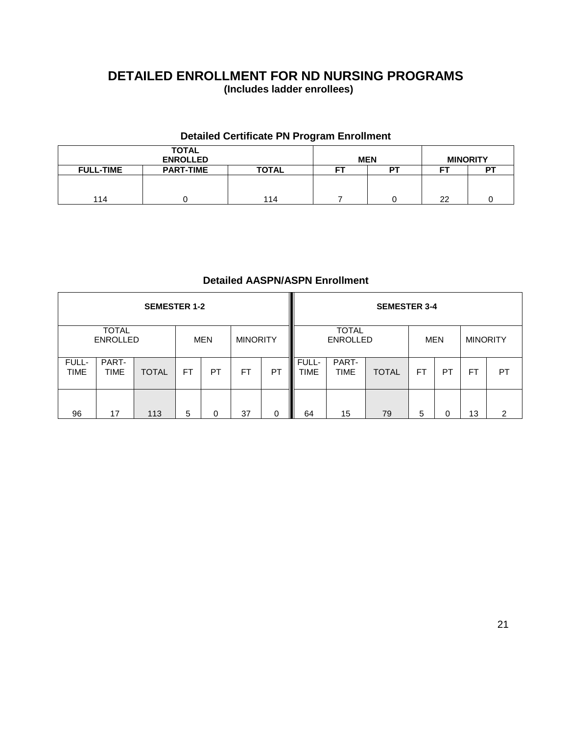### **DETAILED ENROLLMENT FOR ND NURSING PROGRAMS (Includes ladder enrollees)**

### **Detailed Certificate PN Program Enrollment**

|                  | <b>TOTAL</b><br><b>ENROLLED</b> |              |    | <b>MEN</b> | <b>MINORITY</b> |  |
|------------------|---------------------------------|--------------|----|------------|-----------------|--|
| <b>FULL-TIME</b> | <b>PART-TIME</b>                | <b>TOTAL</b> | -- | DТ         | ст              |  |
|                  |                                 |              |    |            |                 |  |
|                  |                                 |              |    |            |                 |  |
| 114              |                                 | 114          |    |            | 22              |  |

### **Detailed AASPN/ASPN Enrollment**

|               |                                 | <b>SEMESTER 1-2</b> |                        |    |           |         |                      |                                 | <b>SEMESTER 3-4</b> |           |     |                 |    |
|---------------|---------------------------------|---------------------|------------------------|----|-----------|---------|----------------------|---------------------------------|---------------------|-----------|-----|-----------------|----|
|               | <b>TOTAL</b><br><b>ENROLLED</b> |                     | <b>MINORITY</b><br>MEN |    |           |         |                      | <b>TOTAL</b><br><b>ENROLLED</b> |                     |           | MEN | <b>MINORITY</b> |    |
| FULL-<br>TIME | PART-<br><b>TIME</b>            | <b>TOTAL</b>        | <b>FT</b>              | PT | <b>FT</b> | PT<br>I | FULL-<br><b>TIME</b> | PART-<br><b>TIME</b>            | <b>TOTAL</b>        | <b>FT</b> | PT  | <b>FT</b>       | PT |
| 96            | 17                              | 113                 | 5                      | 0  | 37        | 0       | 64                   | 15                              | 79                  | 5         | 0   | 13              | 2  |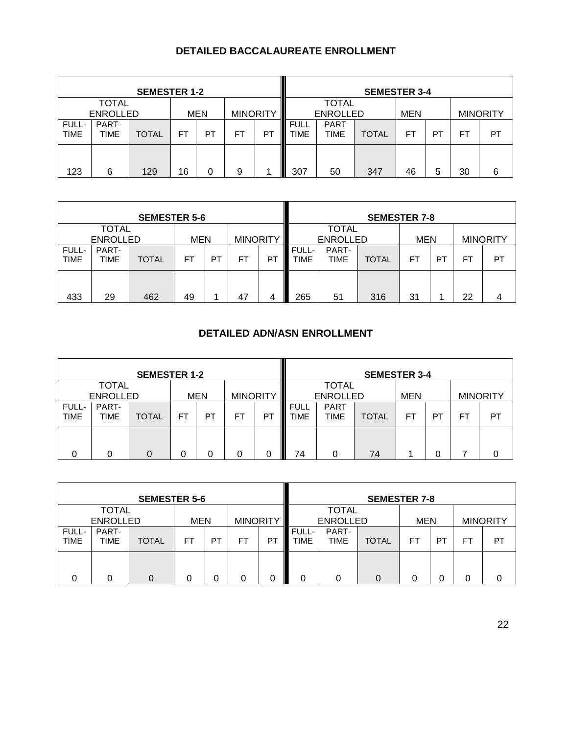### **DETAILED BACCALAUREATE ENROLLMENT**

|                      |                                 | <b>SEMESTER 1-2</b> |    |            |                 |                |                                                            |                                 | <b>SEMESTER 3-4</b> |           |    |     |                 |
|----------------------|---------------------------------|---------------------|----|------------|-----------------|----------------|------------------------------------------------------------|---------------------------------|---------------------|-----------|----|-----|-----------------|
|                      | <b>TOTAL</b><br><b>ENROLLED</b> |                     |    | <b>MEN</b> | <b>MINORITY</b> |                |                                                            | <b>TOTAL</b><br><b>ENROLLED</b> |                     |           |    |     | <b>MINORITY</b> |
| FULL-<br><b>TIME</b> | PART-<br>TIME                   | <b>TOTAL</b>        | FT | PТ         | FT              | P <sub>1</sub> | <b>PART</b><br><b>FULL</b><br><b>TOTAL</b><br>TIME<br>TIME |                                 |                     | <b>FT</b> | PT | FT. | PT              |
| 123                  | 6                               | 129                 | 16 |            | 9               |                | 307                                                        | 50                              | 347                 | 46        | 5  | 30  | 6               |

|                      |                      | <b>SEMESTER 5-6</b> |            |           |                 |    |                      |                 | <b>SEMESTER 7-8</b> |            |    |    |                 |
|----------------------|----------------------|---------------------|------------|-----------|-----------------|----|----------------------|-----------------|---------------------|------------|----|----|-----------------|
|                      | TOTAL                |                     |            |           |                 |    |                      | <b>TOTAL</b>    |                     |            |    |    |                 |
|                      | <b>ENROLLED</b>      |                     | <b>MEN</b> |           | <b>MINORITY</b> |    |                      | <b>ENROLLED</b> |                     | <b>MEN</b> |    |    | <b>MINORITY</b> |
| FULL-<br><b>TIME</b> | PART-<br><b>TIME</b> | <b>TOTAL</b>        | FΤ         | <b>PT</b> | FT              | P1 | FULL-<br><b>TIME</b> | PART-<br>TIME   | <b>TOTAL</b>        | FΤ         | P1 | FT | PT              |
| 433                  | 29                   | 462                 | 49         |           | 47              |    | 265                  | 51              | 316                 | 31         |    | 22 |                 |

### **DETAILED ADN/ASN ENROLLMENT**

|                                                                  |                      | <b>SEMESTER 1-2</b> |    |    |    |    |                     |                                            | <b>SEMESTER 3-4</b> |            |    |    |                 |
|------------------------------------------------------------------|----------------------|---------------------|----|----|----|----|---------------------|--------------------------------------------|---------------------|------------|----|----|-----------------|
| <b>TOTAL</b><br><b>ENROLLED</b><br><b>MEN</b><br><b>MINORITY</b> |                      |                     |    |    |    |    |                     | <b>TOTAL</b>                               |                     |            |    |    |                 |
|                                                                  |                      |                     |    |    |    |    |                     | <b>ENROLLED</b>                            |                     | <b>MEN</b> |    |    | <b>MINORITY</b> |
| FULL-<br><b>TIME</b>                                             | PART-<br><b>TIME</b> | <b>TOTAL</b>        | FT | PT | FT | PT | <b>FULL</b><br>TIME | <b>PART</b><br><b>TIME</b><br><b>TOTAL</b> |                     |            | PT | F7 | PT              |
|                                                                  |                      |                     | 0  | 0  |    | 0  | 74<br>Ш             |                                            | 74                  |            | 0  |    |                 |

| <b>SEMESTER 5-6</b>  |                                 |              |            |           |                 |    | <b>SEMESTER 7-8</b>             |               |              |            |                |    |                 |
|----------------------|---------------------------------|--------------|------------|-----------|-----------------|----|---------------------------------|---------------|--------------|------------|----------------|----|-----------------|
|                      | <b>TOTAL</b><br><b>ENROLLED</b> |              | <b>MEN</b> |           | <b>MINORITY</b> |    | <b>TOTAL</b><br><b>ENROLLED</b> |               |              | <b>MEN</b> |                |    | <b>MINORITY</b> |
| FULL-<br><b>TIME</b> | PART-<br>TIME                   | <b>TOTAL</b> | FΤ         | <b>PT</b> | FT              | P1 | FULL-<br>TIME                   | PART-<br>TIME | <b>TOTAL</b> | FT         | P <sub>1</sub> | F7 | PT              |
| 0                    | 0                               |              |            |           | 0               |    | 0                               |               | 0            | 0          |                |    |                 |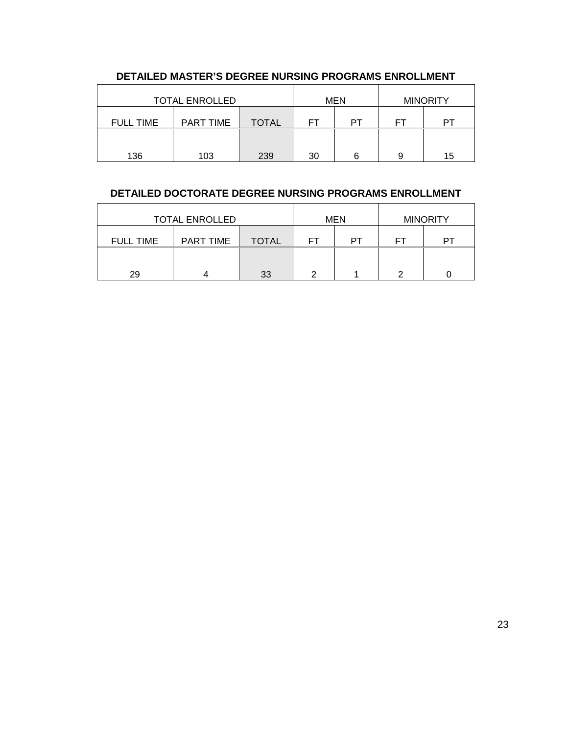| <b>TOTAL ENROLLED</b> |                  |       | <b>MEN</b> |    | <b>MINORITY</b> |    |
|-----------------------|------------------|-------|------------|----|-----------------|----|
| <b>FULL TIME</b>      | <b>PART TIME</b> | TOTAL | FТ         | PT | FТ              | ÞТ |
|                       |                  |       |            |    |                 |    |
| 136                   | 103              | 239   | 30         | ีค | 9               | 15 |

### **DETAILED MASTER'S DEGREE NURSING PROGRAMS ENROLLMENT**

### **DETAILED DOCTORATE DEGREE NURSING PROGRAMS ENROLLMENT**

| <b>TOTAL ENROLLED</b> |           |       | <b>MEN</b> |    | <b>MINORITY</b> |  |
|-----------------------|-----------|-------|------------|----|-----------------|--|
| <b>FULL TIME</b>      | PART TIME | TOTAL |            | DТ | FТ              |  |
|                       |           |       |            |    |                 |  |
| 29                    |           | 33    | ┍          |    | ⌒               |  |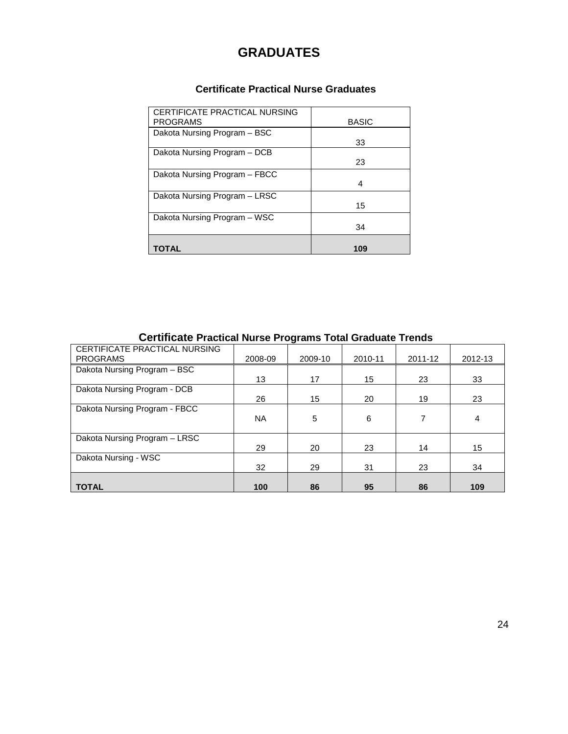## **GRADUATES**

### **Certificate Practical Nurse Graduates**

| CERTIFICATE PRACTICAL NURSING |              |
|-------------------------------|--------------|
| <b>PROGRAMS</b>               | <b>BASIC</b> |
| Dakota Nursing Program - BSC  |              |
|                               | 33           |
| Dakota Nursing Program - DCB  |              |
|                               | 23           |
| Dakota Nursing Program - FBCC |              |
|                               | 4            |
| Dakota Nursing Program - LRSC |              |
|                               | 15           |
| Dakota Nursing Program - WSC  |              |
|                               | 34           |
|                               |              |
| TOTAL                         | 109          |

### **Certificate Practical Nurse Programs Total Graduate Trends**

| CERTIFICATE PRACTICAL NURSING |           |         |         |         |         |
|-------------------------------|-----------|---------|---------|---------|---------|
| <b>PROGRAMS</b>               | 2008-09   | 2009-10 | 2010-11 | 2011-12 | 2012-13 |
| Dakota Nursing Program - BSC  |           |         |         |         |         |
|                               | 13        | 17      | 15      | 23      | 33      |
| Dakota Nursing Program - DCB  |           |         |         |         |         |
|                               | 26        | 15      | 20      | 19      | 23      |
| Dakota Nursing Program - FBCC |           |         |         |         |         |
|                               | <b>NA</b> | 5       | 6       | 7       | 4       |
|                               |           |         |         |         |         |
| Dakota Nursing Program - LRSC |           |         |         |         |         |
|                               | 29        | 20      | 23      | 14      | 15      |
| Dakota Nursing - WSC          |           |         |         |         |         |
|                               | 32        | 29      | 31      | 23      | 34      |
|                               |           |         |         |         |         |
| <b>TOTAL</b>                  | 100       | 86      | 95      | 86      | 109     |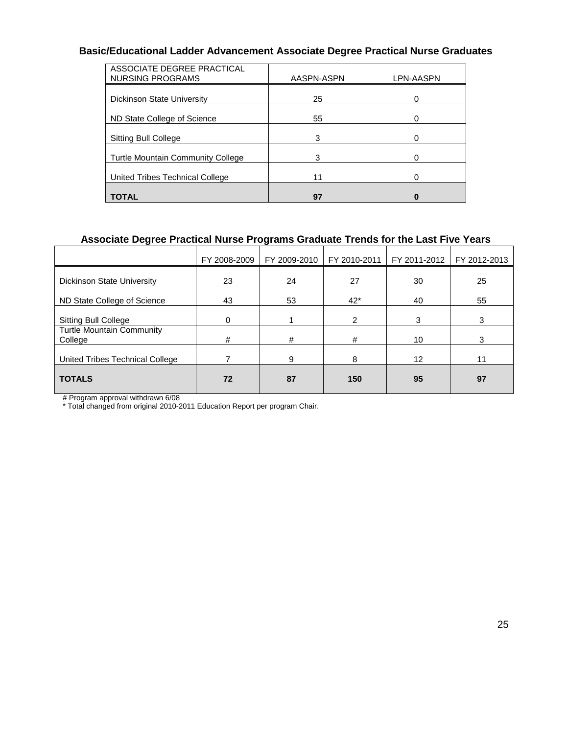### **Basic/Educational Ladder Advancement Associate Degree Practical Nurse Graduates**

| ASSOCIATE DEGREE PRACTICAL<br>NURSING PROGRAMS | AASPN-ASPN | LPN-AASPN |
|------------------------------------------------|------------|-----------|
| <b>Dickinson State University</b>              | 25         | 0         |
| ND State College of Science                    | 55         |           |
| Sitting Bull College                           | 3          |           |
| <b>Turtle Mountain Community College</b>       | 3          |           |
| United Tribes Technical College                | 11         | 0         |
| <b>TOTAL</b>                                   | 97         |           |

### **Associate Degree Practical Nurse Programs Graduate Trends for the Last Five Years**

| FY 2008-2009 | FY 2009-2010 | FY 2010-2011 | FY 2011-2012    | FY 2012-2013 |
|--------------|--------------|--------------|-----------------|--------------|
| 23           | 24           | 27           | 30              | 25           |
| 43           | 53           | $42*$        | 40              | 55           |
| 0            |              | 2            | 3               | 3            |
| #            | #            | #            | 10              | 3            |
|              | 9            | 8            | 12 <sup>2</sup> | 11           |
| 72           | 87           | 150          | 95              | 97           |
|              |              |              |                 |              |

# Program approval withdrawn 6/08

\* Total changed from original 2010-2011 Education Report per program Chair.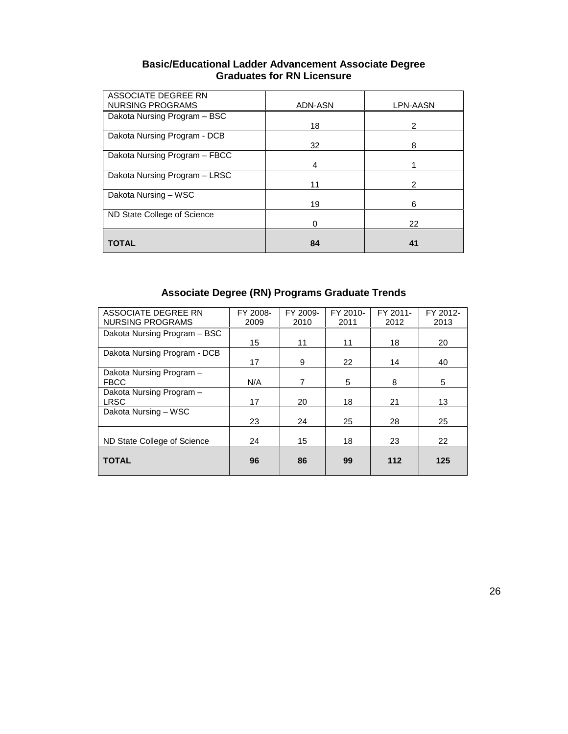| <b>Basic/Educational Ladder Advancement Associate Degree</b> |
|--------------------------------------------------------------|
| <b>Graduates for RN Licensure</b>                            |

| ASSOCIATE DEGREE RN<br>NURSING PROGRAMS | ADN-ASN | LPN-AASN |
|-----------------------------------------|---------|----------|
|                                         |         |          |
| Dakota Nursing Program - BSC            |         |          |
|                                         | 18      | 2        |
| Dakota Nursing Program - DCB            |         |          |
|                                         | 32      | 8        |
| Dakota Nursing Program - FBCC           |         |          |
|                                         | 4       |          |
| Dakota Nursing Program - LRSC           |         |          |
|                                         | 11      | 2        |
| Dakota Nursing - WSC                    |         |          |
|                                         | 19      | 6        |
| ND State College of Science             |         |          |
|                                         | o       | 22       |
|                                         |         |          |
| <b>TOTAL</b>                            | 84      | 41       |

## **Associate Degree (RN) Programs Graduate Trends**

| ASSOCIATE DEGREE RN          | FY 2008- | FY 2009- | FY 2010- | FY 2011- | FY 2012- |
|------------------------------|----------|----------|----------|----------|----------|
| <b>NURSING PROGRAMS</b>      | 2009     | 2010     | 2011     | 2012     | 2013     |
| Dakota Nursing Program - BSC |          |          |          |          |          |
|                              | 15       | 11       | 11       | 18       | 20       |
| Dakota Nursing Program - DCB |          |          |          |          |          |
|                              | 17       | 9        | 22       | 14       | 40       |
| Dakota Nursing Program -     |          |          |          |          |          |
| <b>FBCC</b>                  | N/A      | 7        | 5        | 8        | 5        |
| Dakota Nursing Program -     |          |          |          |          |          |
| <b>LRSC</b>                  | 17       | 20       | 18       | 21       | 13       |
| Dakota Nursing - WSC         |          |          |          |          |          |
|                              | 23       | 24       | 25       | 28       | 25       |
|                              |          |          |          |          |          |
| ND State College of Science  | 24       | 15       | 18       | 23       | 22       |
|                              |          |          |          |          |          |
| <b>TOTAL</b>                 | 96       | 86       | 99       | 112      | 125      |
|                              |          |          |          |          |          |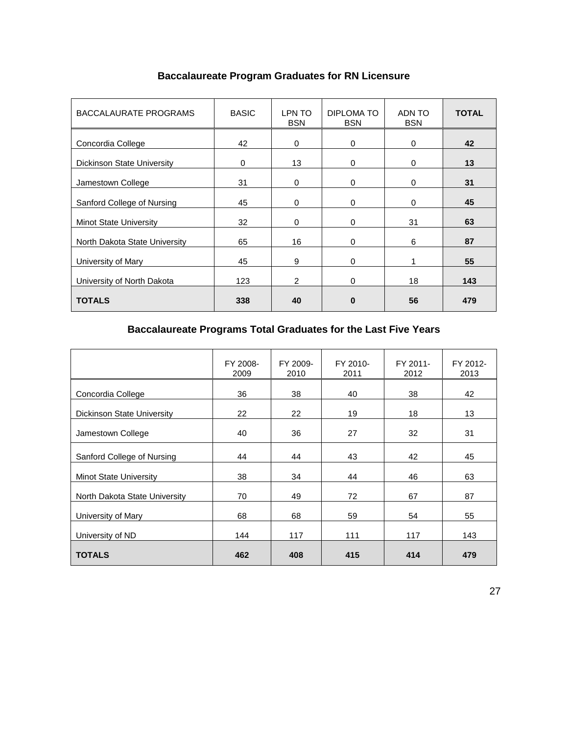| <b>BACCALAURATE PROGRAMS</b>      | <b>BASIC</b> | LPN TO<br><b>BSN</b> | DIPLOMA TO<br><b>BSN</b> | ADN TO<br><b>BSN</b> | <b>TOTAL</b> |
|-----------------------------------|--------------|----------------------|--------------------------|----------------------|--------------|
| Concordia College                 | 42           | $\Omega$             | $\mathbf 0$              | $\mathbf 0$          | 42           |
| <b>Dickinson State University</b> | 0            | 13                   | $\Omega$                 | 0                    | 13           |
| Jamestown College                 | 31           | $\Omega$             | $\Omega$                 | 0                    | 31           |
| Sanford College of Nursing        | 45           | $\Omega$             | $\Omega$                 | 0                    | 45           |
| <b>Minot State University</b>     | 32           | $\Omega$             | $\Omega$                 | 31                   | 63           |
| North Dakota State University     | 65           | 16                   | $\Omega$                 | 6                    | 87           |
| University of Mary                | 45           | 9                    | $\Omega$                 | 1                    | 55           |
| University of North Dakota        | 123          | $\overline{2}$       | $\Omega$                 | 18                   | 143          |
| <b>TOTALS</b>                     | 338          | 40                   | $\bf{0}$                 | 56                   | 479          |

### **Baccalaureate Program Graduates for RN Licensure**

## **Baccalaureate Programs Total Graduates for the Last Five Years**

|                                   | FY 2008-<br>2009 | FY 2009-<br>2010 | FY 2010-<br>2011 | FY 2011-<br>2012 | FY 2012-<br>2013 |
|-----------------------------------|------------------|------------------|------------------|------------------|------------------|
| Concordia College                 | 36               | 38               | 40               | 38               | 42               |
| <b>Dickinson State University</b> | 22               | 22               | 19               | 18               | 13               |
| Jamestown College                 | 40               | 36               | 27               | 32               | 31               |
| Sanford College of Nursing        | 44               | 44               | 43               | 42               | 45               |
| <b>Minot State University</b>     | 38               | 34               | 44               | 46               | 63               |
| North Dakota State University     | 70               | 49               | 72               | 67               | 87               |
| University of Mary                | 68               | 68               | 59               | 54               | 55               |
| University of ND                  | 144              | 117              | 111              | 117              | 143              |
| <b>TOTALS</b>                     | 462              | 408              | 415              | 414              | 479              |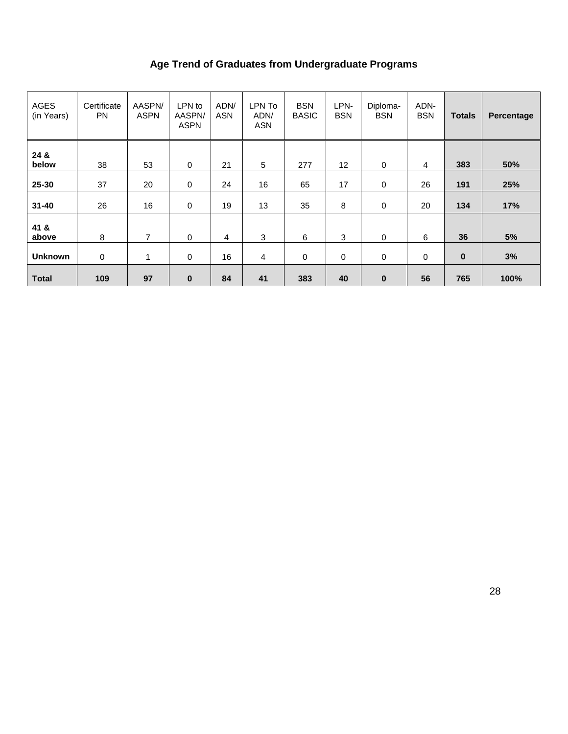## **Age Trend of Graduates from Undergraduate Programs**

| <b>AGES</b><br>(in Years) | Certificate<br><b>PN</b> | AASPN/<br><b>ASPN</b> | LPN to<br>AASPN/<br><b>ASPN</b> | ADN/<br><b>ASN</b> | LPN To<br>ADN/<br><b>ASN</b> | <b>BSN</b><br><b>BASIC</b> | LPN-<br><b>BSN</b> | Diploma-<br><b>BSN</b> | ADN-<br><b>BSN</b> | <b>Totals</b> | Percentage |
|---------------------------|--------------------------|-----------------------|---------------------------------|--------------------|------------------------------|----------------------------|--------------------|------------------------|--------------------|---------------|------------|
| 24 &<br>below             | 38                       | 53                    | 0                               | 21                 | $\sqrt{5}$                   | 277                        | 12                 | 0                      | $\overline{4}$     | 383           | 50%        |
| 25-30                     | 37                       | 20                    | 0                               | 24                 | 16                           | 65                         | 17                 | 0                      | 26                 | 191           | 25%        |
| $31 - 40$                 | 26                       | 16                    | 0                               | 19                 | 13                           | 35                         | 8                  | 0                      | 20                 | 134           | 17%        |
| 41 &<br>above             | 8                        | 7                     | $\mathbf 0$                     | 4                  | 3                            | 6                          | 3                  | $\mathbf 0$            | 6                  | 36            | 5%         |
| <b>Unknown</b>            | 0                        | 1                     | $\mathbf 0$                     | 16                 | 4                            | $\pmb{0}$                  | 0                  | 0                      | 0                  | $\bf{0}$      | 3%         |
| <b>Total</b>              | 109                      | 97                    | $\bf{0}$                        | 84                 | 41                           | 383                        | 40                 | $\bf{0}$               | 56                 | 765           | 100%       |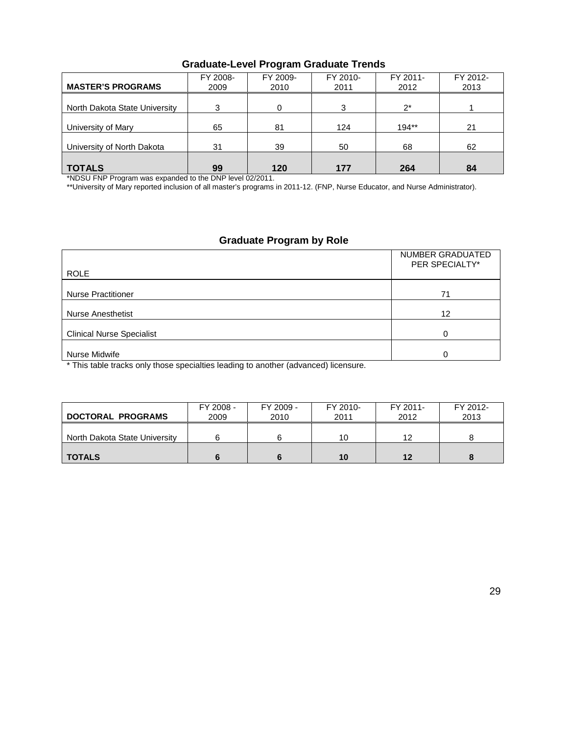| <b>MASTER'S PROGRAMS</b>      | FY 2008-<br>2009 | FY 2009-<br>2010 | FY 2010-<br>2011 | FY 2011-<br>2012 | FY 2012-<br>2013 |
|-------------------------------|------------------|------------------|------------------|------------------|------------------|
| North Dakota State University | 3                |                  | 3                | $2^*$            |                  |
| University of Mary            | 65               | 81               | 124              | $194**$          | 21               |
| University of North Dakota    | 31               | 39               | 50               | 68               | 62               |
| <b>TOTALS</b>                 | 99               | 120              | 177              | 264              | 84               |

### **Graduate-Level Program Graduate Trends**

\*NDSU FNP Program was expanded to the DNP level 02/2011.

\*\*University of Mary reported inclusion of all master's programs in 2011-12. (FNP, Nurse Educator, and Nurse Administrator).

### **Graduate Program by Role**

| <b>ROLE</b>                      | NUMBER GRADUATED<br>PER SPECIALTY* |
|----------------------------------|------------------------------------|
| <b>Nurse Practitioner</b>        | 71                                 |
| <b>Nurse Anesthetist</b>         | 12                                 |
| <b>Clinical Nurse Specialist</b> | ∩                                  |
| Nurse Midwife                    |                                    |

\* This table tracks only those specialties leading to another (advanced) licensure.

| <b>DOCTORAL PROGRAMS</b>      | FY 2008 -<br>2009 | FY 2009 -<br>2010 | FY 2010-<br>2011 | FY 2011-<br>2012 | FY 2012-<br>2013 |
|-------------------------------|-------------------|-------------------|------------------|------------------|------------------|
| North Dakota State University |                   |                   | 10               | 12               |                  |
| <b>TOTALS</b>                 |                   |                   | 10               | 12               |                  |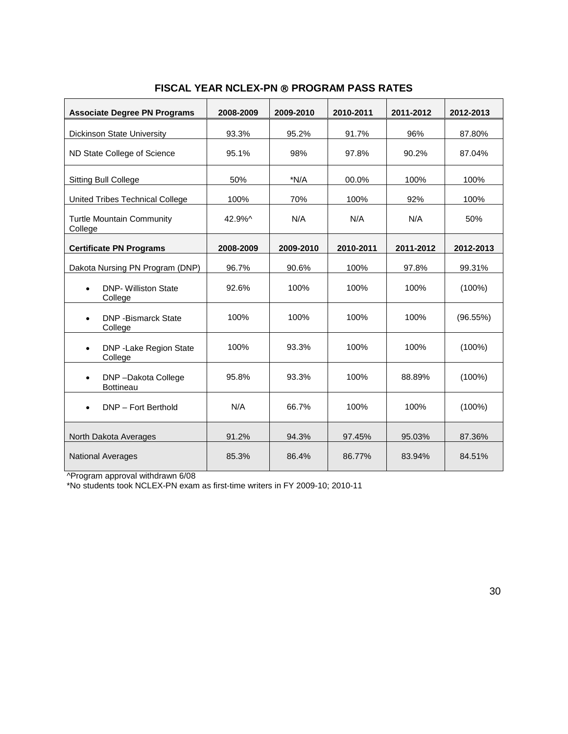| <b>Associate Degree PN Programs</b>                 | 2008-2009 | 2009-2010 | 2010-2011 | 2011-2012 | 2012-2013 |
|-----------------------------------------------------|-----------|-----------|-----------|-----------|-----------|
| <b>Dickinson State University</b>                   | 93.3%     | 95.2%     | 91.7%     | 96%       | 87.80%    |
| ND State College of Science                         | 95.1%     | 98%       | 97.8%     | 90.2%     | 87.04%    |
| Sitting Bull College                                | 50%       | $*N/A$    | 00.0%     | 100%      | 100%      |
| United Tribes Technical College                     | 100%      | 70%       | 100%      | 92%       | 100%      |
| <b>Turtle Mountain Community</b><br>College         | 42.9%^    | N/A       | N/A       | N/A       | 50%       |
| <b>Certificate PN Programs</b>                      | 2008-2009 | 2009-2010 | 2010-2011 | 2011-2012 | 2012-2013 |
| Dakota Nursing PN Program (DNP)                     | 96.7%     | 90.6%     | 100%      | 97.8%     | 99.31%    |
| <b>DNP- Williston State</b><br>$\bullet$<br>College | 92.6%     | 100%      | 100%      | 100%      | $(100\%)$ |
| <b>DNP</b> - Bismarck State<br>$\bullet$<br>College | 100%      | 100%      | 100%      | 100%      | (96.55%)  |
| DNP - Lake Region State<br>$\bullet$<br>College     | 100%      | 93.3%     | 100%      | 100%      | $(100\%)$ |
| DNP-Dakota College<br>$\bullet$<br><b>Bottineau</b> | 95.8%     | 93.3%     | 100%      | 88.89%    | $(100\%)$ |
| DNP - Fort Berthold<br>$\bullet$                    | N/A       | 66.7%     | 100%      | 100%      | $(100\%)$ |
| North Dakota Averages                               | 91.2%     | 94.3%     | 97.45%    | 95.03%    | 87.36%    |
| <b>National Averages</b>                            | 85.3%     | 86.4%     | 86.77%    | 83.94%    | 84.51%    |

### **FISCAL YEAR NCLEX-PN ® PROGRAM PASS RATES**

^Program approval withdrawn 6/08

\*No students took NCLEX-PN exam as first-time writers in FY 2009-10; 2010-11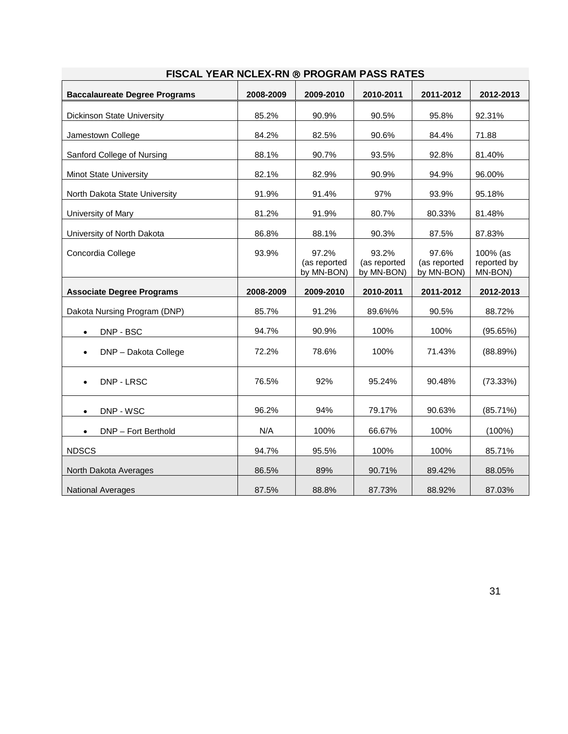| <b>Baccalaureate Degree Programs</b> | 2008-2009 | 2009-2010                           | 2010-2011                           | 2011-2012                           | 2012-2013                          |
|--------------------------------------|-----------|-------------------------------------|-------------------------------------|-------------------------------------|------------------------------------|
| Dickinson State University           | 85.2%     | 90.9%                               | 90.5%                               | 95.8%                               | 92.31%                             |
| Jamestown College                    | 84.2%     | 82.5%                               | 90.6%                               | 84.4%                               | 71.88                              |
| Sanford College of Nursing           | 88.1%     | 90.7%                               | 93.5%                               | 92.8%                               | 81.40%                             |
| <b>Minot State University</b>        | 82.1%     | 82.9%                               | 90.9%                               | 94.9%                               | 96.00%                             |
| North Dakota State University        | 91.9%     | 91.4%                               | 97%                                 | 93.9%                               | 95.18%                             |
| University of Mary                   | 81.2%     | 91.9%                               | 80.7%                               | 80.33%                              | 81.48%                             |
| University of North Dakota           | 86.8%     | 88.1%                               | 90.3%                               | 87.5%                               | 87.83%                             |
| Concordia College                    | 93.9%     | 97.2%<br>(as reported<br>by MN-BON) | 93.2%<br>(as reported<br>by MN-BON) | 97.6%<br>(as reported<br>by MN-BON) | 100% (as<br>reported by<br>MN-BON) |
| <b>Associate Degree Programs</b>     | 2008-2009 | 2009-2010                           | 2010-2011                           | 2011-2012                           | 2012-2013                          |
| Dakota Nursing Program (DNP)         | 85.7%     | 91.2%                               | 89.6%%                              | 90.5%                               | 88.72%                             |
| DNP - BSC<br>$\bullet$               | 94.7%     | 90.9%                               | 100%                                | 100%                                | (95.65%)                           |
| DNP - Dakota College                 | 72.2%     | 78.6%                               | 100%                                | 71.43%                              | (88.89%)                           |
| DNP - LRSC                           | 76.5%     | 92%                                 | 95.24%                              | 90.48%                              | (73.33%)                           |
| DNP - WSC<br>$\bullet$               | 96.2%     | 94%                                 | 79.17%                              | 90.63%                              | (85.71%)                           |
| DNP - Fort Berthold<br>$\bullet$     | N/A       | 100%                                | 66.67%                              | 100%                                | $(100\%)$                          |
| <b>NDSCS</b>                         | 94.7%     | 95.5%                               | 100%                                | 100%                                | 85.71%                             |
| North Dakota Averages                | 86.5%     | 89%                                 | 90.71%                              | 89.42%                              | 88.05%                             |
| <b>National Averages</b>             | 87.5%     | 88.8%                               | 87.73%                              | 88.92%                              | 87.03%                             |

### **FISCAL YEAR NCLEX-RN PROGRAM PASS RATES**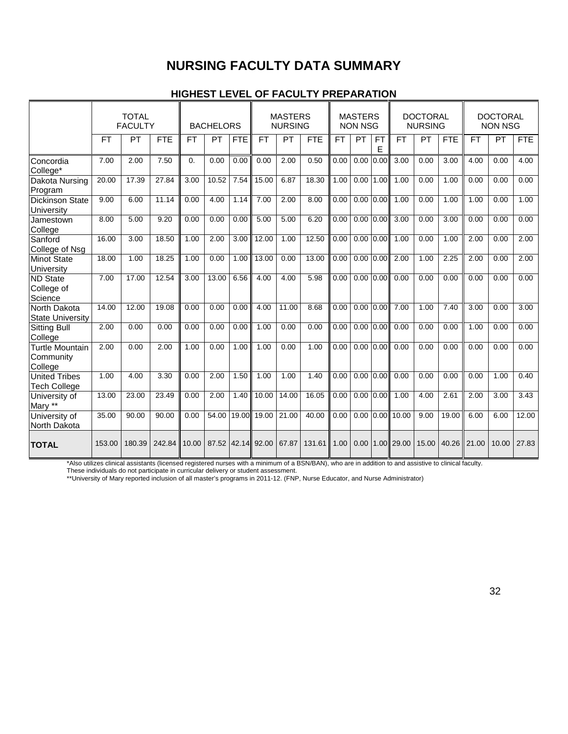## **NURSING FACULTY DATA SUMMARY**

### **HIGHEST LEVEL OF FACULTY PREPARATION**

|                                                |           | <b>TOTAL</b><br><b>FACULTY</b> |            |            | <b>BACHELORS</b> |            |                   | <b>MASTERS</b><br><b>NURSING</b> |            |      |               |                | <b>MASTERS</b><br><b>NON NSG</b> |           |            | <b>DOCTORAL</b><br><b>NURSING</b> |           |            | <b>DOCTORAL</b><br><b>NON NSG</b> |  |
|------------------------------------------------|-----------|--------------------------------|------------|------------|------------------|------------|-------------------|----------------------------------|------------|------|---------------|----------------|----------------------------------|-----------|------------|-----------------------------------|-----------|------------|-----------------------------------|--|
|                                                | <b>FT</b> | <b>PT</b>                      | <b>FTE</b> | <b>FT</b>  | <b>PT</b>        | <b>FTE</b> | <b>FT</b>         | PT                               | <b>FTE</b> | FT.  | <b>PT</b>     | <b>FT</b><br>E | <b>FT</b>                        | <b>PT</b> | <b>FTE</b> | <b>FT</b>                         | <b>PT</b> | <b>FTE</b> |                                   |  |
| Concordia<br>College*                          | 7.00      | 2.00                           | 7.50       | $\Omega$ . | 0.00             | 0.00       | 0.00              | 2.00                             | 0.50       | 0.00 | 0.00          | 0.00           | 3.00                             | 0.00      | 3.00       | 4.00                              | 0.00      | 4.00       |                                   |  |
| Dakota Nursing<br>Program                      | 20.00     | 17.39                          | 27.84      | 3.00       | 10.52            | 7.54       | 15.00             | 6.87                             | 18.30      | 1.00 | 0.00          | 1.00           | 1.00                             | 0.00      | 1.00       | 0.00                              | 0.00      | 0.00       |                                   |  |
| <b>Dickinson State</b><br>University           | 9.00      | 6.00                           | 11.14      | 0.00       | 4.00             | 1.14       | 7.00              | 2.00                             | 8.00       | 0.00 | 0.00          | 0.00           | 1.00                             | 0.00      | 1.00       | 1.00                              | 0.00      | 1.00       |                                   |  |
| Jamestown<br>College                           | 8.00      | 5.00                           | 9.20       | 0.00       | 0.00             | 0.00       | 5.00              | 5.00                             | 6.20       | 0.00 | 0.00          | 0.00           | 3.00                             | 0.00      | 3.00       | 0.00                              | 0.00      | 0.00       |                                   |  |
| Sanford<br>College of Nsg                      | 16.00     | 3.00                           | 18.50      | 1.00       | 2.00             | 3.00       | 12.00             | 1.00                             | 12.50      | 0.00 | $0.00$ $0.00$ |                | 1.00                             | 0.00      | 1.00       | 2.00                              | 0.00      | 2.00       |                                   |  |
| <b>Minot State</b><br>University               | 18.00     | 1.00                           | 18.25      | 1.00       | 0.00             | 1.00       | 13.00             | 0.00                             | 13.00      | 0.00 | $0.00$ $0.00$ |                | 2.00                             | 1.00      | 2.25       | 2.00                              | 0.00      | 2.00       |                                   |  |
| <b>ND State</b><br>College of<br>Science       | 7.00      | 17.00                          | 12.54      | 3.00       | 13.00            | 6.56       | 4.00              | 4.00                             | 5.98       | 0.00 | $0.00$ $0.00$ |                | 0.00                             | 0.00      | 0.00       | 0.00                              | 0.00      | 0.00       |                                   |  |
| North Dakota<br><b>State University</b>        | 14.00     | 12.00                          | 19.08      | 0.00       | 0.00             | 0.00       | 4.00              | 11.00                            | 8.68       | 0.00 | 0.00          | 0.00           | 7.00                             | 1.00      | 7.40       | 3.00                              | 0.00      | 3.00       |                                   |  |
| <b>Sitting Bull</b><br>College                 | 2.00      | 0.00                           | 0.00       | 0.00       | 0.00             | 0.00       | 1.00              | 0.00                             | 0.00       | 0.00 | $0.00$ $0.00$ |                | 0.00                             | 0.00      | 0.00       | 1.00                              | 0.00      | 0.00       |                                   |  |
| <b>Turtle Mountain</b><br>Community<br>College | 2.00      | 0.00                           | 2.00       | 1.00       | 0.00             | 1.00       | 1.00              | 0.00                             | 1.00       | 0.00 | $0.00$ $0.00$ |                | 0.00                             | 0.00      | 0.00       | 0.00                              | 0.00      | 0.00       |                                   |  |
| <b>United Tribes</b><br><b>Tech College</b>    | 1.00      | 4.00                           | 3.30       | 0.00       | 2.00             | 1.50       | 1.00              | 1.00                             | 1.40       | 0.00 | 0.00          | 0.00           | 0.00                             | 0.00      | 0.00       | 0.00                              | 1.00      | 0.40       |                                   |  |
| University of<br>Mary **                       | 13.00     | 23.00                          | 23.49      | 0.00       | 2.00             | 1.40       | 10.00             | 14.00                            | 16.05      | 0.00 | 0.00          | 0.00           | 1.00                             | 4.00      | 2.61       | 2.00                              | 3.00      | 3.43       |                                   |  |
| University of<br>North Dakota                  | 35.00     | 90.00                          | 90.00      | 0.00       | 54.00            | 19.00      | 19.00             | 21.00                            | 40.00      | 0.00 | 0.00          |                | 0.00 10.00                       | 9.00      | 19.00      | 6.00                              | 6.00      | 12.00      |                                   |  |
| <b>TOTAL</b>                                   | 153.00    | 180.39                         | 242.84     | 10.00      |                  |            | 87.52 42.14 92.00 | 67.87                            | 131.61     | 1.00 | 0.00          |                | 1.00 29.00                       | 15.00     | 40.26      | 21.00                             | 10.00     | 27.83      |                                   |  |

\*Also utilizes clinical assistants (licensed registered nurses with a minimum of a BSN/BAN), who are in addition to and assistive to clinical faculty.

These individuals do not participate in curricular delivery or student assessment.

\*\*University of Mary reported inclusion of all master's programs in 2011-12. (FNP, Nurse Educator, and Nurse Administrator)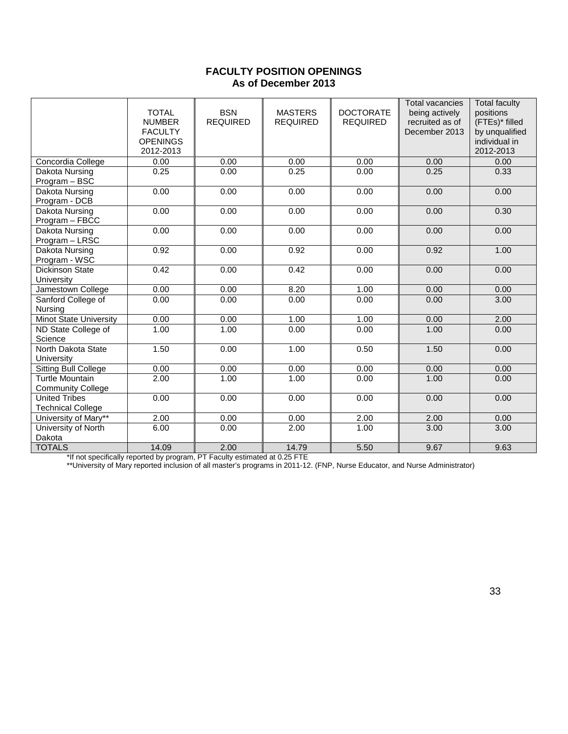### **FACULTY POSITION OPENINGS As of December 2013**

|                                                    | <b>TOTAL</b><br><b>NUMBER</b><br><b>FACULTY</b><br><b>OPENINGS</b><br>2012-2013 | <b>BSN</b><br><b>REQUIRED</b> | <b>MASTERS</b><br><b>REQUIRED</b> | <b>DOCTORATE</b><br><b>REQUIRED</b> | <b>Total vacancies</b><br>being actively<br>recruited as of<br>December 2013 | <b>Total faculty</b><br>positions<br>(FTEs)* filled<br>by unqualified<br>individual in<br>2012-2013 |
|----------------------------------------------------|---------------------------------------------------------------------------------|-------------------------------|-----------------------------------|-------------------------------------|------------------------------------------------------------------------------|-----------------------------------------------------------------------------------------------------|
| Concordia College                                  | 0.00                                                                            | 0.00                          | 0.00                              | 0.00                                | 0.00                                                                         | 0.00                                                                                                |
| Dakota Nursing<br>Program - BSC                    | 0.25                                                                            | 0.00                          | 0.25                              | 0.00                                | 0.25                                                                         | 0.33                                                                                                |
| <b>Dakota Nursing</b><br>Program - DCB             | 0.00                                                                            | 0.00                          | 0.00                              | 0.00                                | 0.00                                                                         | 0.00                                                                                                |
| Dakota Nursing<br>Program - FBCC                   | 0.00                                                                            | 0.00                          | 0.00                              | 0.00                                | 0.00                                                                         | 0.30                                                                                                |
| Dakota Nursing<br>Program - LRSC                   | 0.00                                                                            | 0.00                          | 0.00                              | 0.00                                | 0.00                                                                         | 0.00                                                                                                |
| Dakota Nursing<br>Program - WSC                    | 0.92                                                                            | 0.00                          | 0.92                              | 0.00                                | 0.92                                                                         | 1.00                                                                                                |
| <b>Dickinson State</b><br>University               | 0.42                                                                            | 0.00                          | 0.42                              | 0.00                                | 0.00                                                                         | 0.00                                                                                                |
| Jamestown College                                  | 0.00                                                                            | 0.00                          | 8.20                              | 1.00                                | 0.00                                                                         | 0.00                                                                                                |
| Sanford College of<br>Nursing                      | 0.00                                                                            | 0.00                          | 0.00                              | 0.00                                | 0.00                                                                         | 3.00                                                                                                |
| <b>Minot State University</b>                      | 0.00                                                                            | 0.00                          | 1.00                              | 1.00                                | 0.00                                                                         | 2.00                                                                                                |
| ND State College of<br>Science                     | 1.00                                                                            | 1.00                          | 0.00                              | 0.00                                | 1.00                                                                         | 0.00                                                                                                |
| North Dakota State<br>University                   | 1.50                                                                            | 0.00                          | 1.00                              | 0.50                                | 1.50                                                                         | 0.00                                                                                                |
| <b>Sitting Bull College</b>                        | 0.00                                                                            | 0.00                          | 0.00                              | 0.00                                | 0.00                                                                         | 0.00                                                                                                |
| <b>Turtle Mountain</b><br><b>Community College</b> | 2.00                                                                            | 1.00                          | 1.00                              | 0.00                                | 1.00                                                                         | 0.00                                                                                                |
| <b>United Tribes</b><br><b>Technical College</b>   | 0.00                                                                            | 0.00                          | 0.00                              | 0.00                                | 0.00                                                                         | 0.00                                                                                                |
| University of Mary**                               | 2.00                                                                            | 0.00                          | 0.00                              | 2.00                                | 2.00                                                                         | 0.00                                                                                                |
| University of North<br>Dakota                      | 6.00                                                                            | 0.00                          | 2.00                              | 1.00                                | 3.00                                                                         | 3.00                                                                                                |
| <b>TOTALS</b>                                      | 14.09                                                                           | 2.00                          | 14.79                             | 5.50                                | 9.67                                                                         | 9.63                                                                                                |

\*If not specifically reported by program, PT Faculty estimated at 0.25 FTE

\*\*University of Mary reported inclusion of all master's programs in 2011-12. (FNP, Nurse Educator, and Nurse Administrator)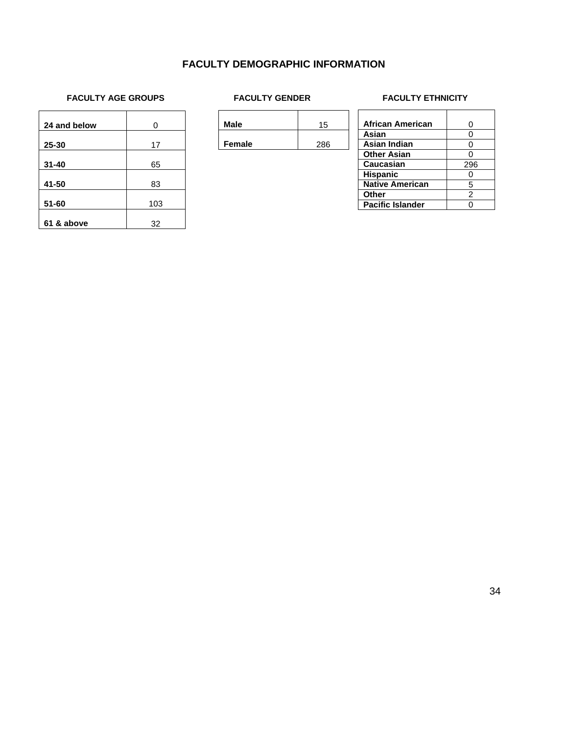### **FACULTY DEMOGRAPHIC INFORMATION**

# FACULTY AGE GROUPS FACULTY GENDER FACULTY ETHNICITY

| 24 and below | 0   |
|--------------|-----|
|              |     |
| 25-30        | 17  |
| $31 - 40$    | 65  |
| 41-50        | 83  |
| 51-60        | 103 |
| 61 & above   | 32  |

| <b>Male</b> | 15  |  |
|-------------|-----|--|
| Female      | 286 |  |

## 

| <b>African American</b> | O              |
|-------------------------|----------------|
| Asian                   |                |
| Asian Indian            |                |
| <b>Other Asian</b>      |                |
| <b>Caucasian</b>        | 296            |
| <b>Hispanic</b>         |                |
| <b>Native American</b>  | 5              |
| Other                   | $\mathfrak{p}$ |
| <b>Pacific Islander</b> |                |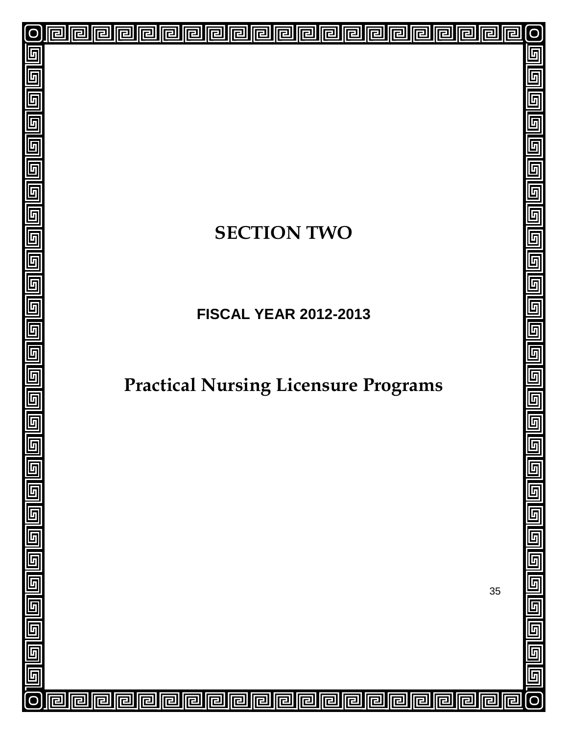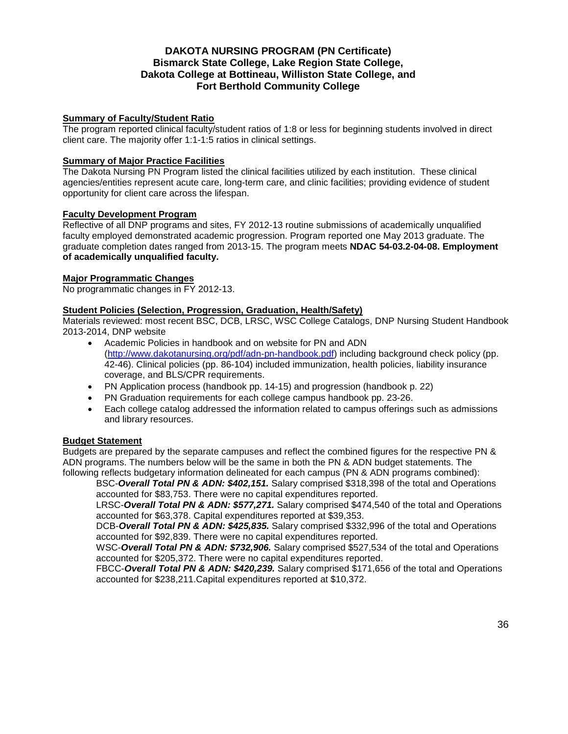### **DAKOTA NURSING PROGRAM (PN Certificate) Bismarck State College, Lake Region State College, Dakota College at Bottineau, Williston State College, and Fort Berthold Community College**

### **Summary of Faculty/Student Ratio**

The program reported clinical faculty/student ratios of 1:8 or less for beginning students involved in direct client care. The majority offer 1:1-1:5 ratios in clinical settings.

### **Summary of Major Practice Facilities**

The Dakota Nursing PN Program listed the clinical facilities utilized by each institution. These clinical agencies/entities represent acute care, long-term care, and clinic facilities; providing evidence of student opportunity for client care across the lifespan.

### **Faculty Development Program**

Reflective of all DNP programs and sites, FY 2012-13 routine submissions of academically unqualified faculty employed demonstrated academic progression. Program reported one May 2013 graduate. The graduate completion dates ranged from 2013-15. The program meets **NDAC 54-03.2-04-08. Employment of academically unqualified faculty.**

### **Major Programmatic Changes**

No programmatic changes in FY 2012-13.

### **Student Policies (Selection, Progression, Graduation, Health/Safety)**

Materials reviewed: most recent BSC, DCB, LRSC, WSC College Catalogs, DNP Nursing Student Handbook 2013-2014, DNP website

- Academic Policies in handbook and on website for PN and ADN [\(http://www.dakotanursing.org/pdf/adn-pn-handbook.pdf\)](http://www.dakotanursing.org/pdf/adn-pn-handbook.pdf) including background check policy (pp. 42-46). Clinical policies (pp. 86-104) included immunization, health policies, liability insurance coverage, and BLS/CPR requirements.
- PN Application process (handbook pp. 14-15) and progression (handbook p. 22)
- PN Graduation requirements for each college campus handbook pp. 23-26.
- Each college catalog addressed the information related to campus offerings such as admissions and library resources.

### **Budget Statement**

Budgets are prepared by the separate campuses and reflect the combined figures for the respective PN & ADN programs. The numbers below will be the same in both the PN & ADN budget statements. The following reflects budgetary information delineated for each campus (PN & ADN programs combined):

BSC-*Overall Total PN & ADN: \$402,151.* Salary comprised \$318,398 of the total and Operations accounted for \$83,753. There were no capital expenditures reported.

LRSC-*Overall Total PN & ADN: \$577,271.* Salary comprised \$474,540 of the total and Operations accounted for \$63,378. Capital expenditures reported at \$39,353.

DCB-*Overall Total PN & ADN: \$425,835.* Salary comprised \$332,996 of the total and Operations accounted for \$92,839. There were no capital expenditures reported.

WSC-*Overall Total PN & ADN: \$732,906.* Salary comprised \$527,534 of the total and Operations accounted for \$205,372. There were no capital expenditures reported.

FBCC-*Overall Total PN & ADN: \$420,239.* Salary comprised \$171,656 of the total and Operations accounted for \$238,211.Capital expenditures reported at \$10,372.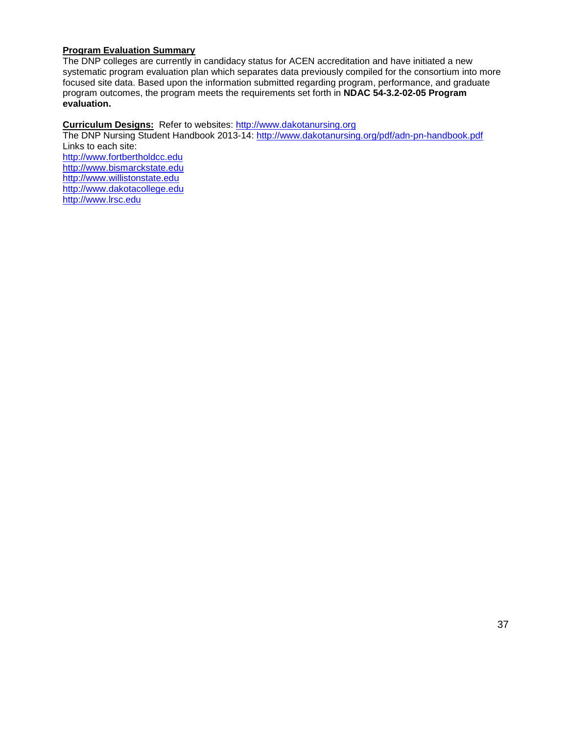### **Program Evaluation Summary**

The DNP colleges are currently in candidacy status for ACEN accreditation and have initiated a new systematic program evaluation plan which separates data previously compiled for the consortium into more focused site data. Based upon the information submitted regarding program, performance, and graduate program outcomes, the program meets the requirements set forth in **NDAC 54-3.2-02-05 Program evaluation.**

### **Curriculum Designs:** Refer to websites: [http://www.dakotanursing.org](http://www.dakotanursing.org/)

The DNP Nursing Student Handbook 2013-14:<http://www.dakotanursing.org/pdf/adn-pn-handbook.pdf> Links to each site: [http://www.fortbertholdcc.edu](http://www.fortbertholdcc.edu/)

[http://www.bismarckstate.edu](http://www.bismarckstate.edu/) [http://www.willistonstate.edu](http://www.willistonstate.edu/)  [http://www.dakotacollege.edu](http://www.dakotacollege.edu/) [http://www.lrsc.edu](http://www.lrsc.edu/)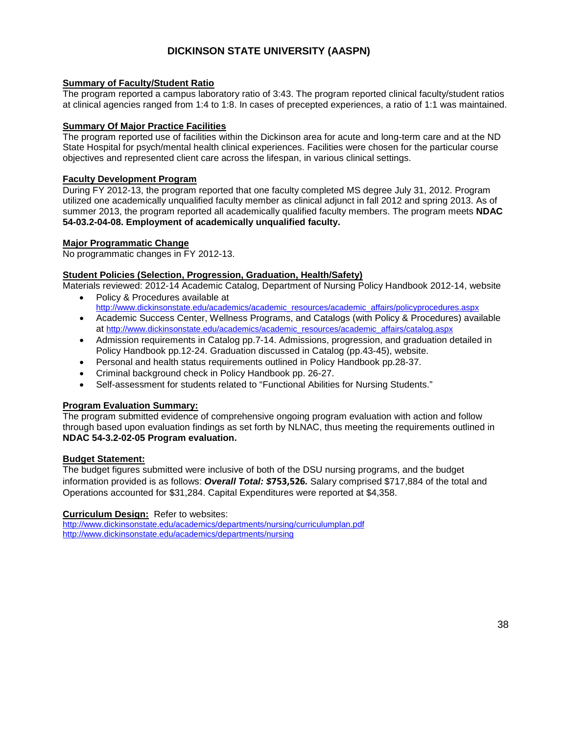### **DICKINSON STATE UNIVERSITY (AASPN)**

### **Summary of Faculty/Student Ratio**

The program reported a campus laboratory ratio of 3:43. The program reported clinical faculty/student ratios at clinical agencies ranged from 1:4 to 1:8. In cases of precepted experiences, a ratio of 1:1 was maintained.

### **Summary Of Major Practice Facilities**

The program reported use of facilities within the Dickinson area for acute and long-term care and at the ND State Hospital for psych/mental health clinical experiences. Facilities were chosen for the particular course objectives and represented client care across the lifespan, in various clinical settings.

#### **Faculty Development Program**

During FY 2012-13, the program reported that one faculty completed MS degree July 31, 2012. Program utilized one academically unqualified faculty member as clinical adjunct in fall 2012 and spring 2013. As of summer 2013, the program reported all academically qualified faculty members. The program meets **NDAC 54-03.2-04-08. Employment of academically unqualified faculty.**

### **Major Programmatic Change**

No programmatic changes in FY 2012-13.

### **Student Policies (Selection, Progression, Graduation, Health/Safety)**

Materials reviewed: 2012-14 Academic Catalog, Department of Nursing Policy Handbook 2012-14, website • Policy & Procedures available at

- [http://www.dickinsonstate.edu/academics/academic\\_resources/academic\\_affairs/policyprocedures.aspx](http://www.dickinsonstate.edu/academics/academic_resources/academic_affairs/policyprocedures.aspx)
- Academic Success Center, Wellness Programs, and Catalogs (with Policy & Procedures) available at [http://www.dickinsonstate.edu/academics/academic\\_resources/academic\\_affairs/catalog.aspx](http://www.dickinsonstate.edu/academics/academic_resources/academic_affairs/catalog.aspx)
- Admission requirements in Catalog pp.7-14. Admissions, progression, and graduation detailed in Policy Handbook pp.12-24. Graduation discussed in Catalog (pp.43-45), website.
- Personal and health status requirements outlined in Policy Handbook pp.28-37.
- Criminal background check in Policy Handbook pp. 26-27.
- Self-assessment for students related to "Functional Abilities for Nursing Students."

### **Program Evaluation Summary:**

The program submitted evidence of comprehensive ongoing program evaluation with action and follow through based upon evaluation findings as set forth by NLNAC, thus meeting the requirements outlined in **NDAC 54-3.2-02-05 Program evaluation.**

#### **Budget Statement:**

The budget figures submitted were inclusive of both of the DSU nursing programs, and the budget information provided is as follows: *Overall Total: \$***753,526***.* Salary comprised \$717,884 of the total and Operations accounted for \$31,284. Capital Expenditures were reported at \$4,358.

#### **Curriculum Design:** Refer to websites:

<http://www.dickinsonstate.edu/academics/departments/nursing/curriculumplan.pdf> <http://www.dickinsonstate.edu/academics/departments/nursing>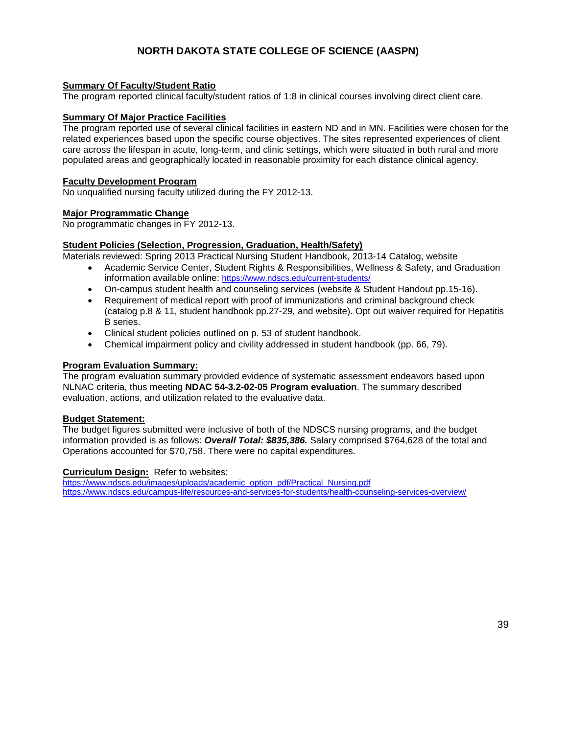### **NORTH DAKOTA STATE COLLEGE OF SCIENCE (AASPN)**

### **Summary Of Faculty/Student Ratio**

The program reported clinical faculty/student ratios of 1:8 in clinical courses involving direct client care.

#### **Summary Of Major Practice Facilities**

The program reported use of several clinical facilities in eastern ND and in MN. Facilities were chosen for the related experiences based upon the specific course objectives. The sites represented experiences of client care across the lifespan in acute, long-term, and clinic settings, which were situated in both rural and more populated areas and geographically located in reasonable proximity for each distance clinical agency.

#### **Faculty Development Program**

No unqualified nursing faculty utilized during the FY 2012-13.

#### **Major Programmatic Change**

No programmatic changes in FY 2012-13.

### **Student Policies (Selection, Progression, Graduation, Health/Safety)**

Materials reviewed: Spring 2013 Practical Nursing Student Handbook, 2013-14 Catalog, website

- Academic Service Center, Student Rights & Responsibilities, Wellness & Safety, and Graduation information available online:<https://www.ndscs.edu/current-students/>
- On-campus student health and counseling services (website & Student Handout pp.15-16).
- Requirement of medical report with proof of immunizations and criminal background check (catalog p.8 & 11, student handbook pp.27-29, and website). Opt out waiver required for Hepatitis B series.
- Clinical student policies outlined on p. 53 of student handbook.
- Chemical impairment policy and civility addressed in student handbook (pp. 66, 79).

#### **Program Evaluation Summary:**

The program evaluation summary provided evidence of systematic assessment endeavors based upon NLNAC criteria, thus meeting **NDAC 54-3.2-02-05 Program evaluation**. The summary described evaluation, actions, and utilization related to the evaluative data.

#### **Budget Statement:**

The budget figures submitted were inclusive of both of the NDSCS nursing programs, and the budget information provided is as follows: *Overall Total: \$835,386.* Salary comprised \$764,628 of the total and Operations accounted for \$70,758. There were no capital expenditures.

#### **Curriculum Design:** Refer to websites:

[https://www.ndscs.edu/images/uploads/academic\\_option\\_pdf/Practical\\_Nursing.pdf](https://www.ndscs.edu/images/uploads/academic_option_pdf/Practical_Nursing.pdf) <https://www.ndscs.edu/campus-life/resources-and-services-for-students/health-counseling-services-overview/>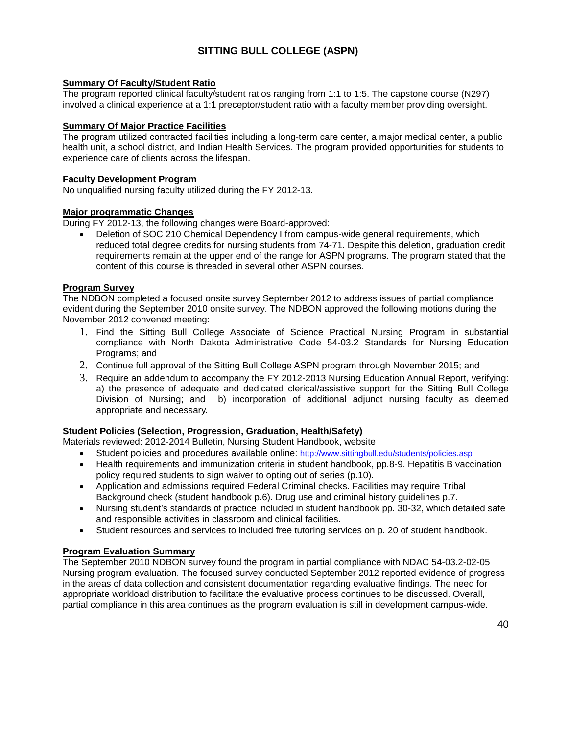### **SITTING BULL COLLEGE (ASPN)**

### **Summary Of Faculty/Student Ratio**

The program reported clinical faculty/student ratios ranging from 1:1 to 1:5. The capstone course (N297) involved a clinical experience at a 1:1 preceptor/student ratio with a faculty member providing oversight.

### **Summary Of Major Practice Facilities**

The program utilized contracted facilities including a long-term care center, a major medical center, a public health unit, a school district, and Indian Health Services. The program provided opportunities for students to experience care of clients across the lifespan.

#### **Faculty Development Program**

No unqualified nursing faculty utilized during the FY 2012-13.

### **Major programmatic Changes**

During FY 2012-13, the following changes were Board-approved:

• Deletion of SOC 210 Chemical Dependency I from campus-wide general requirements, which reduced total degree credits for nursing students from 74-71. Despite this deletion, graduation credit requirements remain at the upper end of the range for ASPN programs. The program stated that the content of this course is threaded in several other ASPN courses.

### **Program Survey**

The NDBON completed a focused onsite survey September 2012 to address issues of partial compliance evident during the September 2010 onsite survey. The NDBON approved the following motions during the November 2012 convened meeting:

- 1. Find the Sitting Bull College Associate of Science Practical Nursing Program in substantial compliance with North Dakota Administrative Code 54-03.2 Standards for Nursing Education Programs; and
- 2. Continue full approval of the Sitting Bull College ASPN program through November 2015; and
- 3. Require an addendum to accompany the FY 2012-2013 Nursing Education Annual Report, verifying: a) the presence of adequate and dedicated clerical/assistive support for the Sitting Bull College Division of Nursing; and b) incorporation of additional adjunct nursing faculty as deemed appropriate and necessary.

### **Student Policies (Selection, Progression, Graduation, Health/Safety)**

Materials reviewed: 2012-2014 Bulletin, Nursing Student Handbook, website

- Student policies and procedures available online:<http://www.sittingbull.edu/students/policies.asp>
- Health requirements and immunization criteria in student handbook, pp.8-9. Hepatitis B vaccination policy required students to sign waiver to opting out of series (p.10).
- Application and admissions required Federal Criminal checks. Facilities may require Tribal Background check (student handbook p.6). Drug use and criminal history guidelines p.7.
- Nursing student's standards of practice included in student handbook pp. 30-32, which detailed safe and responsible activities in classroom and clinical facilities.
- Student resources and services to included free tutoring services on p. 20 of student handbook.

### **Program Evaluation Summary**

The September 2010 NDBON survey found the program in partial compliance with NDAC 54-03.2-02-05 Nursing program evaluation. The focused survey conducted September 2012 reported evidence of progress in the areas of data collection and consistent documentation regarding evaluative findings. The need for appropriate workload distribution to facilitate the evaluative process continues to be discussed. Overall, partial compliance in this area continues as the program evaluation is still in development campus-wide.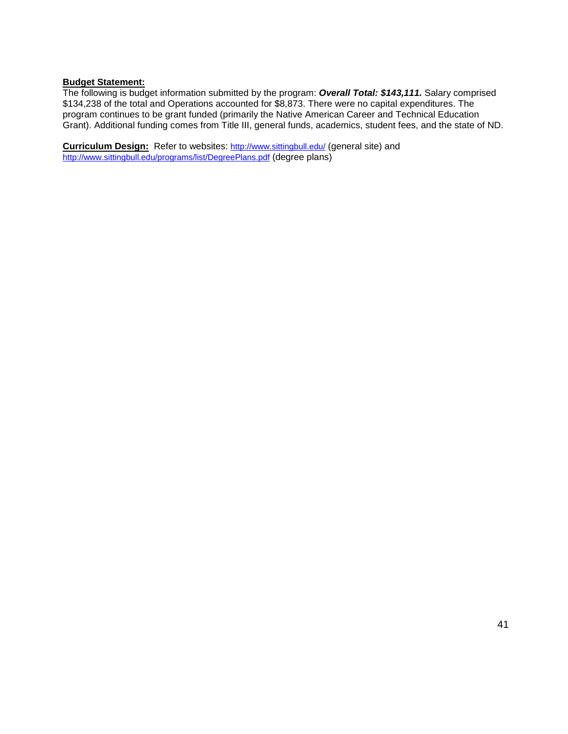### **Budget Statement:**

The following is budget information submitted by the program: *Overall Total: \$143,111.* Salary comprised \$134,238 of the total and Operations accounted for \$8,873. There were no capital expenditures. The program continues to be grant funded (primarily the Native American Career and Technical Education Grant). Additional funding comes from Title III, general funds, academics, student fees, and the state of ND.

**Curriculum Design:** Refer to websites: <http://www.sittingbull.edu/> (general site) and <http://www.sittingbull.edu/programs/list/DegreePlans.pdf> (degree plans)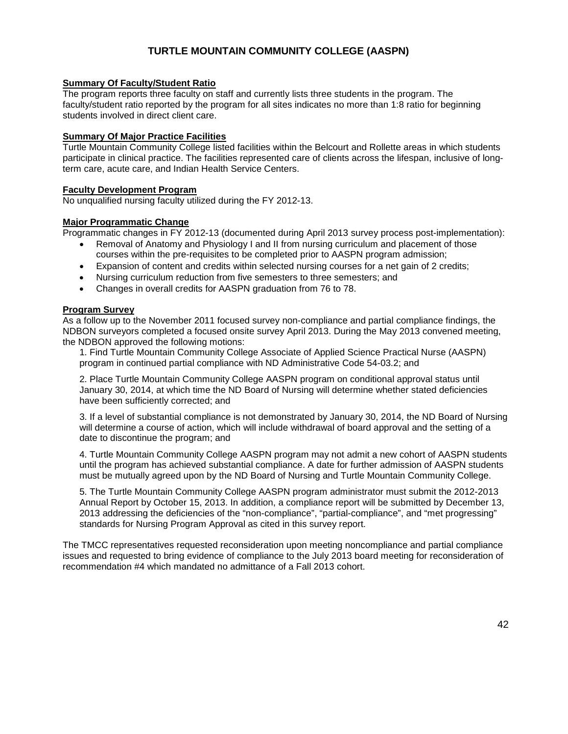### **TURTLE MOUNTAIN COMMUNITY COLLEGE (AASPN)**

### **Summary Of Faculty/Student Ratio**

The program reports three faculty on staff and currently lists three students in the program. The faculty/student ratio reported by the program for all sites indicates no more than 1:8 ratio for beginning students involved in direct client care.

### **Summary Of Major Practice Facilities**

Turtle Mountain Community College listed facilities within the Belcourt and Rollette areas in which students participate in clinical practice. The facilities represented care of clients across the lifespan, inclusive of longterm care, acute care, and Indian Health Service Centers.

### **Faculty Development Program**

No unqualified nursing faculty utilized during the FY 2012-13.

### **Major Programmatic Change**

Programmatic changes in FY 2012-13 (documented during April 2013 survey process post-implementation):

- Removal of Anatomy and Physiology I and II from nursing curriculum and placement of those courses within the pre-requisites to be completed prior to AASPN program admission;
- Expansion of content and credits within selected nursing courses for a net gain of 2 credits;
- Nursing curriculum reduction from five semesters to three semesters; and
- Changes in overall credits for AASPN graduation from 76 to 78.

### **Program Survey**

As a follow up to the November 2011 focused survey non-compliance and partial compliance findings, the NDBON surveyors completed a focused onsite survey April 2013. During the May 2013 convened meeting, the NDBON approved the following motions:

1. Find Turtle Mountain Community College Associate of Applied Science Practical Nurse (AASPN) program in continued partial compliance with ND Administrative Code 54-03.2; and

2. Place Turtle Mountain Community College AASPN program on conditional approval status until January 30, 2014, at which time the ND Board of Nursing will determine whether stated deficiencies have been sufficiently corrected; and

3. If a level of substantial compliance is not demonstrated by January 30, 2014, the ND Board of Nursing will determine a course of action, which will include withdrawal of board approval and the setting of a date to discontinue the program; and

4. Turtle Mountain Community College AASPN program may not admit a new cohort of AASPN students until the program has achieved substantial compliance. A date for further admission of AASPN students must be mutually agreed upon by the ND Board of Nursing and Turtle Mountain Community College.

5. The Turtle Mountain Community College AASPN program administrator must submit the 2012-2013 Annual Report by October 15, 2013. In addition, a compliance report will be submitted by December 13, 2013 addressing the deficiencies of the "non-compliance", "partial-compliance", and "met progressing" standards for Nursing Program Approval as cited in this survey report.

The TMCC representatives requested reconsideration upon meeting noncompliance and partial compliance issues and requested to bring evidence of compliance to the July 2013 board meeting for reconsideration of recommendation #4 which mandated no admittance of a Fall 2013 cohort.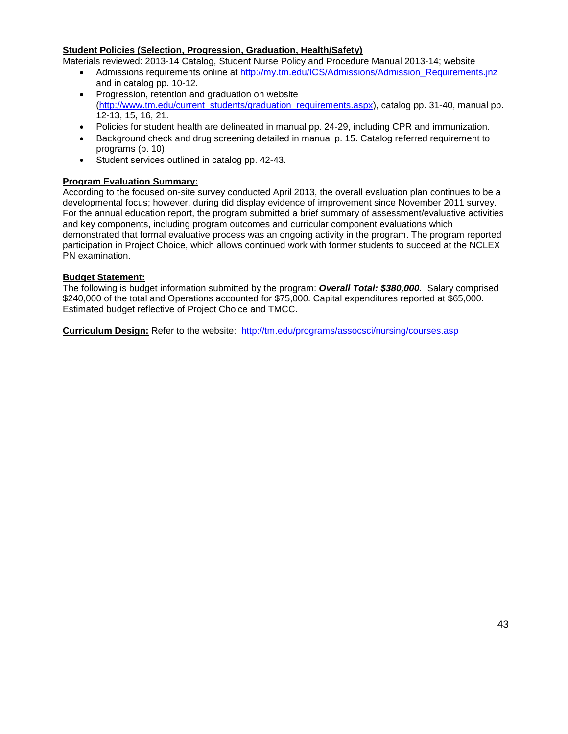### **Student Policies (Selection, Progression, Graduation, Health/Safety)**

Materials reviewed: 2013-14 Catalog, Student Nurse Policy and Procedure Manual 2013-14; website

- Admissions requirements online at http://my.tm.edu/ICS/Admissions/Admission Requirements.jnz and in catalog pp. 10-12.
- Progression, retention and graduation on website [\(http://www.tm.edu/current\\_students/graduation\\_requirements.aspx\)](http://www.tm.edu/current_students/graduation_requirements.aspx), catalog pp. 31-40, manual pp. 12-13, 15, 16, 21.
- Policies for student health are delineated in manual pp. 24-29, including CPR and immunization.
- Background check and drug screening detailed in manual p. 15. Catalog referred requirement to programs (p. 10).
- Student services outlined in catalog pp. 42-43.

### **Program Evaluation Summary:**

According to the focused on-site survey conducted April 2013, the overall evaluation plan continues to be a developmental focus; however, during did display evidence of improvement since November 2011 survey. For the annual education report, the program submitted a brief summary of assessment/evaluative activities and key components, including program outcomes and curricular component evaluations which demonstrated that formal evaluative process was an ongoing activity in the program. The program reported participation in Project Choice, which allows continued work with former students to succeed at the NCLEX PN examination.

### **Budget Statement:**

The following is budget information submitted by the program: *Overall Total: \$380,000.* Salary comprised \$240,000 of the total and Operations accounted for \$75,000. Capital expenditures reported at \$65,000. Estimated budget reflective of Project Choice and TMCC.

**Curriculum Design:** Refer to the website: <http://tm.edu/programs/assocsci/nursing/courses.asp>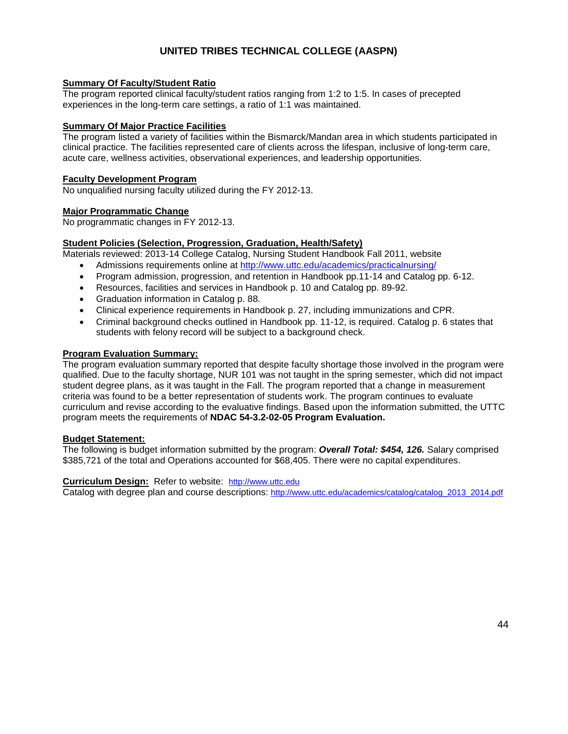### **UNITED TRIBES TECHNICAL COLLEGE (AASPN)**

### **Summary Of Faculty/Student Ratio**

The program reported clinical faculty/student ratios ranging from 1:2 to 1:5. In cases of precepted experiences in the long-term care settings, a ratio of 1:1 was maintained.

### **Summary Of Major Practice Facilities**

The program listed a variety of facilities within the Bismarck/Mandan area in which students participated in clinical practice. The facilities represented care of clients across the lifespan, inclusive of long-term care, acute care, wellness activities, observational experiences, and leadership opportunities.

### **Faculty Development Program**

No unqualified nursing faculty utilized during the FY 2012-13.

### **Major Programmatic Change**

No programmatic changes in FY 2012-13.

### **Student Policies (Selection, Progression, Graduation, Health/Safety)**

Materials reviewed: 2013-14 College Catalog, Nursing Student Handbook Fall 2011, website

- Admissions requirements online at<http://www.uttc.edu/academics/practicalnursing/>
- Program admission, progression, and retention in Handbook pp. 11-14 and Catalog pp. 6-12.
- Resources, facilities and services in Handbook p. 10 and Catalog pp. 89-92.
- Graduation information in Catalog p. 88.
- Clinical experience requirements in Handbook p. 27, including immunizations and CPR.
- Criminal background checks outlined in Handbook pp. 11-12, is required. Catalog p. 6 states that students with felony record will be subject to a background check.

### **Program Evaluation Summary:**

The program evaluation summary reported that despite faculty shortage those involved in the program were qualified. Due to the faculty shortage, NUR 101 was not taught in the spring semester, which did not impact student degree plans, as it was taught in the Fall. The program reported that a change in measurement criteria was found to be a better representation of students work. The program continues to evaluate curriculum and revise according to the evaluative findings. Based upon the information submitted, the UTTC program meets the requirements of **NDAC 54-3.2-02-05 Program Evaluation.**

### **Budget Statement:**

The following is budget information submitted by the program: *Overall Total: \$454, 126.* Salary comprised \$385,721 of the total and Operations accounted for \$68,405. There were no capital expenditures.

#### **Curriculum Design:** Refer to website: [http://www.uttc.edu](http://www.uttc.edu/)

Catalog with degree plan and course descriptions: [http://www.uttc.edu/academics/catalog/catalog\\_2013\\_2014.pdf](http://www.uttc.edu/academics/catalog/catalog_2013_2014.pdf)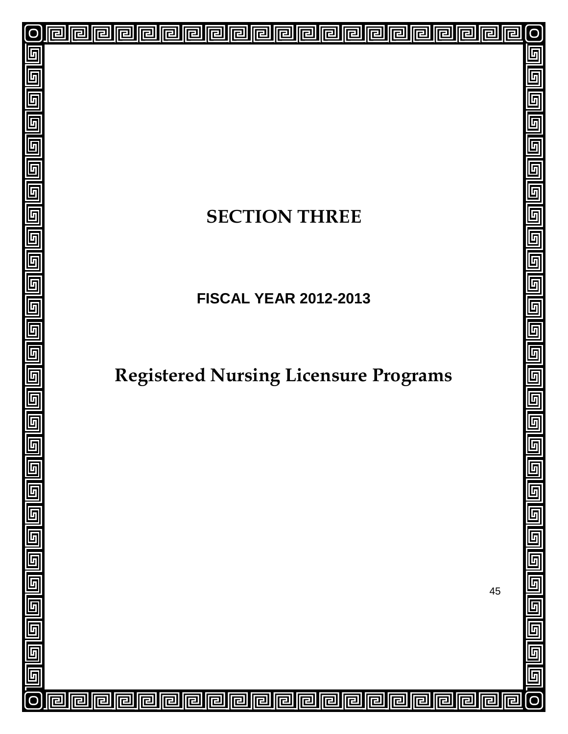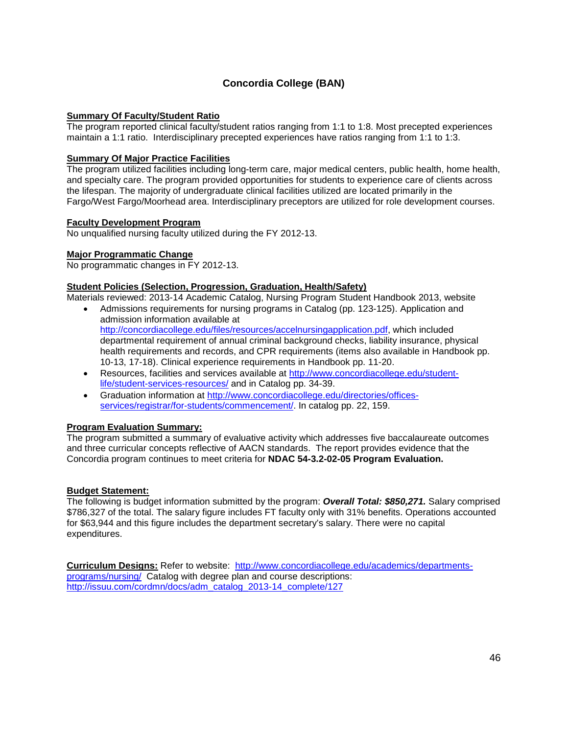### **Concordia College (BAN)**

### **Summary Of Faculty/Student Ratio**

The program reported clinical faculty/student ratios ranging from 1:1 to 1:8. Most precepted experiences maintain a 1:1 ratio. Interdisciplinary precepted experiences have ratios ranging from 1:1 to 1:3.

### **Summary Of Major Practice Facilities**

The program utilized facilities including long-term care, major medical centers, public health, home health, and specialty care. The program provided opportunities for students to experience care of clients across the lifespan. The majority of undergraduate clinical facilities utilized are located primarily in the Fargo/West Fargo/Moorhead area. Interdisciplinary preceptors are utilized for role development courses.

#### **Faculty Development Program**

No unqualified nursing faculty utilized during the FY 2012-13.

### **Major Programmatic Change**

No programmatic changes in FY 2012-13.

### **Student Policies (Selection, Progression, Graduation, Health/Safety)**

Materials reviewed: 2013-14 Academic Catalog, Nursing Program Student Handbook 2013, website

- Admissions requirements for nursing programs in Catalog (pp. 123-125). Application and admission information available at [http://concordiacollege.edu/files/resources/accelnursingapplication.pdf,](http://concordiacollege.edu/files/resources/accelnursingapplication.pdf) which included departmental requirement of annual criminal background checks, liability insurance, physical health requirements and records, and CPR requirements (items also available in Handbook pp. 10-13, 17-18). Clinical experience requirements in Handbook pp. 11-20.
- Resources, facilities and services available at [http://www.concordiacollege.edu/student](http://www.concordiacollege.edu/student-life/student-services-resources/)[life/student-services-resources/](http://www.concordiacollege.edu/student-life/student-services-resources/) and in Catalog pp. 34-39.
- Graduation information at [http://www.concordiacollege.edu/directories/offices](http://www.concordiacollege.edu/directories/offices-services/registrar/for-students/commencement/)[services/registrar/for-students/commencement/.](http://www.concordiacollege.edu/directories/offices-services/registrar/for-students/commencement/) In catalog pp. 22, 159.

#### **Program Evaluation Summary:**

The program submitted a summary of evaluative activity which addresses five baccalaureate outcomes and three curricular concepts reflective of AACN standards. The report provides evidence that the Concordia program continues to meet criteria for **NDAC 54-3.2-02-05 Program Evaluation.**

#### **Budget Statement:**

The following is budget information submitted by the program: *Overall Total: \$850,271.* Salary comprised \$786,327 of the total. The salary figure includes FT faculty only with 31% benefits. Operations accounted for \$63,944 and this figure includes the department secretary's salary. There were no capital expenditures.

**Curriculum Designs:** Refer to website: [http://www.concordiacollege.edu/academics/departments](http://www.concordiacollege.edu/academics/departments-programs/nursing/)[programs/nursing/](http://www.concordiacollege.edu/academics/departments-programs/nursing/) Catalog with degree plan and course descriptions: [http://issuu.com/cordmn/docs/adm\\_catalog\\_2013-14\\_complete/127](http://issuu.com/cordmn/docs/adm_catalog_2013-14_complete/127)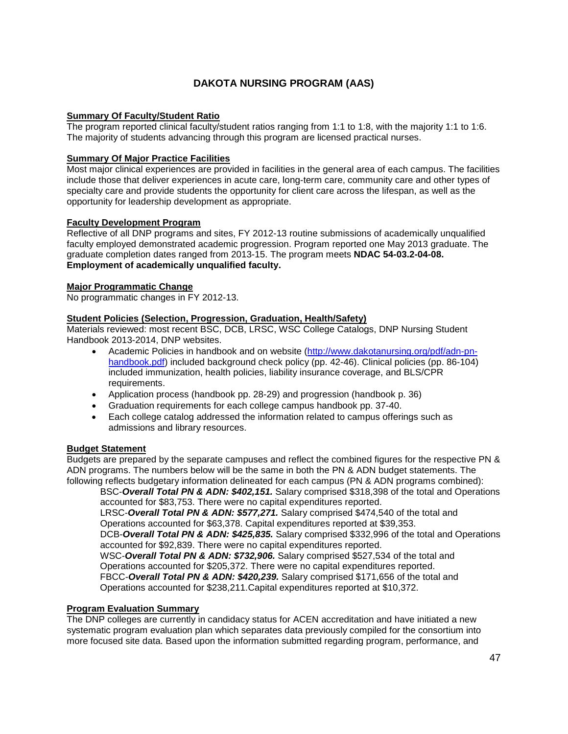### **DAKOTA NURSING PROGRAM (AAS)**

### **Summary Of Faculty/Student Ratio**

The program reported clinical faculty/student ratios ranging from 1:1 to 1:8, with the majority 1:1 to 1:6. The majority of students advancing through this program are licensed practical nurses.

### **Summary Of Major Practice Facilities**

Most major clinical experiences are provided in facilities in the general area of each campus. The facilities include those that deliver experiences in acute care, long-term care, community care and other types of specialty care and provide students the opportunity for client care across the lifespan, as well as the opportunity for leadership development as appropriate.

### **Faculty Development Program**

Reflective of all DNP programs and sites, FY 2012-13 routine submissions of academically unqualified faculty employed demonstrated academic progression. Program reported one May 2013 graduate. The graduate completion dates ranged from 2013-15. The program meets **NDAC 54-03.2-04-08. Employment of academically unqualified faculty.**

### **Major Programmatic Change**

No programmatic changes in FY 2012-13.

### **Student Policies (Selection, Progression, Graduation, Health/Safety)**

Materials reviewed: most recent BSC, DCB, LRSC, WSC College Catalogs, DNP Nursing Student Handbook 2013-2014, DNP websites.

- Academic Policies in handbook and on website [\(http://www.dakotanursing.org/pdf/adn-pn](http://www.dakotanursing.org/pdf/adn-pn-handbook.pdf)[handbook.pdf\)](http://www.dakotanursing.org/pdf/adn-pn-handbook.pdf) included background check policy (pp. 42-46). Clinical policies (pp. 86-104) included immunization, health policies, liability insurance coverage, and BLS/CPR requirements.
- Application process (handbook pp. 28-29) and progression (handbook p. 36)
- Graduation requirements for each college campus handbook pp. 37-40.
- Each college catalog addressed the information related to campus offerings such as admissions and library resources.

#### **Budget Statement**

Budgets are prepared by the separate campuses and reflect the combined figures for the respective PN & ADN programs. The numbers below will be the same in both the PN & ADN budget statements. The following reflects budgetary information delineated for each campus (PN & ADN programs combined):

BSC-*Overall Total PN & ADN: \$402,151.* Salary comprised \$318,398 of the total and Operations accounted for \$83,753. There were no capital expenditures reported.

LRSC-*Overall Total PN & ADN: \$577,271.* Salary comprised \$474,540 of the total and Operations accounted for \$63,378. Capital expenditures reported at \$39,353.

DCB-*Overall Total PN & ADN: \$425,835.* Salary comprised \$332,996 of the total and Operations accounted for \$92,839. There were no capital expenditures reported.

WSC-*Overall Total PN & ADN: \$732,906.* Salary comprised \$527,534 of the total and Operations accounted for \$205,372. There were no capital expenditures reported.

FBCC-*Overall Total PN & ADN: \$420,239.* Salary comprised \$171,656 of the total and Operations accounted for \$238,211.Capital expenditures reported at \$10,372.

### **Program Evaluation Summary**

The DNP colleges are currently in candidacy status for ACEN accreditation and have initiated a new systematic program evaluation plan which separates data previously compiled for the consortium into more focused site data. Based upon the information submitted regarding program, performance, and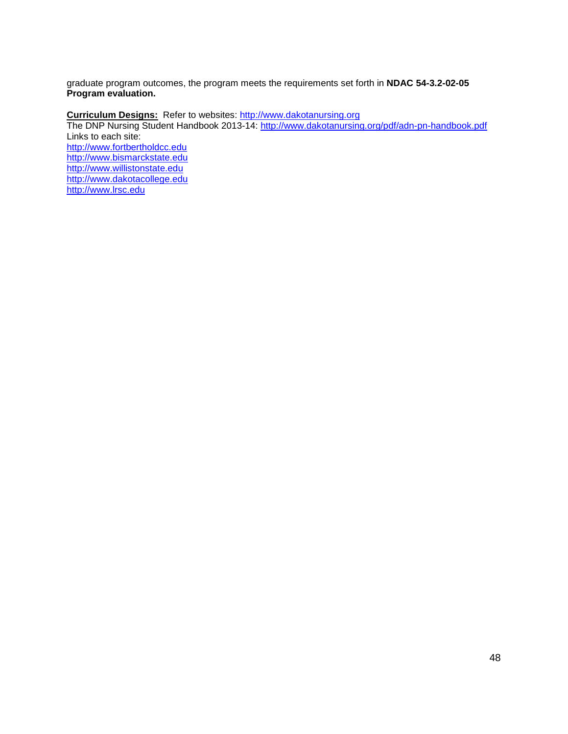graduate program outcomes, the program meets the requirements set forth in **NDAC 54-3.2-02-05 Program evaluation.**

**Curriculum Designs:** Refer to websites: [http://www.dakotanursing.org](http://www.dakotanursing.org/) The DNP Nursing Student Handbook 2013-14: <u>http://www.dakotanursing.org/pdf/adn-pn-handbook.pdf</u> Links to each site: [http://www.fortbertholdcc.edu](http://www.fortbertholdcc.edu/) [http://www.bismarckstate.edu](http://www.bismarckstate.edu/) [http://www.willistonstate.edu](http://www.willistonstate.edu/)  [http://www.dakotacollege.edu](http://www.dakotacollege.edu/) [http://www.lrsc.edu](http://www.lrsc.edu/)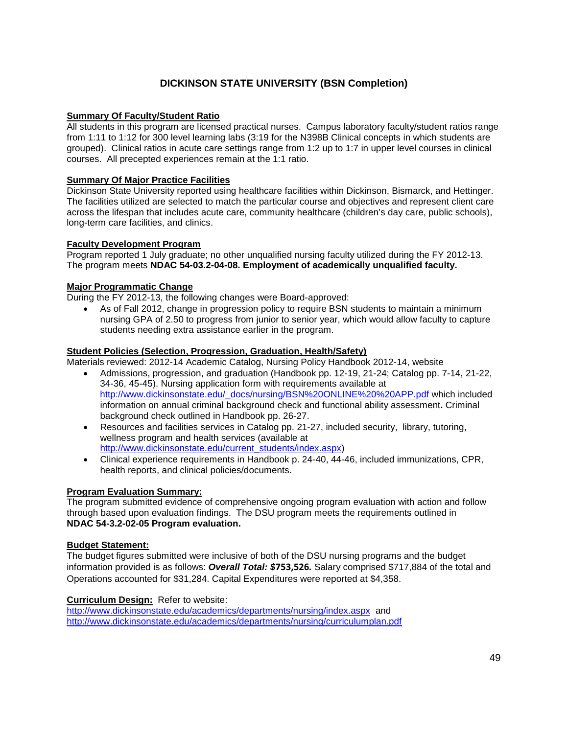### **DICKINSON STATE UNIVERSITY (BSN Completion)**

### **Summary Of Faculty/Student Ratio**

All students in this program are licensed practical nurses. Campus laboratory faculty/student ratios range from 1:11 to 1:12 for 300 level learning labs (3:19 for the N398B Clinical concepts in which students are grouped). Clinical ratios in acute care settings range from 1:2 up to 1:7 in upper level courses in clinical courses. All precepted experiences remain at the 1:1 ratio.

### **Summary Of Major Practice Facilities**

Dickinson State University reported using healthcare facilities within Dickinson, Bismarck, and Hettinger. The facilities utilized are selected to match the particular course and objectives and represent client care across the lifespan that includes acute care, community healthcare (children's day care, public schools), long-term care facilities, and clinics.

### **Faculty Development Program**

Program reported 1 July graduate; no other unqualified nursing faculty utilized during the FY 2012-13. The program meets **NDAC 54-03.2-04-08. Employment of academically unqualified faculty.**

### **Major Programmatic Change**

During the FY 2012-13, the following changes were Board-approved:

• As of Fall 2012, change in progression policy to require BSN students to maintain a minimum nursing GPA of 2.50 to progress from junior to senior year, which would allow faculty to capture students needing extra assistance earlier in the program.

### **Student Policies (Selection, Progression, Graduation, Health/Safety)**

Materials reviewed: 2012-14 Academic Catalog, Nursing Policy Handbook 2012-14, website

- Admissions, progression, and graduation (Handbook pp. 12-19, 21-24; Catalog pp. 7-14, 21-22, 34-36, 45-45). Nursing application form with requirements available at [http://www.dickinsonstate.edu/\\_docs/nursing/BSN%20ONLINE%20%20APP.pdf](http://www.dickinsonstate.edu/_docs/nursing/BSN%20ONLINE%20%20APP.pdf) which included information on annual criminal background check and functional ability assessment**.** Criminal background check outlined in Handbook pp. 26-27.
- Resources and facilities services in Catalog pp. 21-27, included security, library, tutoring, wellness program and health services (available at [http://www.dickinsonstate.edu/current\\_students/index.aspx\)](http://www.dickinsonstate.edu/current_students/index.aspx)
- Clinical experience requirements in Handbook p. 24-40, 44-46, included immunizations, CPR, health reports, and clinical policies/documents.

#### **Program Evaluation Summary:**

The program submitted evidence of comprehensive ongoing program evaluation with action and follow through based upon evaluation findings. The DSU program meets the requirements outlined in **NDAC 54-3.2-02-05 Program evaluation.**

#### **Budget Statement:**

The budget figures submitted were inclusive of both of the DSU nursing programs and the budget information provided is as follows: *Overall Total: \$***753,526***.* Salary comprised \$717,884 of the total and Operations accounted for \$31,284. Capital Expenditures were reported at \$4,358.

**Curriculum Design:** Refer to website:

<http://www.dickinsonstate.edu/academics/departments/nursing/index.aspx> and <http://www.dickinsonstate.edu/academics/departments/nursing/curriculumplan.pdf>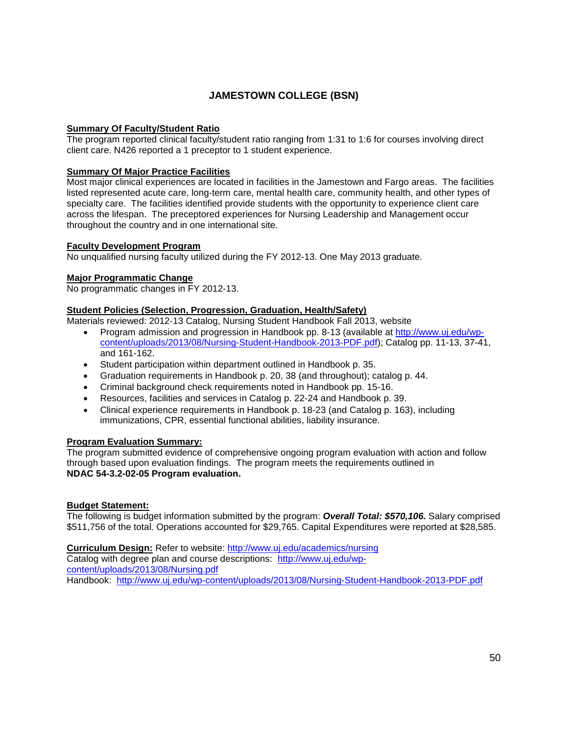### **JAMESTOWN COLLEGE (BSN)**

### **Summary Of Faculty/Student Ratio**

The program reported clinical faculty/student ratio ranging from 1:31 to 1:6 for courses involving direct client care. N426 reported a 1 preceptor to 1 student experience.

### **Summary Of Major Practice Facilities**

Most major clinical experiences are located in facilities in the Jamestown and Fargo areas. The facilities listed represented acute care, long-term care, mental health care, community health, and other types of specialty care. The facilities identified provide students with the opportunity to experience client care across the lifespan. The preceptored experiences for Nursing Leadership and Management occur throughout the country and in one international site.

#### **Faculty Development Program**

No unqualified nursing faculty utilized during the FY 2012-13. One May 2013 graduate.

### **Major Programmatic Change**

No programmatic changes in FY 2012-13.

### **Student Policies (Selection, Progression, Graduation, Health/Safety)**

Materials reviewed: 2012-13 Catalog, Nursing Student Handbook Fall 2013, website

- Program admission and progression in Handbook pp. 8-13 (available at [http://www.uj.edu/wp](http://www.uj.edu/wp-content/uploads/2013/08/Nursing-Student-Handbook-2013-PDF.pdf)[content/uploads/2013/08/Nursing-Student-Handbook-2013-PDF.pdf\)](http://www.uj.edu/wp-content/uploads/2013/08/Nursing-Student-Handbook-2013-PDF.pdf); Catalog pp. 11-13, 37-41, and 161-162.
- Student participation within department outlined in Handbook p. 35.
- Graduation requirements in Handbook p. 20, 38 (and throughout); catalog p. 44.
- Criminal background check requirements noted in Handbook pp. 15-16.
- Resources, facilities and services in Catalog p. 22-24 and Handbook p. 39.
- Clinical experience requirements in Handbook p. 18-23 (and Catalog p. 163), including immunizations, CPR, essential functional abilities, liability insurance.

#### **Program Evaluation Summary:**

The program submitted evidence of comprehensive ongoing program evaluation with action and follow through based upon evaluation findings. The program meets the requirements outlined in **NDAC 54-3.2-02-05 Program evaluation.**

#### **Budget Statement:**

The following is budget information submitted by the program: *Overall Total: \$570,106.* Salary comprised \$511,756 of the total. Operations accounted for \$29,765. Capital Expenditures were reported at \$28,585.

**Curriculum Design:** Refer to website:<http://www.uj.edu/academics/nursing> Catalog with degree plan and course descriptions: [http://www.uj.edu/wp](http://www.uj.edu/wp-content/uploads/2013/08/Nursing.pdf)[content/uploads/2013/08/Nursing.pdf](http://www.uj.edu/wp-content/uploads/2013/08/Nursing.pdf) Handbook: <http://www.uj.edu/wp-content/uploads/2013/08/Nursing-Student-Handbook-2013-PDF.pdf>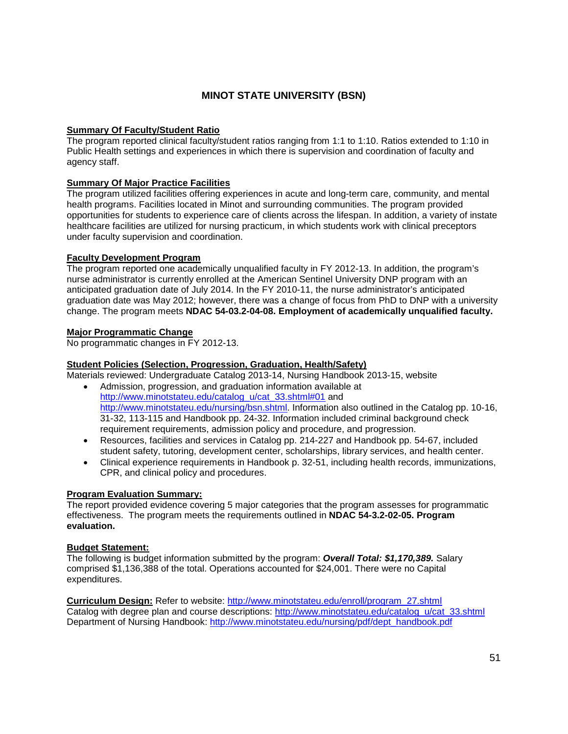### **MINOT STATE UNIVERSITY (BSN)**

### **Summary Of Faculty/Student Ratio**

The program reported clinical faculty/student ratios ranging from 1:1 to 1:10. Ratios extended to 1:10 in Public Health settings and experiences in which there is supervision and coordination of faculty and agency staff.

### **Summary Of Major Practice Facilities**

The program utilized facilities offering experiences in acute and long-term care, community, and mental health programs. Facilities located in Minot and surrounding communities. The program provided opportunities for students to experience care of clients across the lifespan. In addition, a variety of instate healthcare facilities are utilized for nursing practicum, in which students work with clinical preceptors under faculty supervision and coordination.

### **Faculty Development Program**

The program reported one academically unqualified faculty in FY 2012-13. In addition, the program's nurse administrator is currently enrolled at the American Sentinel University DNP program with an anticipated graduation date of July 2014. In the FY 2010-11, the nurse administrator's anticipated graduation date was May 2012; however, there was a change of focus from PhD to DNP with a university change. The program meets **NDAC 54-03.2-04-08. Employment of academically unqualified faculty.**

### **Major Programmatic Change**

No programmatic changes in FY 2012-13.

### **Student Policies (Selection, Progression, Graduation, Health/Safety)**

Materials reviewed: Undergraduate Catalog 2013-14, Nursing Handbook 2013-15, website

- Admission, progression, and graduation information available at [http://www.minotstateu.edu/catalog\\_u/cat\\_33.shtml#01](http://www.minotstateu.edu/catalog_u/cat_33.shtml%2301) and [http://www.minotstateu.edu/nursing/bsn.shtml.](http://www.minotstateu.edu/nursing/bsn.shtml) Information also outlined in the Catalog pp. 10-16, 31-32, 113-115 and Handbook pp. 24-32. Information included criminal background check requirement requirements, admission policy and procedure, and progression.
- Resources, facilities and services in Catalog pp. 214-227 and Handbook pp. 54-67, included student safety, tutoring, development center, scholarships, library services, and health center.
- Clinical experience requirements in Handbook p. 32-51, including health records, immunizations, CPR, and clinical policy and procedures.

#### **Program Evaluation Summary:**

The report provided evidence covering 5 major categories that the program assesses for programmatic effectiveness.The program meets the requirements outlined in **NDAC 54-3.2-02-05. Program evaluation.**

#### **Budget Statement:**

The following is budget information submitted by the program: *Overall Total: \$1,170,389.* Salary comprised \$1,136,388 of the total. Operations accounted for \$24,001. There were no Capital expenditures.

**Curriculum Design:** Refer to website: [http://www.minotstateu.edu/enroll/program\\_27.shtml](http://www.minotstateu.edu/enroll/program_27.shtml) Catalog with degree plan and course descriptions: [http://www.minotstateu.edu/catalog\\_u/cat\\_33.shtml](http://www.minotstateu.edu/catalog_u/cat_33.shtml) Department of Nursing Handbook: [http://www.minotstateu.edu/nursing/pdf/dept\\_handbook.pdf](http://www.minotstateu.edu/nursing/pdf/dept_handbook.pdf)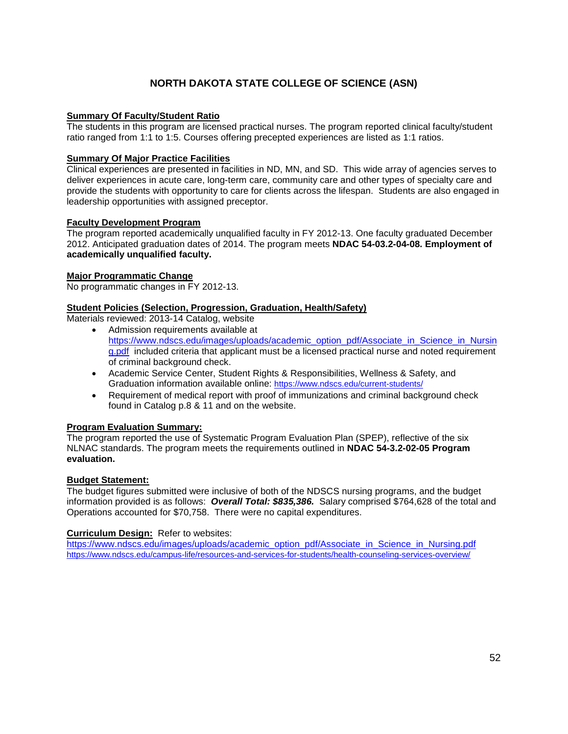### **NORTH DAKOTA STATE COLLEGE OF SCIENCE (ASN)**

### **Summary Of Faculty/Student Ratio**

The students in this program are licensed practical nurses. The program reported clinical faculty/student ratio ranged from 1:1 to 1:5. Courses offering precepted experiences are listed as 1:1 ratios.

### **Summary Of Major Practice Facilities**

Clinical experiences are presented in facilities in ND, MN, and SD. This wide array of agencies serves to deliver experiences in acute care, long-term care, community care and other types of specialty care and provide the students with opportunity to care for clients across the lifespan. Students are also engaged in leadership opportunities with assigned preceptor.

### **Faculty Development Program**

The program reported academically unqualified faculty in FY 2012-13. One faculty graduated December 2012. Anticipated graduation dates of 2014. The program meets **NDAC 54-03.2-04-08. Employment of academically unqualified faculty.**

#### **Major Programmatic Change**

No programmatic changes in FY 2012-13.

### **Student Policies (Selection, Progression, Graduation, Health/Safety)**

Materials reviewed: 2013-14 Catalog, website

- Admission requirements available at [https://www.ndscs.edu/images/uploads/academic\\_option\\_pdf/Associate\\_in\\_Science\\_in\\_Nursin](https://www.ndscs.edu/images/uploads/academic_option_pdf/Associate_in_Science_in_Nursing.pdf) [g.pdf](https://www.ndscs.edu/images/uploads/academic_option_pdf/Associate_in_Science_in_Nursing.pdf) included criteria that applicant must be a licensed practical nurse and noted requirement of criminal background check.
- Academic Service Center, Student Rights & Responsibilities, Wellness & Safety, and Graduation information available online:<https://www.ndscs.edu/current-students/>
- Requirement of medical report with proof of immunizations and criminal background check found in Catalog p.8 & 11 and on the website.

#### **Program Evaluation Summary:**

The program reported the use of Systematic Program Evaluation Plan (SPEP), reflective of the six NLNAC standards. The program meets the requirements outlined in **NDAC 54-3.2-02-05 Program evaluation.**

#### **Budget Statement:**

The budget figures submitted were inclusive of both of the NDSCS nursing programs, and the budget information provided is as follows: *Overall Total: \$835,386.* Salary comprised \$764,628 of the total and Operations accounted for \$70,758. There were no capital expenditures.

#### **Curriculum Design:** Refer to websites:

[https://www.ndscs.edu/images/uploads/academic\\_option\\_pdf/Associate\\_in\\_Science\\_in\\_Nursing.pdf](https://www.ndscs.edu/images/uploads/academic_option_pdf/Associate_in_Science_in_Nursing.pdf) <https://www.ndscs.edu/campus-life/resources-and-services-for-students/health-counseling-services-overview/>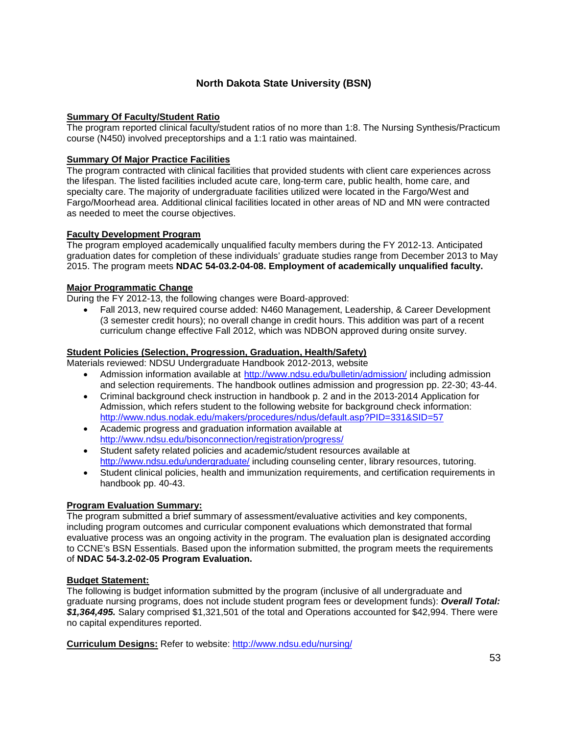### **North Dakota State University (BSN)**

### **Summary Of Faculty/Student Ratio**

The program reported clinical faculty/student ratios of no more than 1:8. The Nursing Synthesis/Practicum course (N450) involved preceptorships and a 1:1 ratio was maintained.

### **Summary Of Major Practice Facilities**

The program contracted with clinical facilities that provided students with client care experiences across the lifespan. The listed facilities included acute care, long-term care, public health, home care, and specialty care. The majority of undergraduate facilities utilized were located in the Fargo/West and Fargo/Moorhead area. Additional clinical facilities located in other areas of ND and MN were contracted as needed to meet the course objectives.

### **Faculty Development Program**

The program employed academically unqualified faculty members during the FY 2012-13. Anticipated graduation dates for completion of these individuals' graduate studies range from December 2013 to May 2015. The program meets **NDAC 54-03.2-04-08. Employment of academically unqualified faculty.**

### **Major Programmatic Change**

During the FY 2012-13, the following changes were Board-approved:

• Fall 2013, new required course added: N460 Management, Leadership, & Career Development (3 semester credit hours); no overall change in credit hours. This addition was part of a recent curriculum change effective Fall 2012, which was NDBON approved during onsite survey.

### **Student Policies (Selection, Progression, Graduation, Health/Safety)**

Materials reviewed: NDSU Undergraduate Handbook 2012-2013, website

- Admission information available at <http://www.ndsu.edu/bulletin/admission/> including admission and selection requirements. The handbook outlines admission and progression pp. 22-30; 43-44.
- Criminal background check instruction in handbook p. 2 and in the 2013-2014 Application for Admission, which refers student to the following website for background check information: <http://www.ndus.nodak.edu/makers/procedures/ndus/default.asp?PID=331&SID=57>
- Academic progress and graduation information available at <http://www.ndsu.edu/bisonconnection/registration/progress/>
- Student safety related policies and academic/student resources available at <http://www.ndsu.edu/undergraduate/> including counseling center, library resources, tutoring.
- Student clinical policies, health and immunization requirements, and certification requirements in handbook pp. 40-43.

### **Program Evaluation Summary:**

The program submitted a brief summary of assessment/evaluative activities and key components, including program outcomes and curricular component evaluations which demonstrated that formal evaluative process was an ongoing activity in the program. The evaluation plan is designated according to CCNE's BSN Essentials. Based upon the information submitted, the program meets the requirements of **NDAC 54-3.2-02-05 Program Evaluation.**

#### **Budget Statement:**

The following is budget information submitted by the program (inclusive of all undergraduate and graduate nursing programs, does not include student program fees or development funds): *Overall Total: \$1,364,495.* Salary comprised \$1,321,501 of the total and Operations accounted for \$42,994. There were no capital expenditures reported.

**Curriculum Designs:** Refer to website:<http://www.ndsu.edu/nursing/>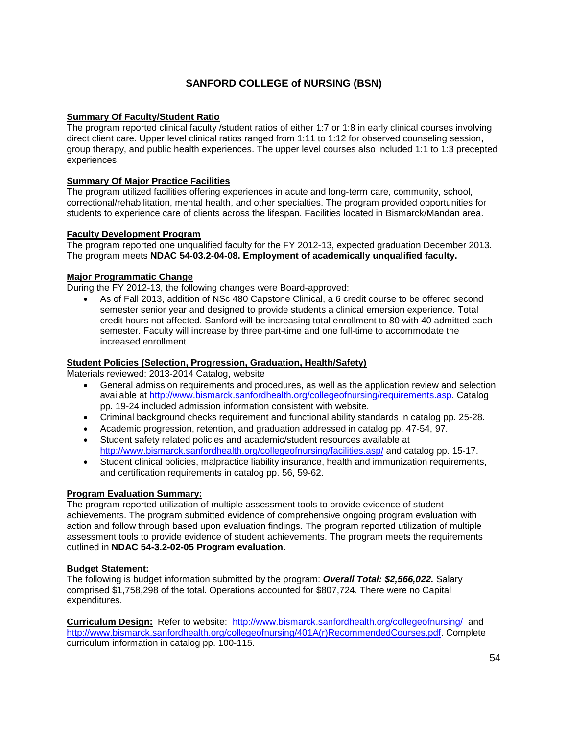### **SANFORD COLLEGE of NURSING (BSN)**

### **Summary Of Faculty/Student Ratio**

The program reported clinical faculty /student ratios of either 1:7 or 1:8 in early clinical courses involving direct client care. Upper level clinical ratios ranged from 1:11 to 1:12 for observed counseling session, group therapy, and public health experiences. The upper level courses also included 1:1 to 1:3 precepted experiences.

### **Summary Of Major Practice Facilities**

The program utilized facilities offering experiences in acute and long-term care, community, school, correctional/rehabilitation, mental health, and other specialties. The program provided opportunities for students to experience care of clients across the lifespan. Facilities located in Bismarck/Mandan area.

#### **Faculty Development Program**

The program reported one unqualified faculty for the FY 2012-13, expected graduation December 2013. The program meets **NDAC 54-03.2-04-08. Employment of academically unqualified faculty.**

### **Major Programmatic Change**

During the FY 2012-13, the following changes were Board-approved:

• As of Fall 2013, addition of NSc 480 Capstone Clinical, a 6 credit course to be offered second semester senior year and designed to provide students a clinical emersion experience. Total credit hours not affected. Sanford will be increasing total enrollment to 80 with 40 admitted each semester. Faculty will increase by three part-time and one full-time to accommodate the increased enrollment.

#### **Student Policies (Selection, Progression, Graduation, Health/Safety)**

Materials reviewed: 2013-2014 Catalog, website

- General admission requirements and procedures, as well as the application review and selection available at [http://www.bismarck.sanfordhealth.org/collegeofnursing/requirements.asp.](http://www.bismarck.sanfordhealth.org/collegeofnursing/requirements.asp) Catalog pp. 19-24 included admission information consistent with website.
- Criminal background checks requirement and functional ability standards in catalog pp. 25-28.
- Academic progression, retention, and graduation addressed in catalog pp. 47-54, 97.
- Student safety related policies and academic/student resources available at <http://www.bismarck.sanfordhealth.org/collegeofnursing/facilities.asp/> and catalog pp. 15-17.
- Student clinical policies, malpractice liability insurance, health and immunization requirements, and certification requirements in catalog pp. 56, 59-62.

#### **Program Evaluation Summary:**

The program reported utilization of multiple assessment tools to provide evidence of student achievements. The program submitted evidence of comprehensive ongoing program evaluation with action and follow through based upon evaluation findings. The program reported utilization of multiple assessment tools to provide evidence of student achievements. The program meets the requirements outlined in **NDAC 54-3.2-02-05 Program evaluation.**

#### **Budget Statement:**

The following is budget information submitted by the program: *Overall Total: \$2,566,022.* Salary comprised \$1,758,298 of the total. Operations accounted for \$807,724. There were no Capital expenditures.

**Curriculum Design:** Refer to website: <http://www.bismarck.sanfordhealth.org/collegeofnursing/> and [http://www.bismarck.sanfordhealth.org/collegeofnursing/401A\(r\)RecommendedCourses.pdf.](http://www.bismarck.sanfordhealth.org/collegeofnursing/401A(r)RecommendedCourses.pdf) Complete curriculum information in catalog pp. 100-115.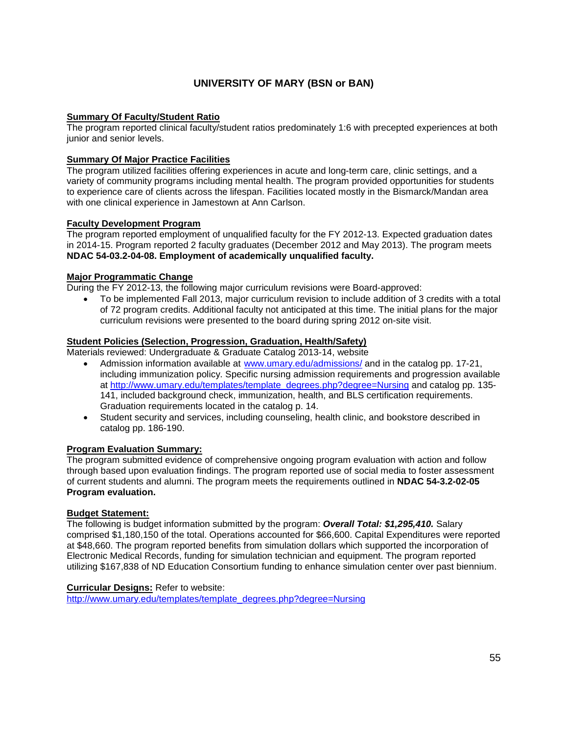### **UNIVERSITY OF MARY (BSN or BAN)**

### **Summary Of Faculty/Student Ratio**

The program reported clinical faculty/student ratios predominately 1:6 with precepted experiences at both junior and senior levels.

### **Summary Of Major Practice Facilities**

The program utilized facilities offering experiences in acute and long-term care, clinic settings, and a variety of community programs including mental health. The program provided opportunities for students to experience care of clients across the lifespan. Facilities located mostly in the Bismarck/Mandan area with one clinical experience in Jamestown at Ann Carlson.

#### **Faculty Development Program**

The program reported employment of unqualified faculty for the FY 2012-13. Expected graduation dates in 2014-15. Program reported 2 faculty graduates (December 2012 and May 2013). The program meets **NDAC 54-03.2-04-08. Employment of academically unqualified faculty.**

#### **Major Programmatic Change**

During the FY 2012-13, the following major curriculum revisions were Board-approved:

• To be implemented Fall 2013, major curriculum revision to include addition of 3 credits with a total of 72 program credits. Additional faculty not anticipated at this time. The initial plans for the major curriculum revisions were presented to the board during spring 2012 on-site visit.

### **Student Policies (Selection, Progression, Graduation, Health/Safety)**

Materials reviewed: Undergraduate & Graduate Catalog 2013-14, website

- Admission information available at [www.umary.edu/admissions/](http://www.umary.edu/admissions/) and in the catalog pp. 17-21, including immunization policy. Specific nursing admission requirements and progression available at [http://www.umary.edu/templates/template\\_degrees.php?degree=Nursing](http://www.umary.edu/templates/template_degrees.php?degree=Nursing) and catalog pp. 135- 141, included background check, immunization, health, and BLS certification requirements. Graduation requirements located in the catalog p. 14.
- Student security and services, including counseling, health clinic, and bookstore described in catalog pp. 186-190.

#### **Program Evaluation Summary:**

The program submitted evidence of comprehensive ongoing program evaluation with action and follow through based upon evaluation findings. The program reported use of social media to foster assessment of current students and alumni. The program meets the requirements outlined in **NDAC 54-3.2-02-05 Program evaluation.**

#### **Budget Statement:**

The following is budget information submitted by the program: *Overall Total: \$1,295,410.* Salary comprised \$1,180,150 of the total. Operations accounted for \$66,600. Capital Expenditures were reported at \$48,660. The program reported benefits from simulation dollars which supported the incorporation of Electronic Medical Records, funding for simulation technician and equipment. The program reported utilizing \$167,838 of ND Education Consortium funding to enhance simulation center over past biennium.

#### **Curricular Designs:** Refer to website:

[http://www.umary.edu/templates/template\\_degrees.php?degree=Nursing](http://www.umary.edu/templates/template_degrees.php?degree=Nursing)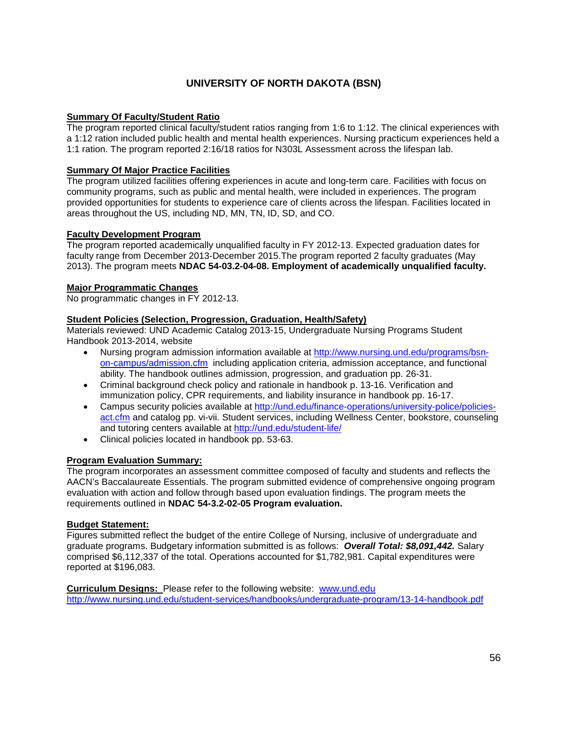### **UNIVERSITY OF NORTH DAKOTA (BSN)**

### **Summary Of Faculty/Student Ratio**

The program reported clinical faculty/student ratios ranging from 1:6 to 1:12. The clinical experiences with a 1:12 ration included public health and mental health experiences. Nursing practicum experiences held a 1:1 ration. The program reported 2:16/18 ratios for N303L Assessment across the lifespan lab.

### **Summary Of Major Practice Facilities**

The program utilized facilities offering experiences in acute and long-term care. Facilities with focus on community programs, such as public and mental health, were included in experiences. The program provided opportunities for students to experience care of clients across the lifespan. Facilities located in areas throughout the US, including ND, MN, TN, ID, SD, and CO.

### **Faculty Development Program**

The program reported academically unqualified faculty in FY 2012-13. Expected graduation dates for faculty range from December 2013-December 2015.The program reported 2 faculty graduates (May 2013). The program meets **NDAC 54-03.2-04-08. Employment of academically unqualified faculty.**

### **Major Programmatic Changes**

No programmatic changes in FY 2012-13.

### **Student Policies (Selection, Progression, Graduation, Health/Safety)**

Materials reviewed: UND Academic Catalog 2013-15, Undergraduate Nursing Programs Student Handbook 2013-2014, website

- Nursing program admission information available at [http://www.nursing.und.edu/programs/bsn](http://www.nursing.und.edu/programs/bsn-on-campus/admission.cfm)[on-campus/admission.cfm](http://www.nursing.und.edu/programs/bsn-on-campus/admission.cfm) including application criteria, admission acceptance, and functional ability. The handbook outlines admission, progression, and graduation pp. 26-31.
- Criminal background check policy and rationale in handbook p. 13-16. Verification and immunization policy, CPR requirements, and liability insurance in handbook pp. 16-17.
- Campus security policies available at [http://und.edu/finance-operations/university-police/policies](http://und.edu/finance-operations/university-police/policies-act.cfm)[act.cfm](http://und.edu/finance-operations/university-police/policies-act.cfm) and catalog pp. vi-vii. Student services, including Wellness Center, bookstore, counseling and tutoring centers available at<http://und.edu/student-life/>
- Clinical policies located in handbook pp. 53-63.

### **Program Evaluation Summary:**

The program incorporates an assessment committee composed of faculty and students and reflects the AACN's Baccalaureate Essentials. The program submitted evidence of comprehensive ongoing program evaluation with action and follow through based upon evaluation findings. The program meets the requirements outlined in **NDAC 54-3.2-02-05 Program evaluation.**

### **Budget Statement:**

Figures submitted reflect the budget of the entire College of Nursing, inclusive of undergraduate and graduate programs. Budgetary information submitted is as follows: *Overall Total: \$8,091,442.* Salary comprised \$6,112,337 of the total. Operations accounted for \$1,782,981. Capital expenditures were reported at \$196,083.

### **Curriculum Designs:** Please refer to the following website: [www.und.edu](http://www.und.edu/) <http://www.nursing.und.edu/student-services/handbooks/undergraduate-program/13-14-handbook.pdf>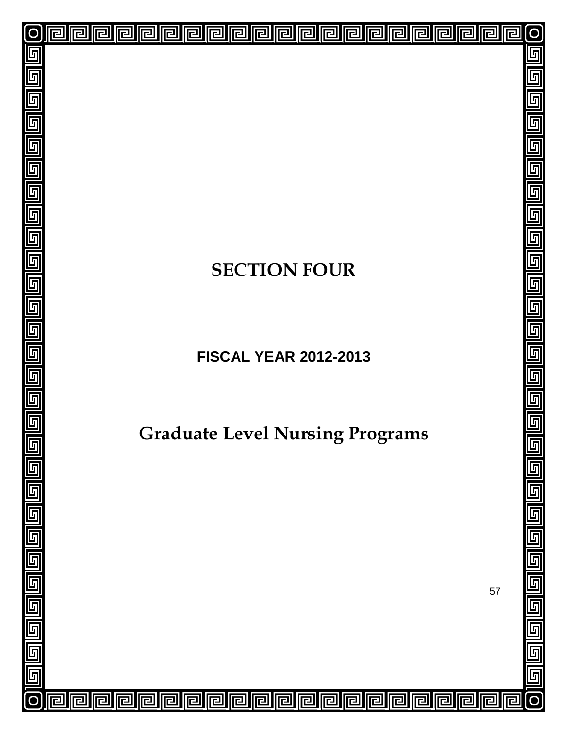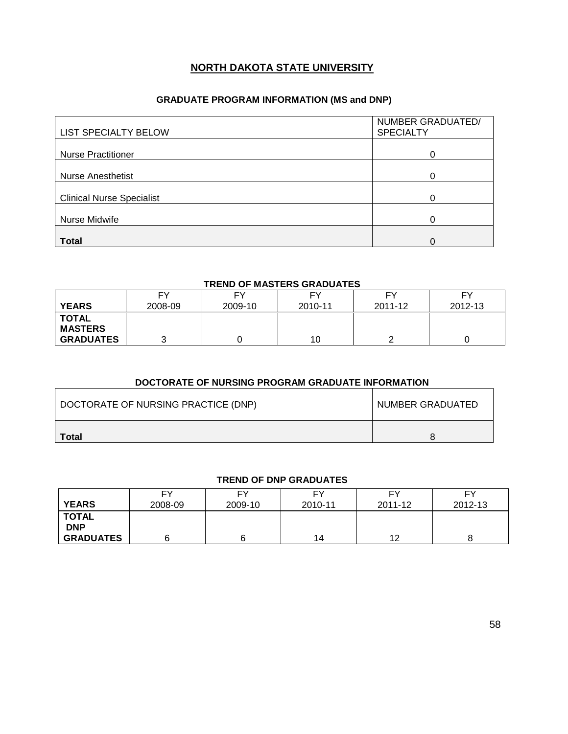### **NORTH DAKOTA STATE UNIVERSITY**

### **GRADUATE PROGRAM INFORMATION (MS and DNP)**

| LIST SPECIALTY BELOW             | NUMBER GRADUATED/<br><b>SPECIALTY</b> |
|----------------------------------|---------------------------------------|
| <b>Nurse Practitioner</b>        |                                       |
| <b>Nurse Anesthetist</b>         | 0                                     |
| <b>Clinical Nurse Specialist</b> | n                                     |
| Nurse Midwife                    |                                       |
| <b>Total</b>                     | O                                     |

#### **TREND OF MASTERS GRADUATES**

|                  | FΥ      | FΥ      | FΥ      | FΥ      | FΥ      |
|------------------|---------|---------|---------|---------|---------|
| <b>YEARS</b>     | 2008-09 | 2009-10 | 2010-11 | 2011-12 | 2012-13 |
| <b>TOTAL</b>     |         |         |         |         |         |
| <b>MASTERS</b>   |         |         |         |         |         |
| <b>GRADUATES</b> |         |         | 10      |         |         |

### **DOCTORATE OF NURSING PROGRAM GRADUATE INFORMATION**

| DOCTORATE OF NURSING PRACTICE (DNP) | NUMBER GRADUATED |
|-------------------------------------|------------------|
| Total                               |                  |

### **TREND OF DNP GRADUATES**

| <b>YEARS</b>               | FY<br>2008-09 | F٧<br>2009-10 | FΥ<br>2010-11 | FΥ<br>2011-12 | FΥ<br>2012-13 |
|----------------------------|---------------|---------------|---------------|---------------|---------------|
| <b>TOTAL</b><br><b>DNP</b> |               |               |               |               |               |
| <b>GRADUATES</b>           |               |               | 14            | 12            |               |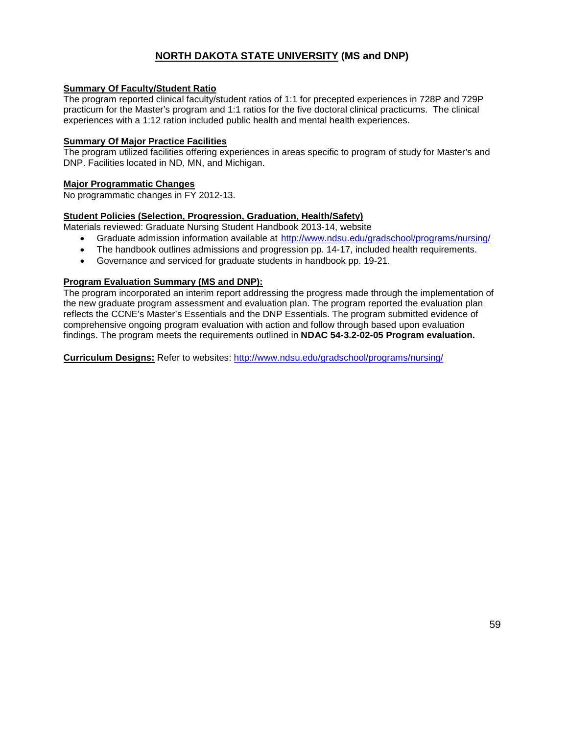### **NORTH DAKOTA STATE UNIVERSITY (MS and DNP)**

### **Summary Of Faculty/Student Ratio**

The program reported clinical faculty/student ratios of 1:1 for precepted experiences in 728P and 729P practicum for the Master's program and 1:1 ratios for the five doctoral clinical practicums. The clinical experiences with a 1:12 ration included public health and mental health experiences.

### **Summary Of Major Practice Facilities**

The program utilized facilities offering experiences in areas specific to program of study for Master's and DNP. Facilities located in ND, MN, and Michigan.

### **Major Programmatic Changes**

No programmatic changes in FY 2012-13.

### **Student Policies (Selection, Progression, Graduation, Health/Safety)**

Materials reviewed: Graduate Nursing Student Handbook 2013-14, website

- Graduate admission information available at <http://www.ndsu.edu/gradschool/programs/nursing/>
- The handbook outlines admissions and progression pp. 14-17, included health requirements.
- Governance and serviced for graduate students in handbook pp. 19-21.

### **Program Evaluation Summary (MS and DNP):**

The program incorporated an interim report addressing the progress made through the implementation of the new graduate program assessment and evaluation plan. The program reported the evaluation plan reflects the CCNE's Master's Essentials and the DNP Essentials. The program submitted evidence of comprehensive ongoing program evaluation with action and follow through based upon evaluation findings. The program meets the requirements outlined in **NDAC 54-3.2-02-05 Program evaluation.**

**Curriculum Designs:** Refer to websites:<http://www.ndsu.edu/gradschool/programs/nursing/>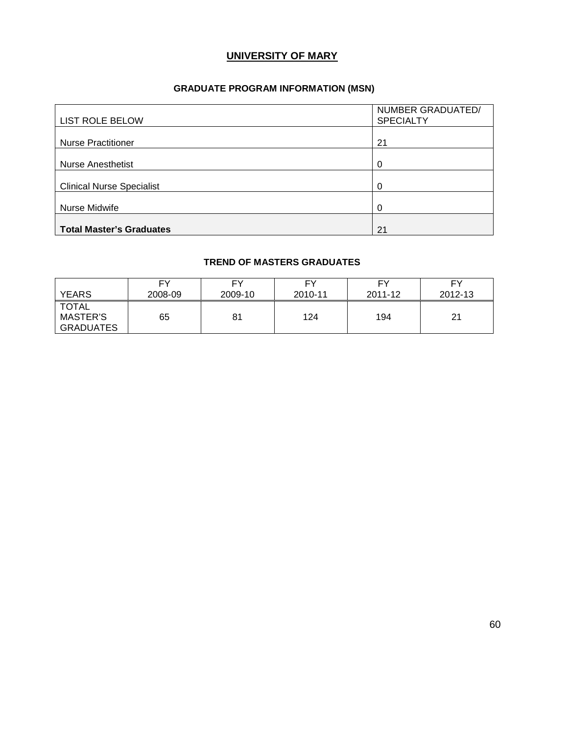### **UNIVERSITY OF MARY**

### **GRADUATE PROGRAM INFORMATION (MSN)**

| <b>LIST ROLE BELOW</b>           | NUMBER GRADUATED/<br><b>SPECIALTY</b> |
|----------------------------------|---------------------------------------|
| <b>Nurse Practitioner</b>        | 21                                    |
| <b>Nurse Anesthetist</b>         | $\Omega$                              |
| <b>Clinical Nurse Specialist</b> | $\Omega$                              |
| Nurse Midwife                    | 0                                     |
| <b>Total Master's Graduates</b>  | 21                                    |

### **TREND OF MASTERS GRADUATES**

| <b>YEARS</b>                          | EV      | FΥ      | <b>FY</b> | FΥ      | FΥ      |
|---------------------------------------|---------|---------|-----------|---------|---------|
|                                       | 2008-09 | 2009-10 | 2010-11   | 2011-12 | 2012-13 |
| TOTAL<br><b>MASTER'S</b><br>GRADUATES | 65      | 81      | 124       | 194     | 21      |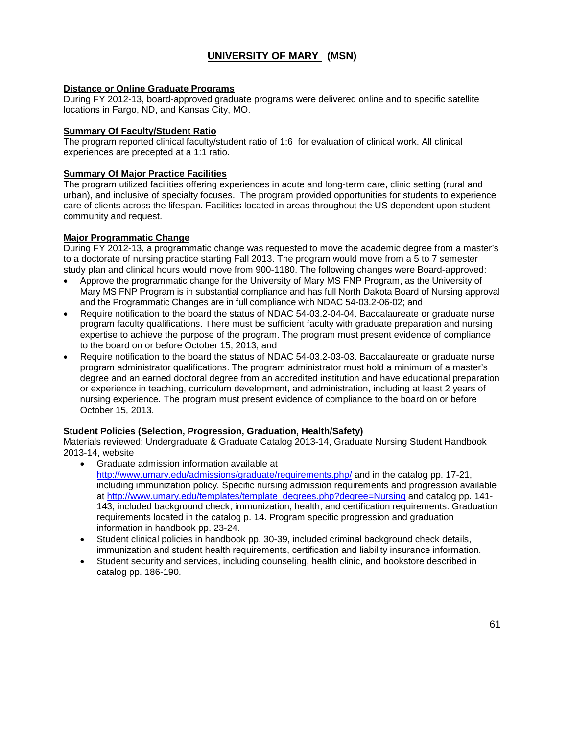### **UNIVERSITY OF MARY (MSN)**

### **Distance or Online Graduate Programs**

During FY 2012-13, board-approved graduate programs were delivered online and to specific satellite locations in Fargo, ND, and Kansas City, MO.

#### **Summary Of Faculty/Student Ratio**

The program reported clinical faculty/student ratio of 1:6 for evaluation of clinical work. All clinical experiences are precepted at a 1:1 ratio.

### **Summary Of Major Practice Facilities**

The program utilized facilities offering experiences in acute and long-term care, clinic setting (rural and urban), and inclusive of specialty focuses. The program provided opportunities for students to experience care of clients across the lifespan. Facilities located in areas throughout the US dependent upon student community and request.

### **Major Programmatic Change**

During FY 2012-13, a programmatic change was requested to move the academic degree from a master's to a doctorate of nursing practice starting Fall 2013. The program would move from a 5 to 7 semester study plan and clinical hours would move from 900-1180. The following changes were Board-approved:

- Approve the programmatic change for the University of Mary MS FNP Program, as the University of Mary MS FNP Program is in substantial compliance and has full North Dakota Board of Nursing approval and the Programmatic Changes are in full compliance with NDAC 54-03.2-06-02; and
- Require notification to the board the status of NDAC 54-03.2-04-04. Baccalaureate or graduate nurse program faculty qualifications. There must be sufficient faculty with graduate preparation and nursing expertise to achieve the purpose of the program. The program must present evidence of compliance to the board on or before October 15, 2013; and
- Require notification to the board the status of NDAC 54-03.2-03-03. Baccalaureate or graduate nurse program administrator qualifications. The program administrator must hold a minimum of a master's degree and an earned doctoral degree from an accredited institution and have educational preparation or experience in teaching, curriculum development, and administration, including at least 2 years of nursing experience. The program must present evidence of compliance to the board on or before October 15, 2013.

#### **Student Policies (Selection, Progression, Graduation, Health/Safety)**

Materials reviewed: Undergraduate & Graduate Catalog 2013-14, Graduate Nursing Student Handbook 2013-14, website

- Graduate admission information available at [http://www.umary.edu/admissions/graduate/requirements.php/](http://www.umary.edu/admissions/) and in the catalog pp. 17-21, including immunization policy. Specific nursing admission requirements and progression available at [http://www.umary.edu/templates/template\\_degrees.php?degree=Nursing](http://www.umary.edu/templates/template_degrees.php?degree=Nursing) and catalog pp. 141-143, included background check, immunization, health, and certification requirements. Graduation requirements located in the catalog p. 14. Program specific progression and graduation information in handbook pp. 23-24.
- Student clinical policies in handbook pp. 30-39, included criminal background check details, immunization and student health requirements, certification and liability insurance information.
- Student security and services, including counseling, health clinic, and bookstore described in catalog pp. 186-190.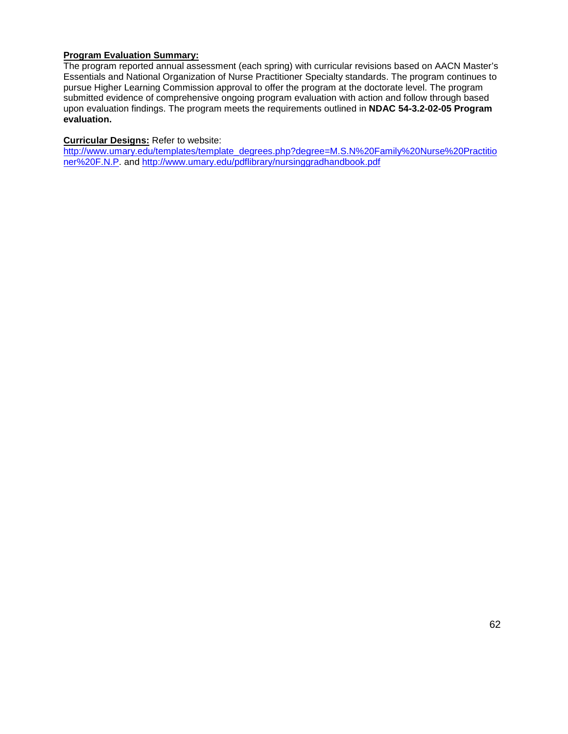### **Program Evaluation Summary:**

The program reported annual assessment (each spring) with curricular revisions based on AACN Master's Essentials and National Organization of Nurse Practitioner Specialty standards. The program continues to pursue Higher Learning Commission approval to offer the program at the doctorate level. The program submitted evidence of comprehensive ongoing program evaluation with action and follow through based upon evaluation findings. The program meets the requirements outlined in **NDAC 54-3.2-02-05 Program evaluation.**

### **Curricular Designs:** Refer to website:

[http://www.umary.edu/templates/template\\_degrees.php?degree=M.S.N%20Family%20Nurse%20Practitio](http://www.umary.edu/templates/template_degrees.php?degree=M.S.N%20Family%20Nurse%20Practitioner%20F.N.P) [ner%20F.N.P.](http://www.umary.edu/templates/template_degrees.php?degree=M.S.N%20Family%20Nurse%20Practitioner%20F.N.P) and<http://www.umary.edu/pdflibrary/nursinggradhandbook.pdf>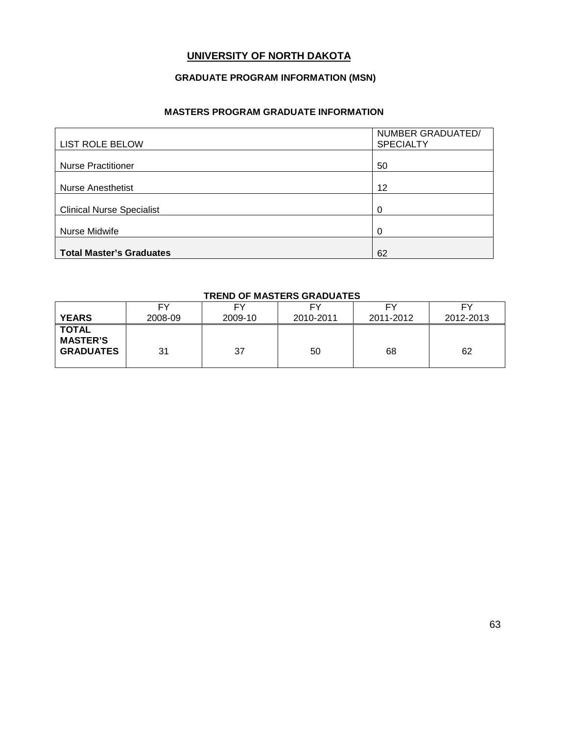### **UNIVERSITY OF NORTH DAKOTA**

### **GRADUATE PROGRAM INFORMATION (MSN)**

### **MASTERS PROGRAM GRADUATE INFORMATION**

| <b>LIST ROLE BELOW</b>           | NUMBER GRADUATED/<br><b>SPECIALTY</b> |
|----------------------------------|---------------------------------------|
| <b>Nurse Practitioner</b>        | 50                                    |
|                                  |                                       |
| <b>Nurse Anesthetist</b>         | 12                                    |
| <b>Clinical Nurse Specialist</b> | $\Omega$                              |
| Nurse Midwife                    | 0                                     |
| <b>Total Master's Graduates</b>  | 62                                    |

### **TREND OF MASTERS GRADUATES**

| <b>YEARS</b>                                        | FY      | FΥ      | F٧        | FΥ        | FΥ        |
|-----------------------------------------------------|---------|---------|-----------|-----------|-----------|
|                                                     | 2008-09 | 2009-10 | 2010-2011 | 2011-2012 | 2012-2013 |
| <b>TOTAL</b><br><b>MASTER'S</b><br><b>GRADUATES</b> | 31      | 37      | 50        | 68        | 62        |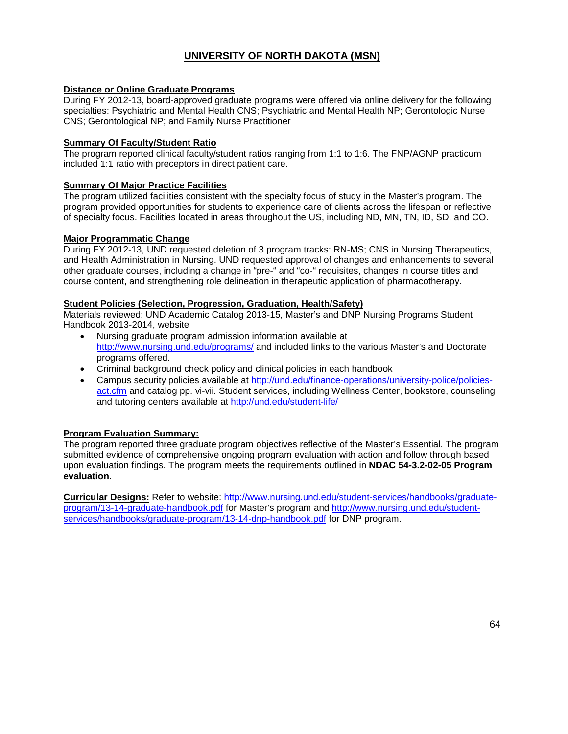### **UNIVERSITY OF NORTH DAKOTA (MSN)**

### **Distance or Online Graduate Programs**

During FY 2012-13, board-approved graduate programs were offered via online delivery for the following specialties: Psychiatric and Mental Health CNS; Psychiatric and Mental Health NP; Gerontologic Nurse CNS; Gerontological NP; and Family Nurse Practitioner

#### **Summary Of Faculty/Student Ratio**

The program reported clinical faculty/student ratios ranging from 1:1 to 1:6. The FNP/AGNP practicum included 1:1 ratio with preceptors in direct patient care.

#### **Summary Of Major Practice Facilities**

The program utilized facilities consistent with the specialty focus of study in the Master's program. The program provided opportunities for students to experience care of clients across the lifespan or reflective of specialty focus. Facilities located in areas throughout the US, including ND, MN, TN, ID, SD, and CO.

### **Major Programmatic Change**

During FY 2012-13, UND requested deletion of 3 program tracks: RN-MS; CNS in Nursing Therapeutics, and Health Administration in Nursing. UND requested approval of changes and enhancements to several other graduate courses, including a change in "pre-" and "co-" requisites, changes in course titles and course content, and strengthening role delineation in therapeutic application of pharmacotherapy.

#### **Student Policies (Selection, Progression, Graduation, Health/Safety)**

Materials reviewed: UND Academic Catalog 2013-15, Master's and DNP Nursing Programs Student Handbook 2013-2014, website

- Nursing graduate program admission information available at <http://www.nursing.und.edu/programs/> and included links to the various Master's and Doctorate programs offered.
- Criminal background check policy and clinical policies in each handbook
- Campus security policies available at [http://und.edu/finance-operations/university-police/policies](http://und.edu/finance-operations/university-police/policies-act.cfm)[act.cfm](http://und.edu/finance-operations/university-police/policies-act.cfm) and catalog pp. vi-vii. Student services, including Wellness Center, bookstore, counseling and tutoring centers available at<http://und.edu/student-life/>

### **Program Evaluation Summary:**

The program reported three graduate program objectives reflective of the Master's Essential. The program submitted evidence of comprehensive ongoing program evaluation with action and follow through based upon evaluation findings. The program meets the requirements outlined in **NDAC 54-3.2-02-05 Program evaluation.**

**Curricular Designs:** Refer to website: [http://www.nursing.und.edu/student-services/handbooks/graduate](http://www.nursing.und.edu/student-services/handbooks/graduate-program/13-14-graduate-handbook.pdf)[program/13-14-graduate-handbook.pdf](http://www.nursing.und.edu/student-services/handbooks/graduate-program/13-14-graduate-handbook.pdf) for Master's program and [http://www.nursing.und.edu/student](http://www.nursing.und.edu/student-services/handbooks/graduate-program/13-14-dnp-handbook.pdf)[services/handbooks/graduate-program/13-14-dnp-handbook.pdf](http://www.nursing.und.edu/student-services/handbooks/graduate-program/13-14-dnp-handbook.pdf) for DNP program.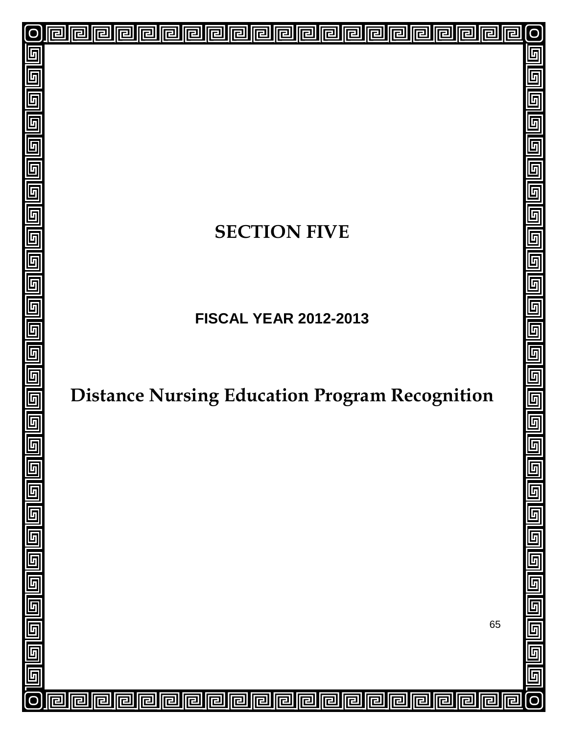# **SECTION FIVE**

回

<mark>ㄹ</mark>

已

囘

同

冋

린

戸

戸

囘

囘

囘

司

同

囘

 $\overline{\mathbf{r}}$ 

厄

lr

Ira

厄

冋

己

互

 $\overline{\mathsf{F}}$ 

 $\overline{\mathfrak{h}}$ 

 $\overline{\mathbb{F}}$ 

5

 $\overline{\mathsf{F}}$ 

5

 $\overline{\mathbb{F}}$ 

 $\overline{\mathsf{L}}$ 

 $\overline{\mathbb{F}}$ 

 $\overline{\overline{\mathbb{F}}}% \left[ \begin{array}{cc} \overline{\mathbb{F}}% & \overline{\mathbb{F}}% & \overline{\mathbb{F}}% & \overline{\mathbb{F}}% & \overline{\mathbb{F}}% & \overline{\mathbb{F}}% & \overline{\mathbb{F}}% & \overline{\mathbb{F}}% & \overline{\mathbb{F}}% & \overline{\mathbb{F}}% & \overline{\mathbb{F}}% & \overline{\mathbb{F}}% & \overline{\mathbb{F}}% & \overline{\mathbb{F}}% & \overline{\mathbb{F}}% & \overline{\mathbb{F}}% & \overline{\mathbb{F}}% & \overline{\mathbb{F}}%$ 

 $\overline{\mathsf{F}}$ 

6

 $\overline{\mathsf{L}}$ 

 $\overline{\mathsf{F}}$ 

5

6

回

回

回

囘

厄

戸

**FISCAL YEAR 2012-2013**

# **Distance Nursing Education Program Recognition**

65

 $\overline{\mathsf{L}}$ 

互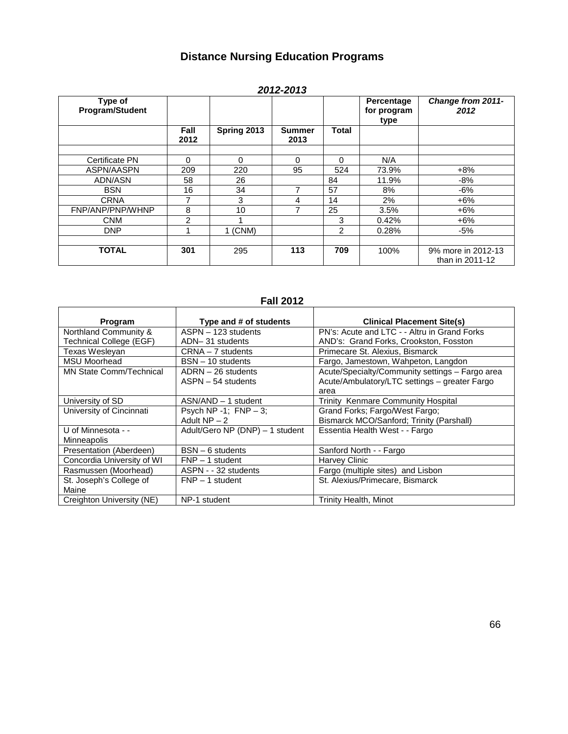## **Distance Nursing Education Programs**

|                            |              |             | LUIL-LUIJ             |              |                                   |                                       |
|----------------------------|--------------|-------------|-----------------------|--------------|-----------------------------------|---------------------------------------|
| Type of<br>Program/Student |              |             |                       |              | Percentage<br>for program<br>type | Change from 2011-<br>2012             |
|                            | Fall<br>2012 | Spring 2013 | <b>Summer</b><br>2013 | <b>Total</b> |                                   |                                       |
|                            |              |             |                       |              |                                   |                                       |
| Certificate PN             | 0            | $\Omega$    | 0                     | $\Omega$     | N/A                               |                                       |
| ASPN/AASPN                 | 209          | 220         | 95                    | 524          | 73.9%                             | $+8%$                                 |
| ADN/ASN                    | 58           | 26          |                       | 84           | 11.9%                             | $-8%$                                 |
| <b>BSN</b>                 | 16           | 34          | 7                     | 57           | 8%                                | $-6%$                                 |
| <b>CRNA</b>                | 7            | 3           | 4                     | 14           | 2%                                | $+6%$                                 |
| FNP/ANP/PNP/WHNP           | 8            | 10          |                       | 25           | 3.5%                              | $+6%$                                 |
| <b>CNM</b>                 | 2            |             |                       | 3            | 0.42%                             | $+6%$                                 |
| <b>DNP</b>                 |              | $1$ (CNM)   |                       | 2            | 0.28%                             | $-5%$                                 |
|                            |              |             |                       |              |                                   |                                       |
| <b>TOTAL</b>               | 301          | 295         | 113                   | 709          | 100%                              | 9% more in 2012-13<br>than in 2011-12 |

### *2012-2013*

### **Fall 2012**

| Program                        | Type and # of students          | <b>Clinical Placement Site(s)</b>               |
|--------------------------------|---------------------------------|-------------------------------------------------|
| Northland Community &          | $ASPN - 123$ students           | PN's: Acute and LTC - - Altru in Grand Forks    |
| Technical College (EGF)        | ADN-31 students                 | AND's: Grand Forks, Crookston, Fosston          |
| Texas Wesleyan                 | $CRNA - 7$ students             | Primecare St. Alexius, Bismarck                 |
| <b>MSU Moorhead</b>            | $BSN - 10$ students             | Fargo, Jamestown, Wahpeton, Langdon             |
| <b>MN State Comm/Technical</b> | $ADRN - 26$ students            | Acute/Specialty/Community settings - Fargo area |
|                                | $ASPN - 54$ students            | Acute/Ambulatory/LTC settings - greater Fargo   |
|                                |                                 | area                                            |
| University of SD               | $ASN/AND - 1$ student           | Trinity Kenmare Community Hospital              |
| University of Cincinnati       | Psych NP -1; $FNP - 3$ ;        | Grand Forks; Fargo/West Fargo;                  |
|                                | Adult $NP - 2$                  | Bismarck MCO/Sanford; Trinity (Parshall)        |
| U of Minnesota - -             | Adult/Gero NP (DNP) - 1 student | Essentia Health West - - Fargo                  |
| <b>Minneapolis</b>             |                                 |                                                 |
| Presentation (Aberdeen)        | $BSN - 6$ students              | Sanford North - - Fargo                         |
| Concordia University of WI     | $FNP - 1$ student               | Harvey Clinic                                   |
| Rasmussen (Moorhead)           | ASPN - - 32 students            | Fargo (multiple sites) and Lisbon               |
| St. Joseph's College of        | $FNP - 1$ student               | St. Alexius/Primecare, Bismarck                 |
| Maine                          |                                 |                                                 |
| Creighton University (NE)      | NP-1 student                    | Trinity Health, Minot                           |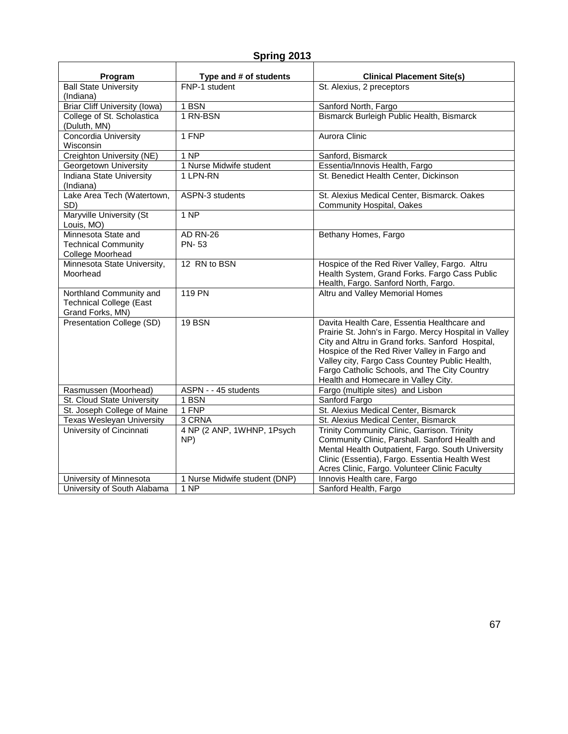### **Spring 2013**

| Program                                                            | Type and # of students        | <b>Clinical Placement Site(s)</b>                                                              |
|--------------------------------------------------------------------|-------------------------------|------------------------------------------------------------------------------------------------|
| <b>Ball State University</b>                                       | FNP-1 student                 | St. Alexius, 2 preceptors                                                                      |
| (Indiana)                                                          |                               |                                                                                                |
| <b>Briar Cliff University (lowa)</b><br>College of St. Scholastica | 1 BSN<br>1 RN-BSN             | Sanford North, Fargo<br>Bismarck Burleigh Public Health, Bismarck                              |
| (Duluth, MN)                                                       |                               |                                                                                                |
| Concordia University                                               | 1 FNP                         | Aurora Clinic                                                                                  |
| Wisconsin                                                          |                               |                                                                                                |
| Creighton University (NE)                                          | 1 NP                          | Sanford, Bismarck                                                                              |
| Georgetown University                                              | 1 Nurse Midwife student       | Essentia/Innovis Health, Fargo                                                                 |
| <b>Indiana State University</b>                                    | 1 LPN-RN                      | St. Benedict Health Center, Dickinson                                                          |
| (Indiana)                                                          |                               |                                                                                                |
| Lake Area Tech (Watertown,<br>SD)                                  | ASPN-3 students               | St. Alexius Medical Center, Bismarck. Oakes<br>Community Hospital, Oakes                       |
| Maryville University (St                                           | <b>1 NP</b>                   |                                                                                                |
| Louis, MO)                                                         |                               |                                                                                                |
| Minnesota State and                                                | <b>AD RN-26</b>               | Bethany Homes, Fargo                                                                           |
| <b>Technical Community</b>                                         | <b>PN-53</b>                  |                                                                                                |
| College Moorhead                                                   |                               |                                                                                                |
| Minnesota State University,                                        | 12 RN to BSN                  | Hospice of the Red River Valley, Fargo. Altru                                                  |
| Moorhead                                                           |                               | Health System, Grand Forks. Fargo Cass Public                                                  |
|                                                                    |                               | Health, Fargo. Sanford North, Fargo.                                                           |
| Northland Community and                                            | <b>119 PN</b>                 | Altru and Valley Memorial Homes                                                                |
| <b>Technical College (East</b>                                     |                               |                                                                                                |
| Grand Forks, MN)                                                   |                               |                                                                                                |
| <b>Presentation College (SD)</b>                                   | 19 BSN                        | Davita Health Care, Essentia Healthcare and                                                    |
|                                                                    |                               | Prairie St. John's in Fargo. Mercy Hospital in Valley                                          |
|                                                                    |                               | City and Altru in Grand forks. Sanford Hospital,                                               |
|                                                                    |                               | Hospice of the Red River Valley in Fargo and                                                   |
|                                                                    |                               | Valley city, Fargo Cass Countey Public Health,<br>Fargo Catholic Schools, and The City Country |
|                                                                    |                               | Health and Homecare in Valley City.                                                            |
| Rasmussen (Moorhead)                                               | ASPN - - 45 students          | Fargo (multiple sites) and Lisbon                                                              |
| St. Cloud State University                                         | 1 BSN                         | Sanford Fargo                                                                                  |
| St. Joseph College of Maine                                        | 1 FNP                         | St. Alexius Medical Center, Bismarck                                                           |
| <b>Texas Wesleyan University</b>                                   | 3 CRNA                        | St. Alexius Medical Center, Bismarck                                                           |
| University of Cincinnati                                           | 4 NP (2 ANP, 1WHNP, 1Psych    | Trinity Community Clinic, Garrison. Trinity                                                    |
|                                                                    | NP)                           | Community Clinic, Parshall. Sanford Health and                                                 |
|                                                                    |                               | Mental Health Outpatient, Fargo. South University                                              |
|                                                                    |                               | Clinic (Essentia), Fargo. Essentia Health West                                                 |
|                                                                    |                               | Acres Clinic, Fargo. Volunteer Clinic Faculty                                                  |
| University of Minnesota                                            | 1 Nurse Midwife student (DNP) | Innovis Health care, Fargo                                                                     |
| University of South Alabama                                        | <b>1 NP</b>                   | Sanford Health, Fargo                                                                          |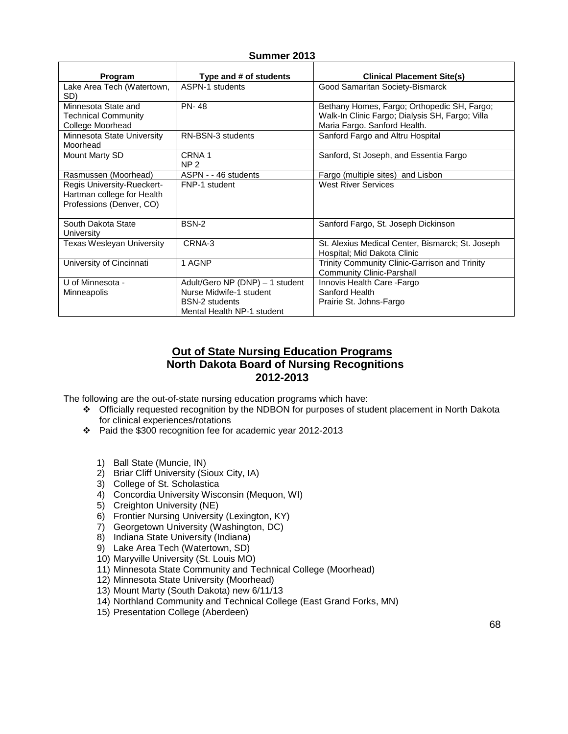### **Summer 2013**

| Program                                                                              | Type and # of students               | <b>Clinical Placement Site(s)</b>                                                                                              |
|--------------------------------------------------------------------------------------|--------------------------------------|--------------------------------------------------------------------------------------------------------------------------------|
| Lake Area Tech (Watertown,<br>SD)                                                    | ASPN-1 students                      | Good Samaritan Society-Bismarck                                                                                                |
| Minnesota State and<br><b>Technical Community</b><br>College Moorhead                | <b>PN-48</b>                         | Bethany Homes, Fargo; Orthopedic SH, Fargo;<br>Walk-In Clinic Fargo; Dialysis SH, Fargo; Villa<br>Maria Fargo. Sanford Health. |
| Minnesota State University<br>Moorhead                                               | RN-BSN-3 students                    | Sanford Fargo and Altru Hospital                                                                                               |
| Mount Marty SD                                                                       | CRNA <sub>1</sub><br>NP <sub>2</sub> | Sanford, St Joseph, and Essentia Fargo                                                                                         |
| Rasmussen (Moorhead)                                                                 | ASPN - - 46 students                 | Fargo (multiple sites) and Lisbon                                                                                              |
| Regis University-Rueckert-<br>Hartman college for Health<br>Professions (Denver, CO) | FNP-1 student                        | <b>West River Services</b>                                                                                                     |
| South Dakota State<br>University                                                     | BSN-2                                | Sanford Fargo, St. Joseph Dickinson                                                                                            |
| <b>Texas Wesleyan University</b>                                                     | CRNA-3                               | St. Alexius Medical Center, Bismarck; St. Joseph<br>Hospital; Mid Dakota Clinic                                                |
| University of Cincinnati                                                             | 1 AGNP                               | Trinity Community Clinic-Garrison and Trinity<br>Community Clinic-Parshall                                                     |
| U of Minnesota -                                                                     | Adult/Gero NP (DNP) - 1 student      | Innovis Health Care - Fargo                                                                                                    |
| Minneapolis                                                                          | Nurse Midwife-1 student              | Sanford Health                                                                                                                 |
|                                                                                      | <b>BSN-2</b> students                | Prairie St. Johns-Fargo                                                                                                        |
|                                                                                      | Mental Health NP-1 student           |                                                                                                                                |

### **Out of State Nursing Education Programs North Dakota Board of Nursing Recognitions 2012-2013**

The following are the out-of-state nursing education programs which have:

- Officially requested recognition by the NDBON for purposes of student placement in North Dakota for clinical experiences/rotations
- Paid the \$300 recognition fee for academic year 2012-2013
	- 1) Ball State (Muncie, IN)
	- 2) Briar Cliff University (Sioux City, IA)
	- 3) College of St. Scholastica
	- 4) Concordia University Wisconsin (Mequon, WI)
	- 5) Creighton University (NE)
	- 6) Frontier Nursing University (Lexington, KY)
	- 7) Georgetown University (Washington, DC)
	- 8) Indiana State University (Indiana)
	- 9) Lake Area Tech (Watertown, SD)
	- 10) Maryville University (St. Louis MO)
	- 11) Minnesota State Community and Technical College (Moorhead)
	- 12) Minnesota State University (Moorhead)
	- 13) Mount Marty (South Dakota) new 6/11/13
	- 14) Northland Community and Technical College (East Grand Forks, MN)
	- 15) Presentation College (Aberdeen)